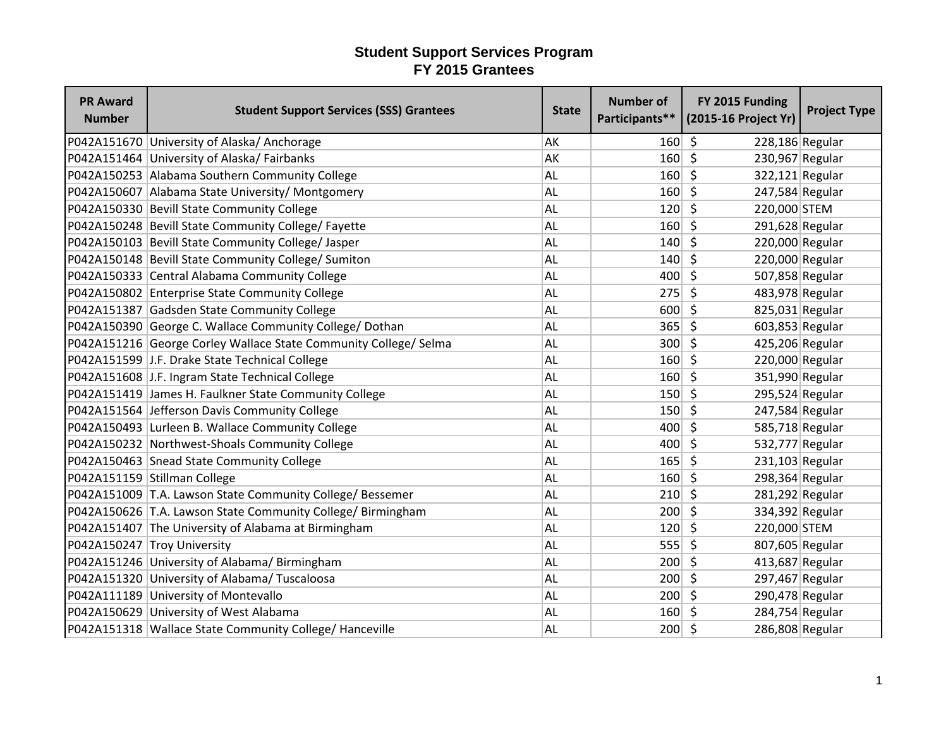| <b>PR Award</b><br><b>Number</b> | <b>Student Support Services (SSS) Grantees</b>                   | <b>State</b> | <b>Number of</b><br>Participants** | FY 2015 Funding<br>(2015-16 Project Yr) | <b>Project Type</b> |
|----------------------------------|------------------------------------------------------------------|--------------|------------------------------------|-----------------------------------------|---------------------|
|                                  | P042A151670 University of Alaska/Anchorage                       | AK           | 160                                | $\zeta$<br>228,186 Regular              |                     |
|                                  | P042A151464 University of Alaska/ Fairbanks                      | AK           | $160 \mid 5$                       | 230,967 Regular                         |                     |
|                                  | P042A150253 Alabama Southern Community College                   | <b>AL</b>    | 160                                | \$<br>$322,121$ Regular                 |                     |
|                                  | P042A150607 Alabama State University/ Montgomery                 | <b>AL</b>    | 160                                | S.<br>247,584 Regular                   |                     |
|                                  | P042A150330 Bevill State Community College                       | <b>AL</b>    | 120                                | $\zeta$<br>220,000 STEM                 |                     |
|                                  | P042A150248 Bevill State Community College/ Fayette              | <b>AL</b>    | $160 \mid 5$                       | 291,628 Regular                         |                     |
|                                  | P042A150103 Bevill State Community College/ Jasper               | <b>AL</b>    | 140                                | 220,000 Regular<br>-\$                  |                     |
|                                  | P042A150148 Bevill State Community College/ Sumiton              | <b>AL</b>    | 140                                | 220,000 Regular<br>- \$                 |                     |
|                                  | P042A150333 Central Alabama Community College                    | <b>AL</b>    | $400 \mid 5$                       | 507,858 Regular                         |                     |
|                                  | P042A150802 Enterprise State Community College                   | <b>AL</b>    | 275                                | $\zeta$<br>483,978 Regular              |                     |
|                                  | P042A151387 Gadsden State Community College                      | <b>AL</b>    | 600                                | \$<br>825,031 Regular                   |                     |
|                                  | P042A150390 George C. Wallace Community College/ Dothan          | <b>AL</b>    | 365                                | $\zeta$<br>603,853 Regular              |                     |
|                                  | P042A151216 George Corley Wallace State Community College/ Selma | <b>AL</b>    | $300$ \$                           | 425,206 Regular                         |                     |
|                                  | P042A151599 J.F. Drake State Technical College                   | <b>AL</b>    | 160                                | - \$<br>220,000 Regular                 |                     |
|                                  | P042A151608 J.F. Ingram State Technical College                  | AL           | 160                                | - Ś<br>351,990 Regular                  |                     |
|                                  | P042A151419 James H. Faulkner State Community College            | <b>AL</b>    | $150$ \$                           | 295,524 Regular                         |                     |
|                                  | P042A151564 Jefferson Davis Community College                    | <b>AL</b>    | 150                                | S,<br>247,584 Regular                   |                     |
|                                  | P042A150493 Lurleen B. Wallace Community College                 | <b>AL</b>    | 400                                | 585,718 Regular<br>-S                   |                     |
|                                  | P042A150232 Northwest-Shoals Community College                   | <b>AL</b>    | 400                                | \$<br>532,777 Regular                   |                     |
|                                  | P042A150463 Snead State Community College                        | <b>AL</b>    | $165$ \$                           | $231,103$ Regular                       |                     |
|                                  | P042A151159 Stillman College                                     | <b>AL</b>    | $160 \mid 5$                       | 298,364 Regular                         |                     |
|                                  | P042A151009 T.A. Lawson State Community College/ Bessemer        | <b>AL</b>    | $210 \mid 5$                       | 281,292 Regular                         |                     |
|                                  | P042A150626 T.A. Lawson State Community College/ Birmingham      | <b>AL</b>    | $200 \mid 5$                       | 334,392 Regular                         |                     |
|                                  | P042A151407 The University of Alabama at Birmingham              | <b>AL</b>    | 120                                | $\zeta$<br>220,000 STEM                 |                     |
|                                  | P042A150247 Troy University                                      | <b>AL</b>    | 555                                | $\zeta$<br>807,605 Regular              |                     |
|                                  | P042A151246 University of Alabama/Birmingham                     | <b>AL</b>    | 200                                | 413,687 Regular<br>\$                   |                     |
|                                  | P042A151320 University of Alabama/Tuscaloosa                     | <b>AL</b>    | 200                                | $\zeta$<br>297,467 Regular              |                     |
|                                  | P042A111189 University of Montevallo                             | <b>AL</b>    | $200 \mid 5$                       | 290,478 Regular                         |                     |
|                                  | P042A150629 University of West Alabama                           | <b>AL</b>    | $160 \mid 5$                       | 284,754 Regular                         |                     |
|                                  | P042A151318 Wallace State Community College/ Hanceville          | <b>AL</b>    | $200 \mid 5$                       | 286,808 Regular                         |                     |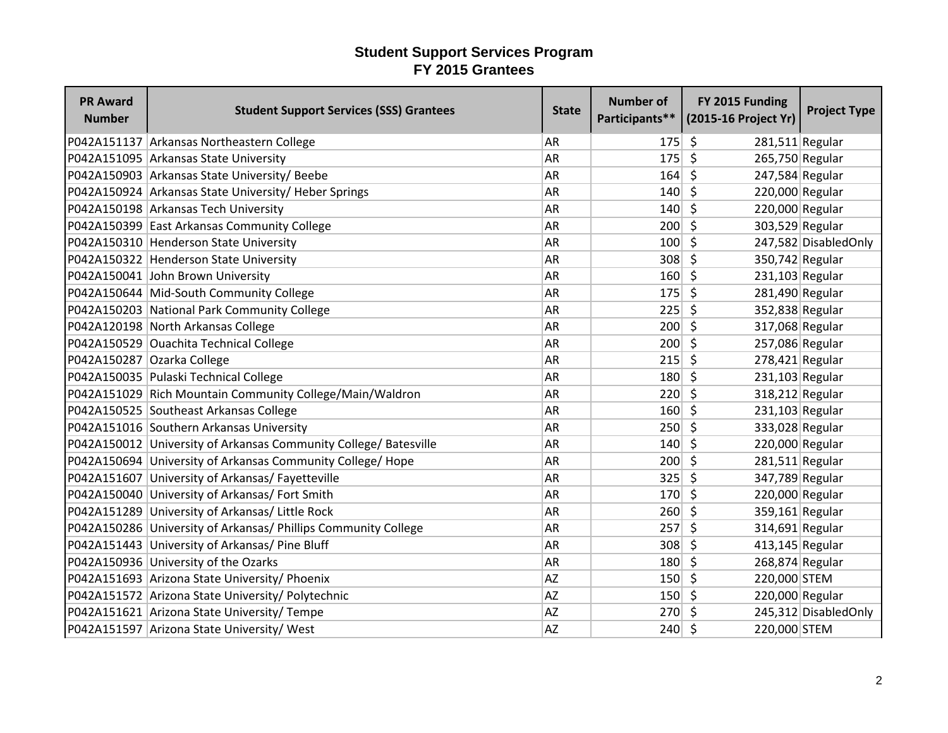| <b>PR Award</b><br><b>Number</b> | <b>Student Support Services (SSS) Grantees</b>                   | <b>State</b> | <b>Number of</b><br>Participants** | FY 2015 Funding<br>(2015-16 Project Yr) | <b>Project Type</b>  |
|----------------------------------|------------------------------------------------------------------|--------------|------------------------------------|-----------------------------------------|----------------------|
|                                  | P042A151137 Arkansas Northeastern College                        | <b>AR</b>    | 175                                | \$<br>281,511 Regular                   |                      |
|                                  | P042A151095 Arkansas State University                            | <b>AR</b>    | 175                                | $\zeta$<br>265,750 Regular              |                      |
|                                  | P042A150903 Arkansas State University/ Beebe                     | <b>AR</b>    | 164                                | $\zeta$<br>247,584 Regular              |                      |
|                                  | P042A150924 Arkansas State University/ Heber Springs             | <b>AR</b>    | 140                                | -Ś<br>220,000 Regular                   |                      |
|                                  | P042A150198 Arkansas Tech University                             | <b>AR</b>    | 140                                | Ŝ.<br>220,000 Regular                   |                      |
|                                  | P042A150399 East Arkansas Community College                      | <b>AR</b>    | 200                                | $\mathsf{\hat{S}}$<br>303,529 Regular   |                      |
|                                  | P042A150310 Henderson State University                           | <b>AR</b>    | 100                                | Ŝ.                                      | 247,582 DisabledOnly |
|                                  | P042A150322 Henderson State University                           | <b>AR</b>    | 308                                | 350,742 Regular<br>\$                   |                      |
|                                  | P042A150041 John Brown University                                | <b>AR</b>    | $160 $ \$                          | $231,103$ Regular                       |                      |
|                                  | P042A150644 Mid-South Community College                          | <b>AR</b>    | 175                                | $\zeta$<br>281,490 Regular              |                      |
|                                  | P042A150203 National Park Community College                      | <b>AR</b>    | 225                                | \$<br>352,838 Regular                   |                      |
|                                  | P042A120198 North Arkansas College                               | <b>AR</b>    | 200                                | \$<br>317,068 Regular                   |                      |
|                                  | P042A150529 Ouachita Technical College                           | <b>AR</b>    | $200 \mid 5$                       | 257,086 Regular                         |                      |
|                                  | P042A150287 Ozarka College                                       | AR           | 215                                | $\zeta$<br>$278,421$ Regular            |                      |
|                                  | P042A150035 Pulaski Technical College                            | <b>AR</b>    | 180                                | 231,103 Regular<br>$\zeta$              |                      |
|                                  | P042A151029 Rich Mountain Community College/Main/Waldron         | AR           | 220                                | $\zeta$<br>318,212 Regular              |                      |
|                                  | P042A150525 Southeast Arkansas College                           | <b>AR</b>    | 160                                | $\zeta$<br>231,103 Regular              |                      |
|                                  | P042A151016 Southern Arkansas University                         | <b>AR</b>    | 250                                | Ŝ.<br>333,028 Regular                   |                      |
|                                  | P042A150012 University of Arkansas Community College/ Batesville | <b>AR</b>    | 140                                | 220,000 Regular<br>S.                   |                      |
|                                  | P042A150694 University of Arkansas Community College/ Hope       | <b>AR</b>    | $200 \mid 5$                       | $281,511$ Regular                       |                      |
|                                  | P042A151607 University of Arkansas/ Fayetteville                 | <b>AR</b>    | 325                                | $\zeta$<br>347,789 Regular              |                      |
|                                  | P042A150040 University of Arkansas/ Fort Smith                   | <b>AR</b>    | $170 \mid 5$                       | 220,000 Regular                         |                      |
|                                  | P042A151289 University of Arkansas/ Little Rock                  | <b>AR</b>    | 260                                | $\zeta$<br>359,161 Regular              |                      |
|                                  | P042A150286 University of Arkansas/ Phillips Community College   | <b>AR</b>    | 257                                | $\zeta$<br>314,691 Regular              |                      |
|                                  | P042A151443 University of Arkansas/ Pine Bluff                   | AR           | 308                                | $\zeta$<br>$413, 145$ Regular           |                      |
|                                  | P042A150936 University of the Ozarks                             | <b>AR</b>    | 180                                | 268,874 Regular<br>Ŝ.                   |                      |
|                                  | P042A151693 Arizona State University/ Phoenix                    | <b>AZ</b>    | 150                                | \$<br>220,000 STEM                      |                      |
|                                  | P042A151572 Arizona State University/ Polytechnic                | <b>AZ</b>    | $150 \mid 5$                       | 220,000 Regular                         |                      |
|                                  | P042A151621 Arizona State University/ Tempe                      | <b>AZ</b>    | 270                                | -\$                                     | 245,312 DisabledOnly |
|                                  | P042A151597 Arizona State University/ West                       | <b>AZ</b>    | 240                                | $\zeta$<br>220,000 STEM                 |                      |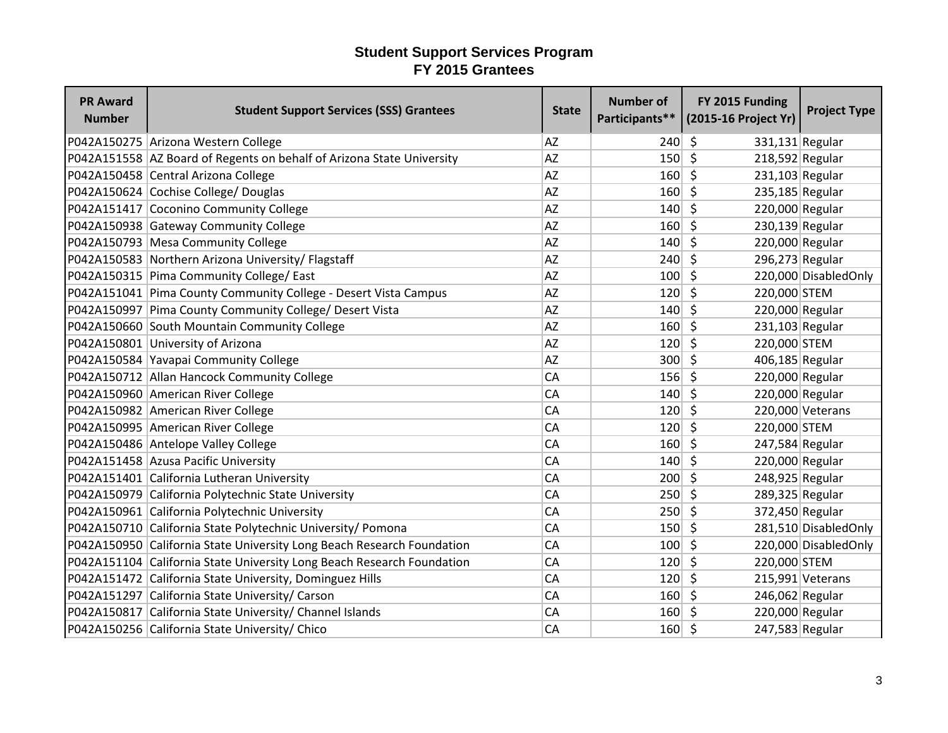| <b>PR Award</b><br><b>Number</b> | <b>Student Support Services (SSS) Grantees</b>                          | <b>State</b> | <b>Number of</b> | FY 2015 Funding<br>Participants** (2015-16 Project Yr) | <b>Project Type</b>  |
|----------------------------------|-------------------------------------------------------------------------|--------------|------------------|--------------------------------------------------------|----------------------|
|                                  | P042A150275 Arizona Western College                                     | <b>AZ</b>    | 240              | $\zeta$<br>331,131 Regular                             |                      |
|                                  | P042A151558   AZ Board of Regents on behalf of Arizona State University | <b>AZ</b>    | $150 \mid 5$     | 218,592 Regular                                        |                      |
|                                  | P042A150458 Central Arizona College                                     | <b>AZ</b>    | 160              | $\zeta$<br>231,103 Regular                             |                      |
|                                  | P042A150624 Cochise College/ Douglas                                    | <b>AZ</b>    | 160              | -\$<br>235,185 Regular                                 |                      |
|                                  | P042A151417 Coconino Community College                                  | <b>AZ</b>    | 140              | \$<br>220,000 Regular                                  |                      |
|                                  | P042A150938 Gateway Community College                                   | <b>AZ</b>    | 160              | $\zeta$<br>230,139 Regular                             |                      |
|                                  | P042A150793 Mesa Community College                                      | <b>AZ</b>    | 140              | \$<br>220,000 Regular                                  |                      |
|                                  | P042A150583 Northern Arizona University/ Flagstaff                      | <b>AZ</b>    | 240              | 296,273 Regular<br>S,                                  |                      |
|                                  | P042A150315 Pima Community College/ East                                | <b>AZ</b>    | 100              | $\zeta$                                                | 220,000 DisabledOnly |
|                                  | P042A151041 Pima County Community College - Desert Vista Campus         | AZ           | 120              | \$<br>220,000 STEM                                     |                      |
|                                  | P042A150997 Pima County Community College/ Desert Vista                 | <b>AZ</b>    | 140              | \$<br>220,000 Regular                                  |                      |
|                                  | P042A150660 South Mountain Community College                            | <b>AZ</b>    | 160              | \$<br>$231,103$ Regular                                |                      |
|                                  | P042A150801 University of Arizona                                       | <b>AZ</b>    | 120              | $\zeta$<br>220,000 STEM                                |                      |
|                                  | P042A150584 Yavapai Community College                                   | <b>AZ</b>    | 300              | $\zeta$<br>406,185 Regular                             |                      |
|                                  | P042A150712 Allan Hancock Community College                             | CA           | 156              | - \$<br>220,000 Regular                                |                      |
|                                  | P042A150960 American River College                                      | CA           | 140              | $\zeta$<br>220,000 Regular                             |                      |
|                                  | P042A150982 American River College                                      | CA           | 120              | \$                                                     | 220,000 Veterans     |
|                                  | P042A150995 American River College                                      | <b>CA</b>    | 120              | \$<br>220,000 STEM                                     |                      |
|                                  | P042A150486 Antelope Valley College                                     | <b>CA</b>    | 160              | 247,584 Regular<br>\$                                  |                      |
|                                  | P042A151458 Azusa Pacific University                                    | <b>CA</b>    | 140              | $\zeta$<br>220,000 Regular                             |                      |
|                                  | P042A151401 California Lutheran University                              | CA           | 200              | $\zeta$<br>248,925 Regular                             |                      |
|                                  | P042A150979 California Polytechnic State University                     | CA           | $250 \mid 5$     | 289,325 Regular                                        |                      |
|                                  | P042A150961 California Polytechnic University                           | CA           | 250              | $\zeta$<br>372,450 Regular                             |                      |
|                                  | P042A150710 California State Polytechnic University/ Pomona             | CA           | 150              | $\zeta$                                                | 281,510 DisabledOnly |
|                                  | P042A150950 California State University Long Beach Research Foundation  | CA           | 100              | \$                                                     | 220,000 DisabledOnly |
|                                  | P042A151104 California State University Long Beach Research Foundation  | CA           | 120              | 220,000 STEM<br>Ŝ.                                     |                      |
|                                  | P042A151472 California State University, Dominguez Hills                | <b>CA</b>    | 120              | \$                                                     | 215,991 Veterans     |
|                                  | P042A151297 California State University/ Carson                         | <b>CA</b>    | 160              | $\zeta$<br>246,062 Regular                             |                      |
|                                  | P042A150817 California State University/ Channel Islands                | CA           | 160              | 220,000 Regular<br>-\$                                 |                      |
|                                  | P042A150256 California State University/ Chico                          | CA           | $160 \mid 5$     | 247,583 Regular                                        |                      |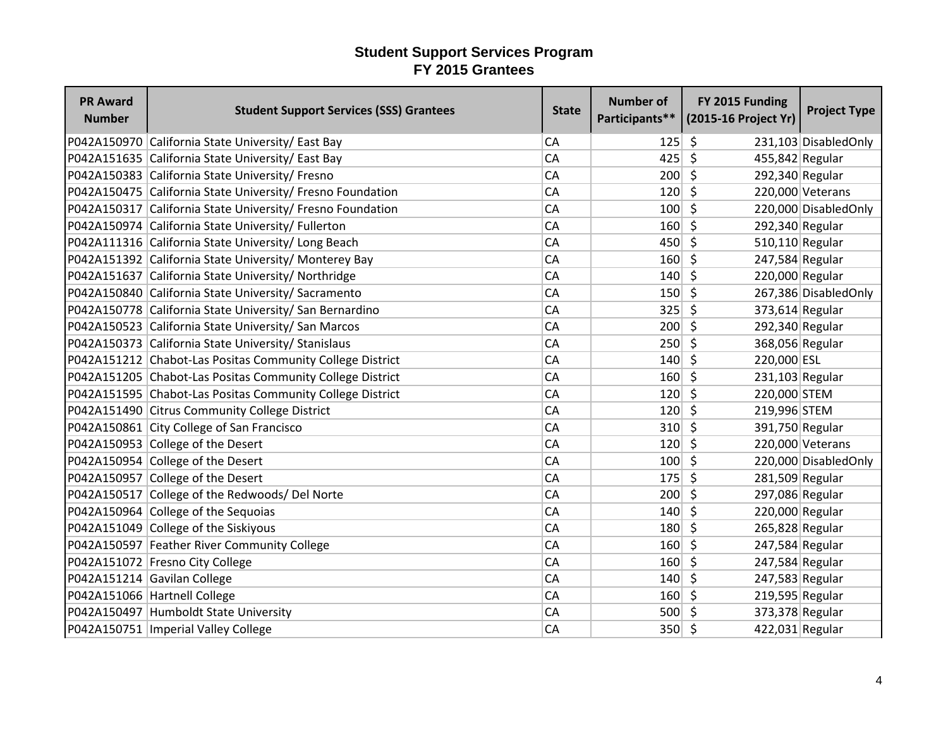| <b>PR Award</b><br><b>Number</b> | <b>Student Support Services (SSS) Grantees</b>             | <b>State</b> | <b>Number of</b><br>Participants** | FY 2015 Funding<br>(2015-16 Project Yr) | <b>Project Type</b>   |
|----------------------------------|------------------------------------------------------------|--------------|------------------------------------|-----------------------------------------|-----------------------|
|                                  | P042A150970 California State University/ East Bay          | <b>CA</b>    | 125                                | -\$                                     | 231,103 DisabledOnly  |
|                                  | P042A151635 California State University/ East Bay          | CA           | 425                                | $\zeta$<br>455,842 Regular              |                       |
|                                  | P042A150383 California State University/ Fresno            | <b>CA</b>    | 200                                | $\zeta$<br>292,340 Regular              |                       |
|                                  | P042A150475 California State University/ Fresno Foundation | <b>CA</b>    | 120                                | \$                                      | 220,000 Veterans      |
|                                  | P042A150317 California State University/ Fresno Foundation | <b>CA</b>    | 100                                | S.                                      | 220,000 Disabled Only |
|                                  | P042A150974 California State University/ Fullerton         | CA           | 160                                | $\zeta$<br>292,340 Regular              |                       |
|                                  | P042A111316 California State University/ Long Beach        | CA           | 450                                | S.<br>510,110 Regular                   |                       |
|                                  | P042A151392 California State University/ Monterey Bay      | CA           | 160                                | S.<br>247,584 Regular                   |                       |
|                                  | P042A151637 California State University/ Northridge        | CA           | 140                                | 220,000 Regular<br>Ŝ.                   |                       |
|                                  | P042A150840 California State University/ Sacramento        | <b>CA</b>    | 150                                | $\zeta$                                 | 267,386 DisabledOnly  |
|                                  | P042A150778 California State University/ San Bernardino    | <b>CA</b>    | 325                                | \$<br>373,614 Regular                   |                       |
|                                  | P042A150523 California State University/ San Marcos        | CA           | 200                                | -\$<br>292,340 Regular                  |                       |
|                                  | P042A150373 California State University/ Stanislaus        | CA           | 250                                | $\zeta$<br>368,056 Regular              |                       |
|                                  | P042A151212 Chabot-Las Positas Community College District  | CA           | 140                                | -\$<br>220,000 ESL                      |                       |
|                                  | P042A151205 Chabot-Las Positas Community College District  | CA           | $160 \mid 5$                       | $231,103$ Regular                       |                       |
|                                  | P042A151595 Chabot-Las Positas Community College District  | CA           | 120                                | S.<br>220,000 STEM                      |                       |
|                                  | P042A151490 Citrus Community College District              | <b>CA</b>    | 120                                | $\mathsf{\hat{S}}$<br>219,996 STEM      |                       |
|                                  | P042A150861 City College of San Francisco                  | CA           | 310                                | Ŝ.<br>391,750 Regular                   |                       |
|                                  | P042A150953 College of the Desert                          | <b>CA</b>    | 120                                | -\$                                     | 220,000 Veterans      |
|                                  | P042A150954 College of the Desert                          | CA           | $100 \mid 5$                       |                                         | 220,000 DisabledOnly  |
|                                  | P042A150957 College of the Desert                          | <b>CA</b>    | 175                                | $\zeta$<br>281,509 Regular              |                       |
|                                  | P042A150517 College of the Redwoods/ Del Norte             | <b>CA</b>    | 200                                | 297,086 Regular<br>-\$                  |                       |
|                                  | P042A150964 College of the Sequoias                        | <b>CA</b>    | 140                                | \$<br>220,000 Regular                   |                       |
|                                  | P042A151049 College of the Siskiyous                       | CA           | 180                                | \$<br>265,828 Regular                   |                       |
|                                  | P042A150597 Feather River Community College                | CA           | 160                                | \$<br>247,584 Regular                   |                       |
|                                  | P042A151072 Fresno City College                            | <b>CA</b>    | 160                                | \$<br>247,584 Regular                   |                       |
|                                  | P042A151214 Gavilan College                                | CA           | 140                                | Ŝ.<br>247,583 Regular                   |                       |
|                                  | P042A151066 Hartnell College                               | <b>CA</b>    | 160                                | $\zeta$<br>219,595 Regular              |                       |
|                                  | P042A150497 Humboldt State University                      | <b>CA</b>    | $500 \mid 5$                       | 373,378 Regular                         |                       |
|                                  | P042A150751   Imperial Valley College                      | CA           | $350 $ \$                          | 422,031 Regular                         |                       |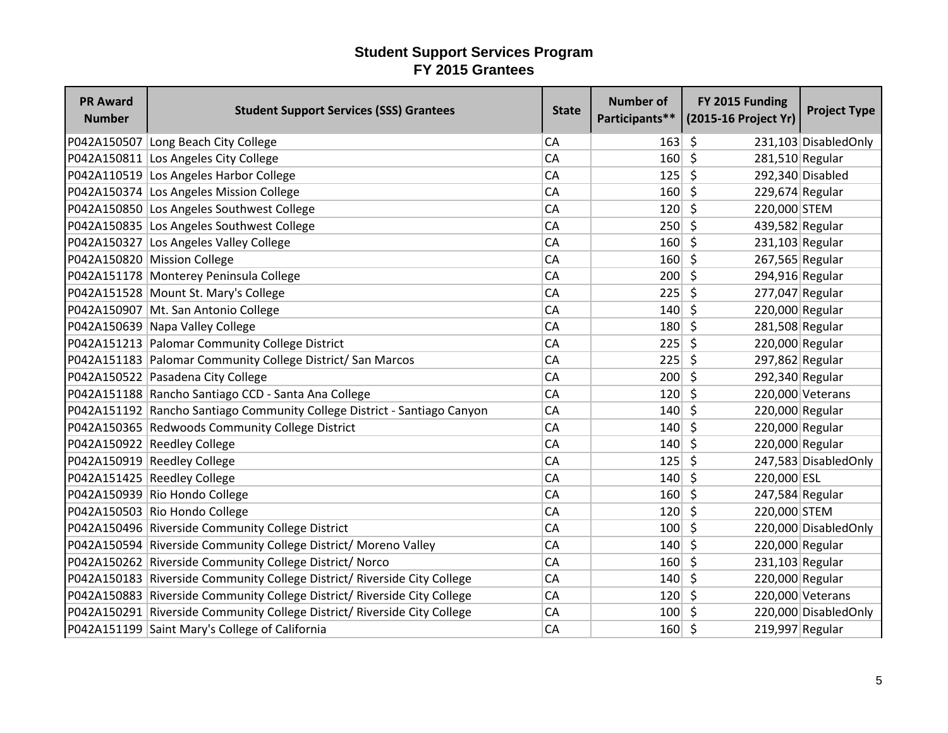| <b>PR Award</b><br><b>Number</b> | <b>Student Support Services (SSS) Grantees</b>                           | <b>State</b> | <b>Number of</b> | FY 2015 Funding<br>Participants** (2015-16 Project Yr) | <b>Project Type</b>   |
|----------------------------------|--------------------------------------------------------------------------|--------------|------------------|--------------------------------------------------------|-----------------------|
|                                  | P042A150507 Long Beach City College                                      | <b>CA</b>    | 163              | \$                                                     | 231,103 DisabledOnly  |
|                                  | P042A150811 Los Angeles City College                                     | CA           | 160              | $\zeta$<br>281,510 Regular                             |                       |
|                                  | P042A110519 Los Angeles Harbor College                                   | CA           | 125              | $\mathsf{\hat{S}}$                                     | 292,340 Disabled      |
|                                  | P042A150374 Los Angeles Mission College                                  | CA           | 160              | -Ś<br>229,674 Regular                                  |                       |
|                                  | P042A150850 Los Angeles Southwest College                                | CA           | 120              | Ŝ.<br>220,000 STEM                                     |                       |
|                                  | P042A150835 Los Angeles Southwest College                                | CA           | 250              | $\mathsf{\hat{S}}$<br>439,582 Regular                  |                       |
|                                  | P042A150327 Los Angeles Valley College                                   | CA           | 160              | S.<br>$231,103$ Regular                                |                       |
|                                  | P042A150820 Mission College                                              | CA           | 160              | S.<br>267,565 Regular                                  |                       |
|                                  | P042A151178 Monterey Peninsula College                                   | <b>CA</b>    | $200 \mid 5$     | 294,916 Regular                                        |                       |
|                                  | P042A151528 Mount St. Mary's College                                     | <b>CA</b>    | 225              | $\zeta$<br>277,047 Regular                             |                       |
|                                  | P042A150907 Mt. San Antonio College                                      | <b>CA</b>    | 140              | \$<br>220,000 Regular                                  |                       |
|                                  | P042A150639 Napa Valley College                                          | <b>CA</b>    | 180              | \$<br>281,508 Regular                                  |                       |
|                                  | P042A151213 Palomar Community College District                           | <b>CA</b>    | 225              | $\zeta$<br>220,000 Regular                             |                       |
|                                  | P042A151183 Palomar Community College District/ San Marcos               | <b>CA</b>    | 225              | $\zeta$<br>297,862 Regular                             |                       |
|                                  | P042A150522 Pasadena City College                                        | CA           | 200              | $\zeta$<br>292,340 Regular                             |                       |
|                                  | P042A151188 Rancho Santiago CCD - Santa Ana College                      | CA           | 120              | $\zeta$                                                | 220,000 Veterans      |
|                                  | P042A151192 Rancho Santiago Community College District - Santiago Canyon | <b>CA</b>    | 140              | $\zeta$<br>220,000 Regular                             |                       |
|                                  | P042A150365 Redwoods Community College District                          | <b>CA</b>    | 140              | \$<br>220,000 Regular                                  |                       |
|                                  | P042A150922 Reedley College                                              | <b>CA</b>    | 140              | 220,000 Regular<br>Ŝ.                                  |                       |
|                                  | P042A150919 Reedley College                                              | <b>CA</b>    | 125              | \$                                                     | 247,583 DisabledOnly  |
|                                  | P042A151425 Reedley College                                              | <b>CA</b>    | 140              | $\zeta$<br>220,000 ESL                                 |                       |
|                                  | P042A150939 Rio Hondo College                                            | CA           | 160              | $\zeta$<br>247,584 Regular                             |                       |
|                                  | P042A150503 Rio Hondo College                                            | CA           | 120              | \$<br>220,000 STEM                                     |                       |
|                                  | P042A150496 Riverside Community College District                         | CA           | 100              | $\zeta$                                                | 220,000 DisabledOnly  |
|                                  | P042A150594 Riverside Community College District/ Moreno Valley          | CA           | 140              | \$<br>220,000 Regular                                  |                       |
|                                  | P042A150262 Riverside Community College District/ Norco                  | <b>CA</b>    | 160              | $231,103$ Regular<br>\$                                |                       |
|                                  | P042A150183 Riverside Community College District/ Riverside City College | <b>CA</b>    | 140              | \$<br>220,000 Regular                                  |                       |
|                                  | P042A150883 Riverside Community College District/ Riverside City College | <b>CA</b>    | $120 \mid 5$     |                                                        | 220,000 Veterans      |
|                                  | P042A150291 Riverside Community College District/ Riverside City College | <b>CA</b>    | 100              | -\$                                                    | 220,000 Disabled Only |
|                                  | P042A151199 Saint Mary's College of California                           | CA           | $160 \mid 5$     | 219,997 Regular                                        |                       |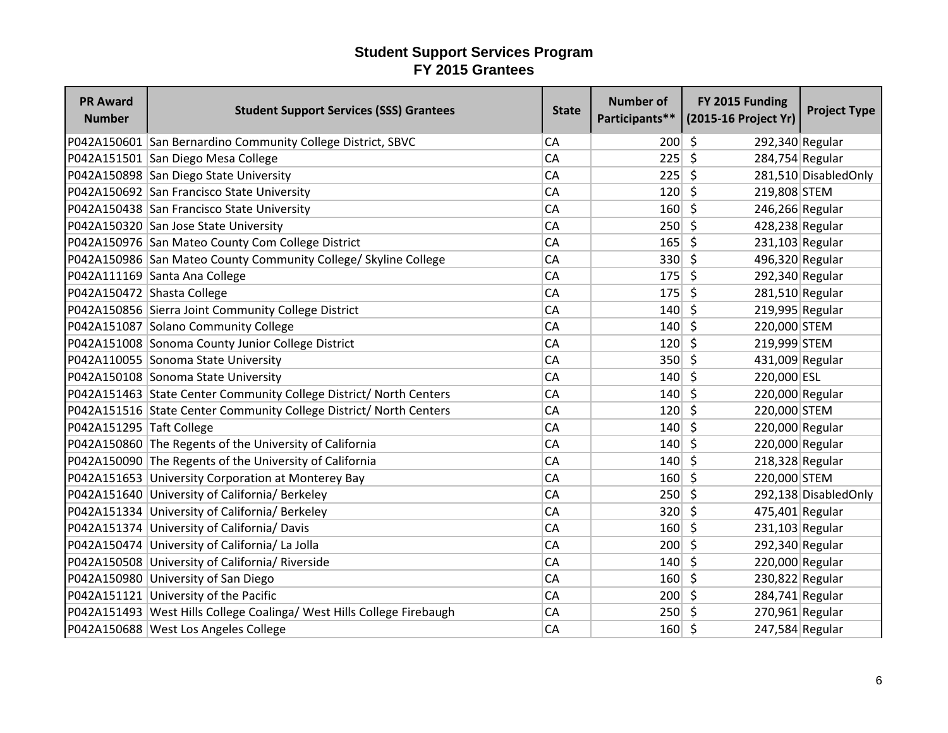| <b>PR Award</b><br><b>Number</b> | <b>Student Support Services (SSS) Grantees</b>                          | <b>State</b> | <b>Number of</b> | FY 2015 Funding<br>Participants** (2015-16 Project Yr) | <b>Project Type</b>   |
|----------------------------------|-------------------------------------------------------------------------|--------------|------------------|--------------------------------------------------------|-----------------------|
|                                  | P042A150601 San Bernardino Community College District, SBVC             | <b>CA</b>    | 200              | $\zeta$<br>292,340 Regular                             |                       |
|                                  | P042A151501 San Diego Mesa College                                      | CA           | $225$ \$         | 284,754 Regular                                        |                       |
|                                  | P042A150898 San Diego State University                                  | CA           | 225              | $\zeta$                                                | 281,510 Disabled Only |
|                                  | P042A150692 San Francisco State University                              | CA           | $120 \mid 5$     | 219,808 STEM                                           |                       |
|                                  | P042A150438 San Francisco State University                              | CA           | 160              | $\zeta$<br>246,266 Regular                             |                       |
|                                  | P042A150320 San Jose State University                                   | CA           | $250 \mid 5$     | 428,238 Regular                                        |                       |
|                                  | P042A150976 San Mateo County Com College District                       | CA           | $165$ \$         | $231,103$ Regular                                      |                       |
|                                  | P042A150986 San Mateo County Community College/ Skyline College         | <b>CA</b>    | $330 \mid 5$     | 496,320 Regular                                        |                       |
|                                  | P042A111169 Santa Ana College                                           | <b>CA</b>    | $175 \mid 5$     | 292,340 Regular                                        |                       |
| P042A150472 Shasta College       |                                                                         | <b>CA</b>    | 175              | \$<br>281,510 Regular                                  |                       |
|                                  | P042A150856 Sierra Joint Community College District                     | <b>CA</b>    | 140              | $\zeta$<br>219,995 Regular                             |                       |
|                                  | P042A151087 Solano Community College                                    | <b>CA</b>    | $140 \mid 5$     | 220,000 STEM                                           |                       |
|                                  | P042A151008 Sonoma County Junior College District                       | <b>CA</b>    | $120 \mid 5$     | 219,999 STEM                                           |                       |
|                                  | P042A110055 Sonoma State University                                     | CA           | $350 \mid 5$     | 431,009 Regular                                        |                       |
|                                  | P042A150108 Sonoma State University                                     | CA           | $140 \mid 5$     | 220,000 ESL                                            |                       |
|                                  | P042A151463 State Center Community College District/ North Centers      | CA           | 140              | $\zeta$<br>220,000 Regular                             |                       |
|                                  | P042A151516 State Center Community College District/ North Centers      | <b>CA</b>    | 120              | $\zeta$<br>220,000 STEM                                |                       |
| P042A151295 Taft College         |                                                                         | <b>CA</b>    | 140              | Ŝ.<br>220,000 Regular                                  |                       |
|                                  | P042A150860 The Regents of the University of California                 | <b>CA</b>    | 140              | 220,000 Regular<br>$\zeta$                             |                       |
|                                  | P042A150090 The Regents of the University of California                 | <b>CA</b>    | $140 \mid 5$     | 218,328 Regular                                        |                       |
|                                  | P042A151653 University Corporation at Monterey Bay                      | <b>CA</b>    | $160 \mid 5$     | 220,000 STEM                                           |                       |
|                                  | P042A151640 University of California/ Berkeley                          | CA           | $250 \mid 5$     |                                                        | 292,138 Disabled Only |
|                                  | P042A151334 University of California/ Berkeley                          | CA           | $320 \mid 5$     | 475,401 Regular                                        |                       |
|                                  | P042A151374 University of California/ Davis                             | CA           | $160$ \$         | $231,103$ Regular                                      |                       |
|                                  | P042A150474 University of California/ La Jolla                          | CA           | 200              | $\zeta$<br>292,340 Regular                             |                       |
|                                  | P042A150508 University of California/ Riverside                         | <b>CA</b>    | 140              | 220,000 Regular<br>S.                                  |                       |
|                                  | P042A150980 University of San Diego                                     | CA           | $160 $ \$        | 230,822 Regular                                        |                       |
|                                  | P042A151121 University of the Pacific                                   | <b>CA</b>    | $200 \mid 5$     | 284,741 Regular                                        |                       |
|                                  | P042A151493   West Hills College Coalinga/ West Hills College Firebaugh | <b>CA</b>    | $250 \mid 5$     | $270,961$ Regular                                      |                       |
|                                  | P042A150688 West Los Angeles College                                    | CA           | $160 \mid 5$     | 247,584 Regular                                        |                       |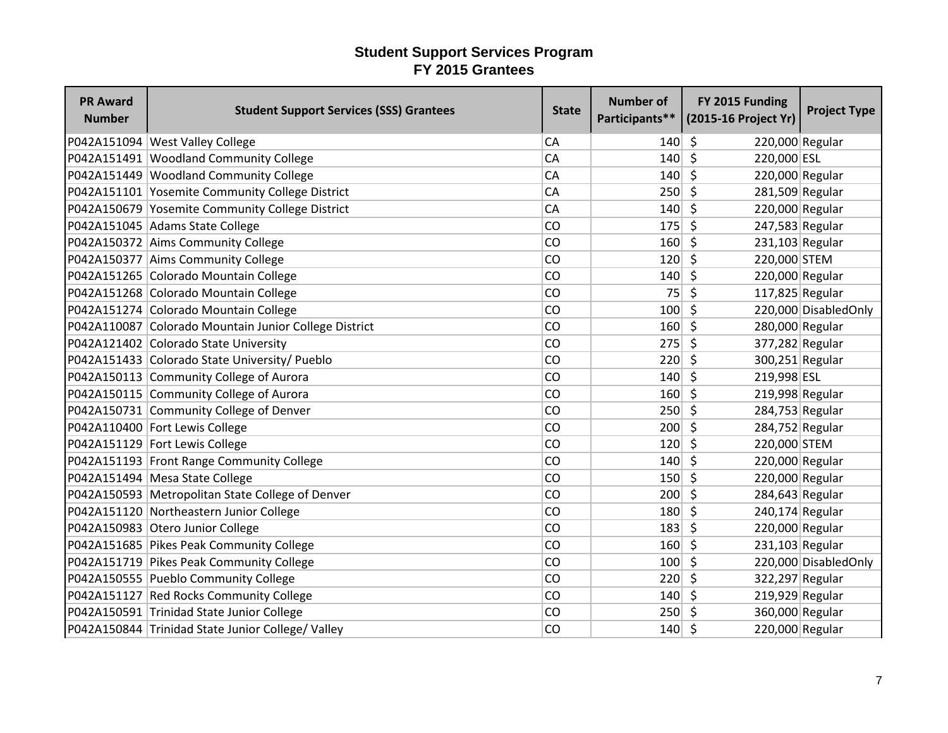| <b>PR Award</b><br><b>Number</b> | <b>Student Support Services (SSS) Grantees</b>        | <b>State</b> | <b>Number of</b> | FY 2015 Funding<br>Participants** (2015-16 Project Yr) | <b>Project Type</b>   |
|----------------------------------|-------------------------------------------------------|--------------|------------------|--------------------------------------------------------|-----------------------|
|                                  | P042A151094 West Valley College                       | CA           | 140              | Ŝ.<br>220,000 Regular                                  |                       |
|                                  | P042A151491 Woodland Community College                | CA           | 140              | $\zeta$<br>220,000 ESL                                 |                       |
|                                  | P042A151449 Woodland Community College                | CA           | 140              | $\zeta$<br>220,000 Regular                             |                       |
|                                  | P042A151101 Yosemite Community College District       | <b>CA</b>    | 250              | \$<br>281,509 Regular                                  |                       |
|                                  | P042A150679 Yosemite Community College District       | <b>CA</b>    | 140              | \$<br>220,000 Regular                                  |                       |
|                                  | P042A151045 Adams State College                       | CO           | 175              | $\zeta$<br>247,583 Regular                             |                       |
|                                  | P042A150372 Aims Community College                    | CO           | 160              | $\zeta$<br>231,103 Regular                             |                       |
|                                  | P042A150377 Aims Community College                    | CO           | 120              | $\mathsf{\hat{S}}$<br>220,000 STEM                     |                       |
|                                  | P042A151265 Colorado Mountain College                 | CO           | 140              | \$<br>220,000 Regular                                  |                       |
|                                  | P042A151268 Colorado Mountain College                 | CO           | 75               | \$<br>117,825 Regular                                  |                       |
|                                  | P042A151274 Colorado Mountain College                 | CO           | 100              | \$                                                     | 220,000 DisabledOnly  |
|                                  | P042A110087 Colorado Mountain Junior College District | CO           | 160              | 280,000 Regular<br>\$                                  |                       |
|                                  | P042A121402 Colorado State University                 | CO           | 275              | $\zeta$<br>377,282 Regular                             |                       |
|                                  | P042A151433 Colorado State University/ Pueblo         | CO           | 220              | S.<br>300,251 Regular                                  |                       |
|                                  | P042A150113 Community College of Aurora               | CO           | 140              | S.<br>219,998 ESL                                      |                       |
|                                  | P042A150115 Community College of Aurora               | CO           | 160              | S.<br>219,998 Regular                                  |                       |
|                                  | P042A150731 Community College of Denver               | CO           | 250              | $\zeta$<br>284,753 Regular                             |                       |
|                                  | P042A110400 Fort Lewis College                        | CO           | 200              | \$<br>284,752 Regular                                  |                       |
|                                  | P042A151129 Fort Lewis College                        | CO           | 120              | Ŝ.<br>220,000 STEM                                     |                       |
|                                  | P042A151193 Front Range Community College             | CO           | 140              | \$<br>220,000 Regular                                  |                       |
|                                  | P042A151494 Mesa State College                        | CO           | 150              | $\zeta$<br>220,000 Regular                             |                       |
|                                  | P042A150593 Metropolitan State College of Denver      | CO           | 200              | 284,643 Regular<br>S.                                  |                       |
|                                  | P042A151120 Northeastern Junior College               | CO           | 180              | 240,174 Regular<br>\$                                  |                       |
|                                  | P042A150983 Otero Junior College                      | CO           | 183              | $\zeta$<br>220,000 Regular                             |                       |
|                                  | P042A151685 Pikes Peak Community College              | CO           | 160              | $\zeta$<br>231,103 Regular                             |                       |
|                                  | P042A151719 Pikes Peak Community College              | CO           | 100              | \$                                                     | 220,000 Disabled Only |
|                                  | P042A150555 Pueblo Community College                  | CO           | 220              | $\zeta$<br>322,297 Regular                             |                       |
|                                  | P042A151127 Red Rocks Community College               | CO           | 140              | \$<br>219,929 Regular                                  |                       |
|                                  | P042A150591 Trinidad State Junior College             | CO           | 250              | 360,000 Regular<br>S.                                  |                       |
|                                  | P042A150844 Trinidad State Junior College/ Valley     | CO           | 140              | \$<br>220,000 Regular                                  |                       |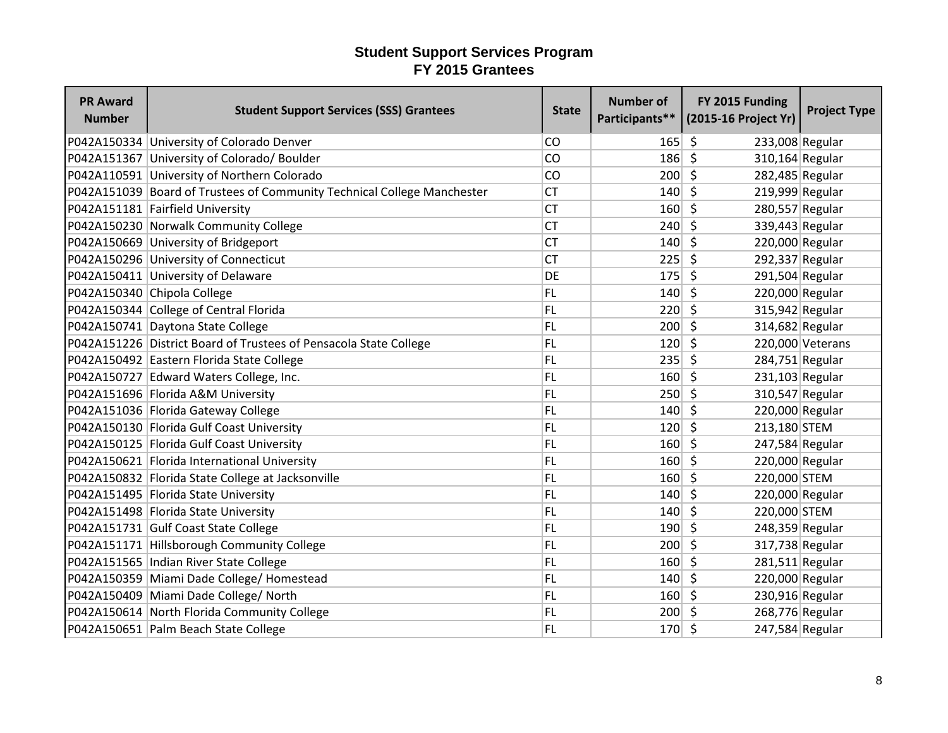| <b>PR Award</b><br><b>Number</b> | <b>Student Support Services (SSS) Grantees</b>                          | <b>State</b> | <b>Number of</b><br>Participants** | FY 2015 Funding<br>(2015-16 Project Yr) | <b>Project Type</b> |
|----------------------------------|-------------------------------------------------------------------------|--------------|------------------------------------|-----------------------------------------|---------------------|
|                                  | P042A150334 University of Colorado Denver                               | CO           | 165                                | 233,008 Regular<br>-S                   |                     |
|                                  | P042A151367 University of Colorado/ Boulder                             | CO           | 186                                | $\zeta$<br>310,164 Regular              |                     |
|                                  | P042A110591 University of Northern Colorado                             | <b>CO</b>    | 200                                | $\zeta$<br>282,485 Regular              |                     |
|                                  | P042A151039 Board of Trustees of Community Technical College Manchester | <b>CT</b>    | 140                                | Ŝ.<br>219,999 Regular                   |                     |
|                                  | P042A151181 Fairfield University                                        | <b>CT</b>    | 160                                | S.<br>280,557 Regular                   |                     |
|                                  | P042A150230 Norwalk Community College                                   | <b>CT</b>    | 240                                | $\zeta$<br>339,443 Regular              |                     |
|                                  | P042A150669 University of Bridgeport                                    | <b>CT</b>    | 140                                | S.<br>220,000 Regular                   |                     |
|                                  | P042A150296 University of Connecticut                                   | <b>CT</b>    | $225$ \$                           | 292,337 Regular                         |                     |
|                                  | P042A150411 University of Delaware                                      | <b>DE</b>    | 175                                | Ŝ.<br>291,504 Regular                   |                     |
|                                  | P042A150340 Chipola College                                             | <b>FL</b>    | 140                                | $\zeta$<br>220,000 Regular              |                     |
|                                  | P042A150344 College of Central Florida                                  | <b>FL</b>    | 220                                | \$<br>315,942 Regular                   |                     |
|                                  | P042A150741 Daytona State College                                       | <b>FL</b>    | 200                                | \$<br>314,682 Regular                   |                     |
|                                  | P042A151226 District Board of Trustees of Pensacola State College       | <b>FL</b>    | 120                                | \$                                      | 220,000 Veterans    |
|                                  | P042A150492 Eastern Florida State College                               | <b>FL</b>    | 235                                | $\mathsf{\hat{S}}$<br>284,751 Regular   |                     |
|                                  | P042A150727 Edward Waters College, Inc.                                 | <b>FL</b>    | 160                                | S.<br>231,103 Regular                   |                     |
|                                  | P042A151696 Florida A&M University                                      | <b>FL</b>    | 250                                | S.<br>310,547 Regular                   |                     |
|                                  | P042A151036 Florida Gateway College                                     | <b>FL</b>    | 140                                | $\zeta$<br>220,000 Regular              |                     |
|                                  | P042A150130 Florida Gulf Coast University                               | <b>FL</b>    | 120                                | \$<br>213,180 STEM                      |                     |
|                                  | P042A150125 Florida Gulf Coast University                               | <b>FL</b>    | 160                                | -Ś<br>247,584 Regular                   |                     |
|                                  | P042A150621 Florida International University                            | <b>FL</b>    | 160                                | \$<br>220,000 Regular                   |                     |
|                                  | P042A150832 Florida State College at Jacksonville                       | <b>FL</b>    | 160                                | $\zeta$<br>220,000 STEM                 |                     |
|                                  | P042A151495 Florida State University                                    | <b>FL</b>    | 140                                | Ŝ.<br>220,000 Regular                   |                     |
|                                  | P042A151498 Florida State University                                    | <b>FL</b>    | 140                                | 220,000 STEM<br>$\zeta$                 |                     |
|                                  | P042A151731 Gulf Coast State College                                    | <b>FL</b>    | 190                                | $\zeta$<br>248,359 Regular              |                     |
|                                  | P042A151171 Hillsborough Community College                              | <b>FL</b>    | 200                                | $\zeta$<br>317,738 Regular              |                     |
|                                  | P042A151565   Indian River State College                                | <b>FL</b>    | 160                                | $281,511$ Regular<br>\$                 |                     |
|                                  | P042A150359 Miami Dade College/ Homestead                               | <b>FL</b>    | 140                                | $\zeta$<br>220,000 Regular              |                     |
|                                  | P042A150409 Miami Dade College/ North                                   | <b>FL</b>    | 160                                | $\zeta$<br>230,916 Regular              |                     |
|                                  | P042A150614 North Florida Community College                             | <b>FL</b>    | 200                                | 268,776 Regular<br>5                    |                     |
|                                  | P042A150651 Palm Beach State College                                    | <b>FL</b>    | $170 \mid 5$                       | 247,584 Regular                         |                     |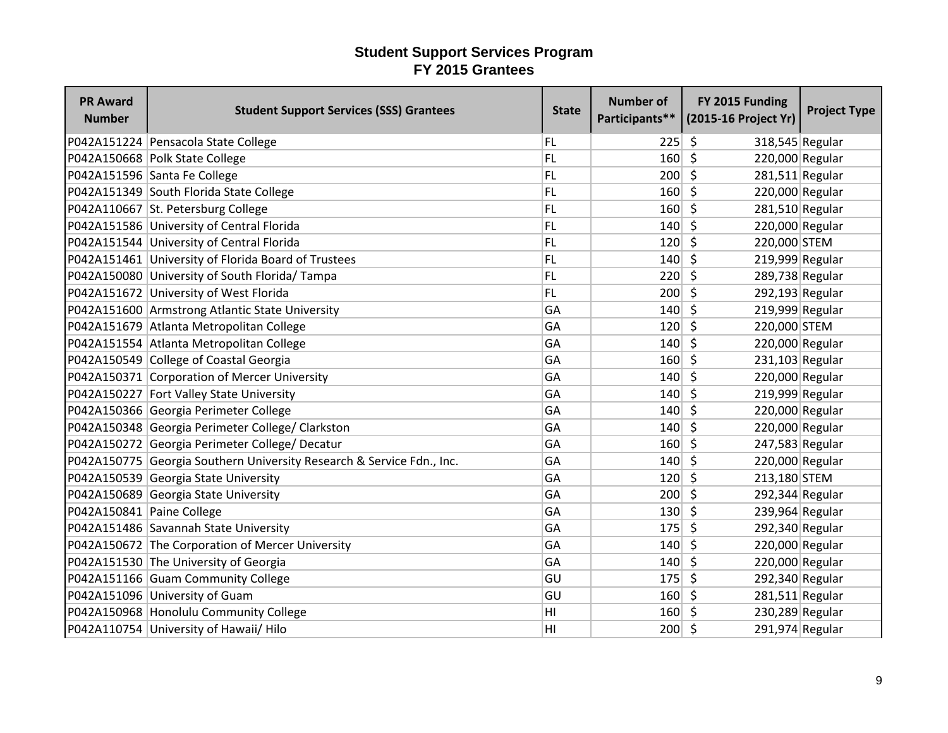| <b>PR Award</b><br><b>Number</b> | <b>Student Support Services (SSS) Grantees</b>                        | <b>State</b> | <b>Number of</b> | FY 2015 Funding<br>Participants** (2015-16 Project Yr) | <b>Project Type</b> |
|----------------------------------|-----------------------------------------------------------------------|--------------|------------------|--------------------------------------------------------|---------------------|
|                                  | P042A151224 Pensacola State College                                   | FL           | 225              | S.<br>318,545 Regular                                  |                     |
|                                  | P042A150668 Polk State College                                        | FL           | 160              | $\mathsf{\hat{S}}$<br>220,000 Regular                  |                     |
|                                  | P042A151596 Santa Fe College                                          | FL           | 200              | - \$<br>$281,511$ Regular                              |                     |
|                                  | P042A151349 South Florida State College                               | FL           | 160              | \$<br>220,000 Regular                                  |                     |
|                                  | P042A110667 St. Petersburg College                                    | FL           | 160              | -\$<br>281,510 Regular                                 |                     |
|                                  | P042A151586 University of Central Florida                             | FL           | 140              | -\$<br>220,000 Regular                                 |                     |
|                                  | P042A151544 University of Central Florida                             | FL           | $120 \mid 5$     | 220,000 STEM                                           |                     |
|                                  | P042A151461 University of Florida Board of Trustees                   | FL           | 140              | - Ś<br>219,999 Regular                                 |                     |
|                                  | P042A150080 University of South Florida/Tampa                         | FL           | 220              | S,<br>289,738 Regular                                  |                     |
|                                  | P042A151672 University of West Florida                                | FL           | 200              | $\zeta$<br>292,193 Regular                             |                     |
|                                  | P042A151600 Armstrong Atlantic State University                       | GA           | 140              | S.<br>219,999 Regular                                  |                     |
|                                  | P042A151679 Atlanta Metropolitan College                              | GA           | 120              | -\$<br>220,000 STEM                                    |                     |
|                                  | P042A151554 Atlanta Metropolitan College                              | GA           | 140              | -\$<br>220,000 Regular                                 |                     |
|                                  | P042A150549 College of Coastal Georgia                                | GA           | 160              | - \$<br>231,103 Regular                                |                     |
|                                  | P042A150371 Corporation of Mercer University                          | GA           | 140              | - \$<br>220,000 Regular                                |                     |
|                                  | P042A150227 Fort Valley State University                              | GA           | $140 \mid 5$     | 219,999 Regular                                        |                     |
|                                  | P042A150366 Georgia Perimeter College                                 | GA           | 140              | -\$<br>220,000 Regular                                 |                     |
|                                  | P042A150348 Georgia Perimeter College/ Clarkston                      | GA           | 140              | -Ś<br>220,000 Regular                                  |                     |
|                                  | P042A150272 Georgia Perimeter College/ Decatur                        | GA           | 160              | -Ś<br>247,583 Regular                                  |                     |
|                                  | P042A150775 Georgia Southern University Research & Service Fdn., Inc. | GA           | 140              | -\$<br>220,000 Regular                                 |                     |
|                                  | P042A150539 Georgia State University                                  | GA           | 120              | $\zeta$<br>213,180 STEM                                |                     |
|                                  | P042A150689 Georgia State University                                  | GA           | 200              | -\$<br>292,344 Regular                                 |                     |
| P042A150841 Paine College        |                                                                       | GA           | 130              | 239,964 Regular<br>- \$                                |                     |
|                                  | P042A151486 Savannah State University                                 | GA           | 175              | \$<br>292,340 Regular                                  |                     |
|                                  | P042A150672 The Corporation of Mercer University                      | GA           | 140              | -\$<br>220,000 Regular                                 |                     |
|                                  | P042A151530 The University of Georgia                                 | GA           | 140              | 220,000 Regular<br>-\$                                 |                     |
|                                  | P042A151166 Guam Community College                                    | GU           | 175              | \$<br>292,340 Regular                                  |                     |
|                                  | P042A151096 University of Guam                                        | GU           | 160              | $\zeta$<br>$281,511$ Regular                           |                     |
|                                  | P042A150968 Honolulu Community College                                | HI           | $160 \mid 5$     | 230,289 Regular                                        |                     |
|                                  | P042A110754 University of Hawaii/ Hilo                                | ΗI           | 200              | -\$<br>291,974 Regular                                 |                     |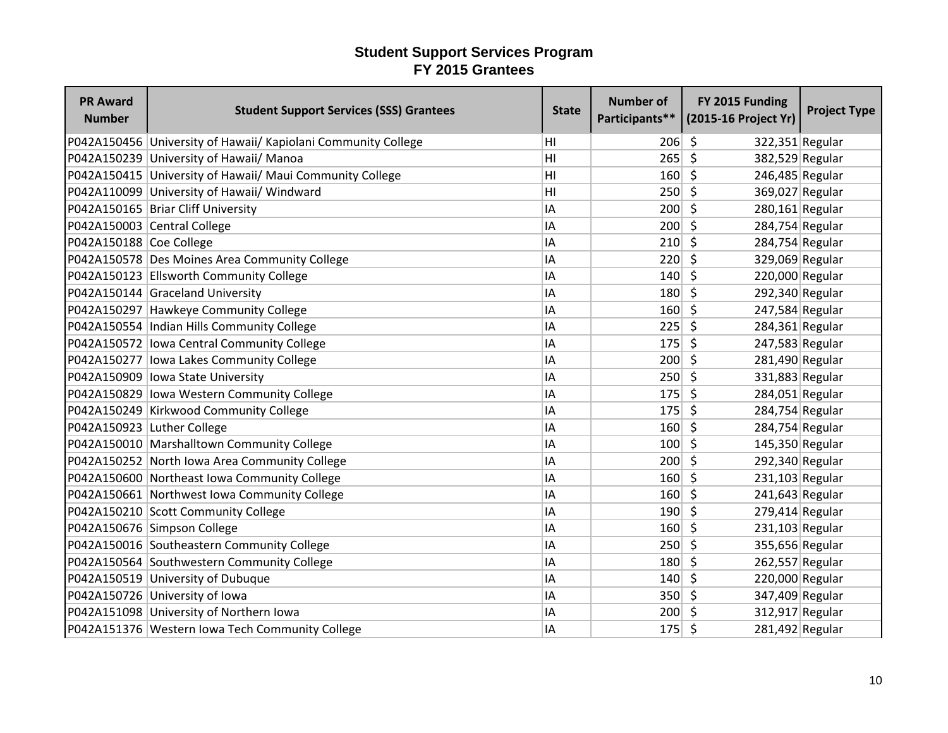| <b>PR Award</b><br><b>Number</b> | <b>Student Support Services (SSS) Grantees</b>                | <b>State</b>   | <b>Number of</b> | FY 2015 Funding<br>Participants** (2015-16 Project Yr) | <b>Project Type</b> |
|----------------------------------|---------------------------------------------------------------|----------------|------------------|--------------------------------------------------------|---------------------|
|                                  | P042A150456 University of Hawaii/ Kapiolani Community College | HI             | 206              | -\$<br>322,351 Regular                                 |                     |
|                                  | P042A150239 University of Hawaii/ Manoa                       | H <sub>l</sub> | 265              | $\zeta$<br>382,529 Regular                             |                     |
|                                  | P042A150415 University of Hawaii/ Maui Community College      | H <sub>l</sub> | 160              | $\zeta$<br>246,485 Regular                             |                     |
|                                  | P042A110099 University of Hawaii/ Windward                    | H <sub>l</sub> | 250              | $\zeta$<br>369,027 Regular                             |                     |
|                                  | P042A150165 Briar Cliff University                            | IA             | 200              | S.<br>$280,161$ Regular                                |                     |
|                                  | P042A150003 Central College                                   | IA             | 200              | $\zeta$<br>284,754 Regular                             |                     |
| P042A150188 Coe College          |                                                               | IA             | 210              | $\zeta$<br>284,754 Regular                             |                     |
|                                  | P042A150578 Des Moines Area Community College                 | IA             | 220              | Ŝ.<br>329,069 Regular                                  |                     |
|                                  | P042A150123 Ellsworth Community College                       | IA             | 140              | Ŝ.<br>220,000 Regular                                  |                     |
|                                  | P042A150144 Graceland University                              | IA             | 180              | $\zeta$<br>292,340 Regular                             |                     |
|                                  | P042A150297 Hawkeye Community College                         | IA             | 160              | \$<br>247,584 Regular                                  |                     |
|                                  | P042A150554   Indian Hills Community College                  | IA             | 225              | -Ś<br>284,361 Regular                                  |                     |
|                                  | P042A150572 lowa Central Community College                    | IA             | 175              | $\zeta$<br>247,583 Regular                             |                     |
|                                  | P042A150277 lowa Lakes Community College                      | IA             | 200              | $\mathsf{\hat{S}}$<br>281,490 Regular                  |                     |
|                                  | P042A150909 lowa State University                             | IA             | 250              | 331,883 Regular<br>$\zeta$                             |                     |
|                                  | P042A150829 lowa Western Community College                    | IA             | 175              | 284,051 Regular<br>Ŝ.                                  |                     |
|                                  | P042A150249 Kirkwood Community College                        | IA             | 175              | $\zeta$<br>284,754 Regular                             |                     |
| P042A150923 Luther College       |                                                               | IA             | 160              | \$<br>284,754 Regular                                  |                     |
|                                  | P042A150010 Marshalltown Community College                    | IA             | 100              | Ŝ.<br>145,350 Regular                                  |                     |
|                                  | P042A150252 North Iowa Area Community College                 | IA             | 200              | Ŝ.<br>292,340 Regular                                  |                     |
|                                  | P042A150600 Northeast Iowa Community College                  | IA             | 160              | $\zeta$<br>231,103 Regular                             |                     |
|                                  | P042A150661 Northwest Iowa Community College                  | IA             | 160              | $241,643$ Regular<br>Ŝ.                                |                     |
|                                  | P042A150210 Scott Community College                           | IA             | 190              | S.<br>$279,414$ Regular                                |                     |
|                                  | P042A150676 Simpson College                                   | IA             | 160              | $\zeta$<br>$231,103$ Regular                           |                     |
|                                  | P042A150016 Southeastern Community College                    | IA             | 250              | $\zeta$<br>355,656 Regular                             |                     |
|                                  | P042A150564 Southwestern Community College                    | IA             | 180              | \$<br>262,557 Regular                                  |                     |
|                                  | P042A150519 University of Dubuque                             | IA             | 140              | \$<br>220,000 Regular                                  |                     |
|                                  | P042A150726 University of Iowa                                | IA             | 350              | $\zeta$<br>347,409 Regular                             |                     |
|                                  | P042A151098 University of Northern Iowa                       | IA             | 200              | 312,917 Regular<br>$\zeta$                             |                     |
|                                  | P042A151376 Western Iowa Tech Community College               | IA             | $175$ \$         | 281,492 Regular                                        |                     |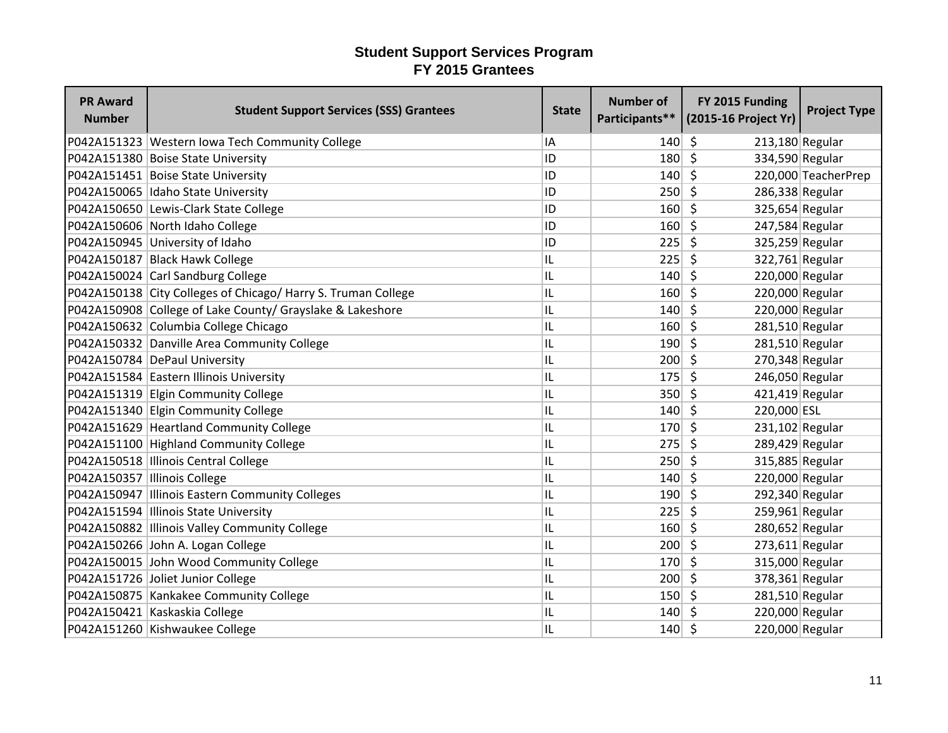| <b>PR Award</b><br><b>Number</b> | <b>Student Support Services (SSS) Grantees</b>                | <b>State</b> | <b>Number of</b> | FY 2015 Funding<br>Participants** (2015-16 Project Yr) | <b>Project Type</b> |
|----------------------------------|---------------------------------------------------------------|--------------|------------------|--------------------------------------------------------|---------------------|
|                                  | P042A151323 Western Iowa Tech Community College               | IA           | 140              | Ŝ.<br>213,180 Regular                                  |                     |
|                                  | P042A151380 Boise State University                            | ID           | 180              | $\zeta$<br>334,590 Regular                             |                     |
|                                  | P042A151451 Boise State University                            | ID           | 140              | $\mathsf{\hat{S}}$                                     | 220,000 TeacherPrep |
|                                  | P042A150065 Idaho State University                            | ID           | 250              | \$<br>286,338 Regular                                  |                     |
|                                  | P042A150650 Lewis-Clark State College                         | ID           | 160              | Ŝ.<br>325,654 Regular                                  |                     |
|                                  | P042A150606 North Idaho College                               | ID           | 160              | $\zeta$<br>247,584 Regular                             |                     |
|                                  | P042A150945 University of Idaho                               | ID           | 225              | S.<br>325,259 Regular                                  |                     |
|                                  | P042A150187 Black Hawk College                                | IL           | 225              | -Ś<br>322,761 Regular                                  |                     |
|                                  | P042A150024 Carl Sandburg College                             | IL           | 140              | \$<br>220,000 Regular                                  |                     |
|                                  | P042A150138 City Colleges of Chicago/ Harry S. Truman College | IL           | 160              | $\zeta$<br>220,000 Regular                             |                     |
|                                  | P042A150908 College of Lake County/ Grayslake & Lakeshore     | IL           | 140              | \$<br>220,000 Regular                                  |                     |
|                                  | P042A150632 Columbia College Chicago                          | IL           | 160              | 281,510 Regular<br>S.                                  |                     |
|                                  | P042A150332 Danville Area Community College                   | IL           | 190              | $\mathsf{\hat{S}}$<br>281,510 Regular                  |                     |
|                                  | P042A150784 DePaul University                                 | IL           | 200              | S.<br>270,348 Regular                                  |                     |
|                                  | P042A151584 Eastern Illinois University                       | IL           | 175              | Ŝ.<br>246,050 Regular                                  |                     |
|                                  | P042A151319 Elgin Community College                           | IL           | 350              | S.<br>421,419 Regular                                  |                     |
|                                  | P042A151340 Elgin Community College                           | IL           | 140              | $\zeta$<br>220,000 ESL                                 |                     |
|                                  | P042A151629 Heartland Community College                       | IL           | 170              | \$<br>$231,102$ Regular                                |                     |
|                                  | P042A151100 Highland Community College                        | IL           | 275              | Ŝ.<br>289,429 Regular                                  |                     |
|                                  | P042A150518  Illinois Central College                         | IL           | 250              | \$<br>315,885 Regular                                  |                     |
| P042A150357  Illinois College    |                                                               | IL           | 140              | $\zeta$<br>220,000 Regular                             |                     |
|                                  | P042A150947   Illinois Eastern Community Colleges             | IL           | 190              | 292,340 Regular<br>-\$                                 |                     |
|                                  | P042A151594 Illinois State University                         | IL           | 225              | 259,961 Regular<br>Ŝ.                                  |                     |
|                                  | P042A150882 Illinois Valley Community College                 | IL           | 160              | $\zeta$<br>280,652 Regular                             |                     |
|                                  | P042A150266 John A. Logan College                             | IL           | 200              | $\zeta$<br>$273,611$ Regular                           |                     |
|                                  | P042A150015 John Wood Community College                       | IL           | 170              | 315,000 Regular<br>\$                                  |                     |
|                                  | P042A151726 Joliet Junior College                             | IL           | 200              | Ŝ.<br>378,361 Regular                                  |                     |
|                                  | P042A150875 Kankakee Community College                        | IL           | 150              | $\zeta$<br>281,510 Regular                             |                     |
|                                  | P042A150421 Kaskaskia College                                 | IL           | 140              | 220,000 Regular<br>\$                                  |                     |
|                                  | P042A151260 Kishwaukee College                                | IL           | 140              | \$<br>220,000 Regular                                  |                     |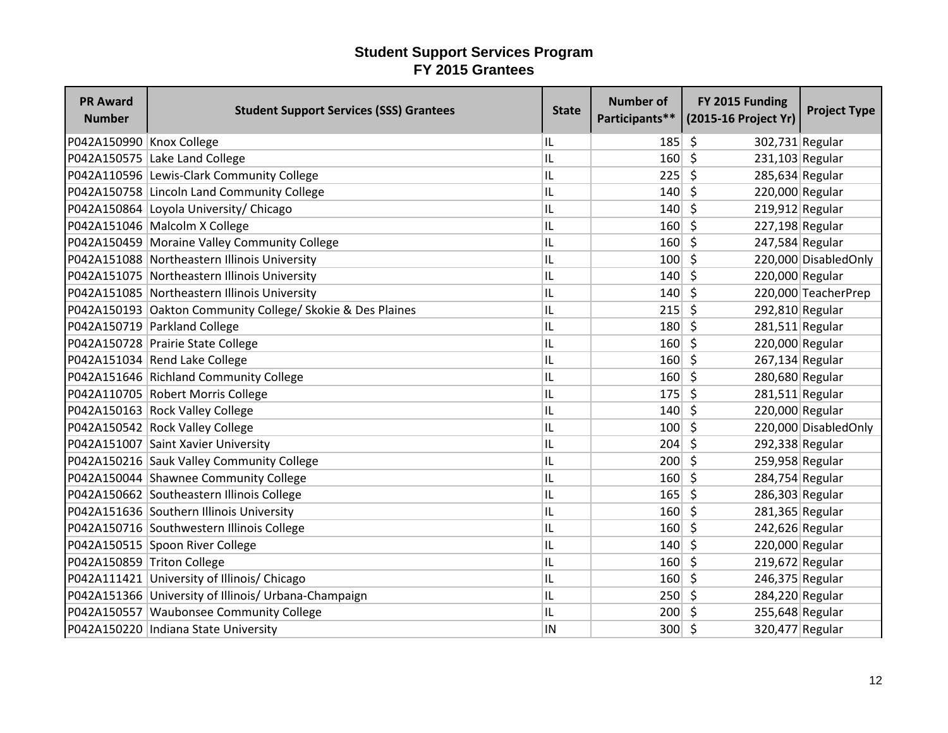| <b>PR Award</b><br><b>Number</b> | <b>Student Support Services (SSS) Grantees</b>             | <b>State</b> | <b>Number of</b> | FY 2015 Funding<br>Participants** (2015-16 Project Yr) | <b>Project Type</b>  |
|----------------------------------|------------------------------------------------------------|--------------|------------------|--------------------------------------------------------|----------------------|
| P042A150990 Knox College         |                                                            | IL           | 185              | -S<br>302,731 Regular                                  |                      |
|                                  | P042A150575 Lake Land College                              | IL           | 160              | $\zeta$<br>$231,103$ Regular                           |                      |
|                                  | P042A110596 Lewis-Clark Community College                  | IL           | 225              | Ŝ.<br>285,634 Regular                                  |                      |
|                                  | P042A150758 Lincoln Land Community College                 | IL           | 140              | \$<br>220,000 Regular                                  |                      |
|                                  | P042A150864 Loyola University/ Chicago                     | IL           | 140              | Ŝ.<br>$219,912$ Regular                                |                      |
|                                  | P042A151046 Malcolm X College                              | IL           | 160              | \$<br>227,198 Regular                                  |                      |
|                                  | P042A150459 Moraine Valley Community College               | IL           | 160              | Ŝ.<br>247,584 Regular                                  |                      |
|                                  | P042A151088 Northeastern Illinois University               | IL           | 100              | Š.                                                     | 220,000 DisabledOnly |
|                                  | P042A151075 Northeastern Illinois University               | IL           | 140              | $\zeta$<br>220,000 Regular                             |                      |
|                                  | P042A151085 Northeastern Illinois University               | IL           | 140              | $\zeta$                                                | 220,000 TeacherPrep  |
|                                  | P042A150193 Oakton Community College/ Skokie & Des Plaines | IL           | 215              | \$<br>292,810 Regular                                  |                      |
|                                  | P042A150719 Parkland College                               | IL           | 180              | $281,511$ Regular<br>-S                                |                      |
|                                  | P042A150728 Prairie State College                          | IL           | 160              | $\zeta$<br>220,000 Regular                             |                      |
|                                  | P042A151034 Rend Lake College                              | IL           | 160              | -\$<br>267,134 Regular                                 |                      |
|                                  | P042A151646 Richland Community College                     | IL           | 160              | Ŝ.<br>280,680 Regular                                  |                      |
|                                  | P042A110705 Robert Morris College                          | IL           | 175              | \$<br>$281,511$ Regular                                |                      |
|                                  | P042A150163 Rock Valley College                            | IL           | 140              | $\zeta$<br>220,000 Regular                             |                      |
|                                  | P042A150542 Rock Valley College                            | IL           | 100              | $\zeta$                                                | 220,000 DisabledOnly |
|                                  | P042A151007 Saint Xavier University                        | IL           | 204              | 292,338 Regular<br>S.                                  |                      |
|                                  | P042A150216 Sauk Valley Community College                  | IL           | 200              | $\zeta$<br>259,958 Regular                             |                      |
|                                  | P042A150044 Shawnee Community College                      | IL           | 160              | S,<br>284,754 Regular                                  |                      |
|                                  | P042A150662 Southeastern Illinois College                  | IL           | 165              | 286,303 Regular<br>S.                                  |                      |
|                                  | P042A151636 Southern Illinois University                   | IL           | 160              | Ŝ.<br>281,365 Regular                                  |                      |
|                                  | P042A150716 Southwestern Illinois College                  | IL           | 160              | $\zeta$<br>242,626 Regular                             |                      |
|                                  | P042A150515 Spoon River College                            | IL           | 140              | $\zeta$<br>220,000 Regular                             |                      |
| P042A150859 Triton College       |                                                            | IL           | 160              | \$<br>219,672 Regular                                  |                      |
|                                  | P042A111421 University of Illinois/ Chicago                | IL           | 160              | $\zeta$<br>246,375 Regular                             |                      |
|                                  | P042A151366 University of Illinois/ Urbana-Champaign       | IL           | 250              | Ŝ.<br>284,220 Regular                                  |                      |
|                                  | P042A150557 Waubonsee Community College                    | IL           | 200              | 255,648 Regular<br>Ŝ.                                  |                      |
|                                  | P042A150220  Indiana State University                      | ΙN           | 300              | \$<br>320,477 Regular                                  |                      |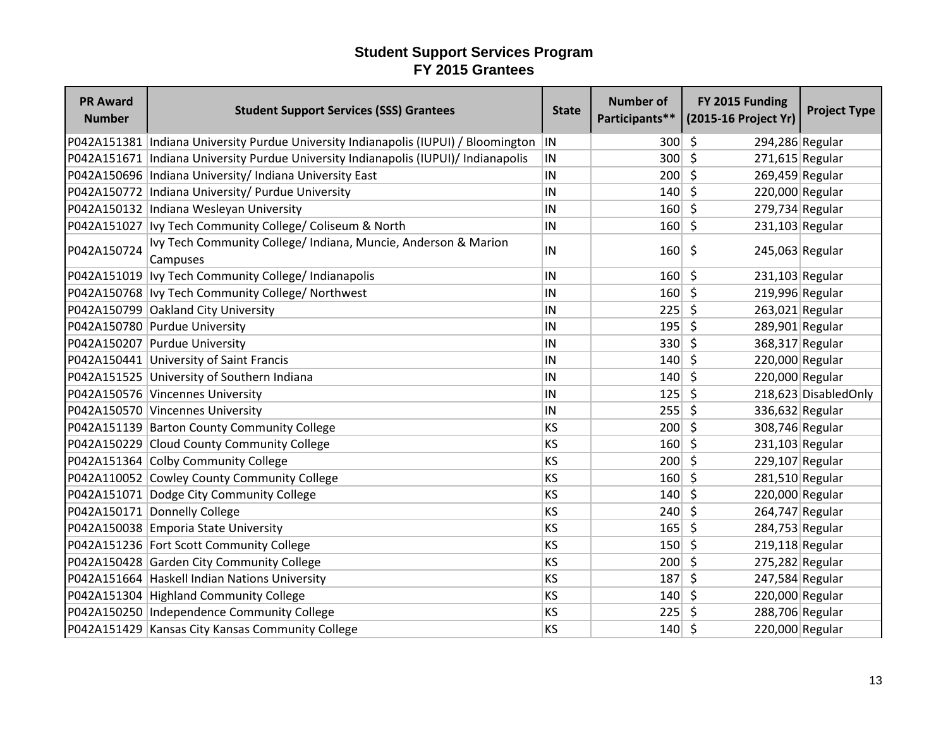| <b>PR Award</b><br><b>Number</b> | <b>Student Support Services (SSS) Grantees</b>                                        | <b>State</b> | <b>Number of</b> | FY 2015 Funding<br>Participants** (2015-16 Project Yr) | <b>Project Type</b>  |
|----------------------------------|---------------------------------------------------------------------------------------|--------------|------------------|--------------------------------------------------------|----------------------|
|                                  | P042A151381   Indiana University Purdue University Indianapolis (IUPUI) / Bloomington | IN           | 300              | -\$<br>294,286 Regular                                 |                      |
|                                  | P042A151671   Indiana University Purdue University Indianapolis (IUPUI)/ Indianapolis | IN           | 300              | $\zeta$<br>$271,615$ Regular                           |                      |
|                                  | P042A150696   Indiana University / Indiana University East                            | IN           | 200              | $\zeta$<br>269,459 Regular                             |                      |
|                                  | P042A150772 Indiana University/ Purdue University                                     | IN           | 140              | 220,000 Regular<br>Ŝ.                                  |                      |
|                                  | P042A150132  Indiana Wesleyan University                                              | IN           | 160              | $\zeta$<br>279,734 Regular                             |                      |
|                                  | P042A151027   Ivy Tech Community College/ Coliseum & North                            | IN           | 160              | \$<br>$231,103$ Regular                                |                      |
| P042A150724                      | Ivy Tech Community College/ Indiana, Muncie, Anderson & Marion<br>Campuses            | IN           | 160              | \$<br>$245,063$ Regular                                |                      |
|                                  | P042A151019   Ivy Tech Community College/ Indianapolis                                | IN           | 160              | Ŝ.<br>$231,103$ Regular                                |                      |
|                                  | P042A150768   Ivy Tech Community College/ Northwest                                   | IN           | 160              | $\zeta$<br>219,996 Regular                             |                      |
|                                  | P042A150799 Oakland City University                                                   | IN           | 225              | 263,021 Regular<br>-S                                  |                      |
|                                  | P042A150780 Purdue University                                                         | IN           | 195              | \$<br>289,901 Regular                                  |                      |
|                                  | P042A150207 Purdue University                                                         | IN           | 330              | \$<br>368,317 Regular                                  |                      |
|                                  | P042A150441 University of Saint Francis                                               | IN           | 140              | 220,000 Regular<br>-\$                                 |                      |
|                                  | P042A151525 University of Southern Indiana                                            | IN           | 140              | 220,000 Regular<br>-Ś                                  |                      |
|                                  | P042A150576 Vincennes University                                                      | IN           | 125              | \$                                                     | 218,623 DisabledOnly |
|                                  | P042A150570 Vincennes University                                                      | IN           | 255              | \$<br>336,632 Regular                                  |                      |
|                                  | P042A151139 Barton County Community College                                           | KS           | 200              | 308,746 Regular<br>\$.                                 |                      |
|                                  | P042A150229 Cloud County Community College                                            | KS           | 160              | $231,103$ Regular<br>Ŝ.                                |                      |
|                                  | P042A151364 Colby Community College                                                   | KS           | 200              | $\zeta$<br>229,107 Regular                             |                      |
|                                  | P042A110052 Cowley County Community College                                           | KS           | 160              | -\$<br>281,510 Regular                                 |                      |
|                                  | P042A151071 Dodge City Community College                                              | <b>KS</b>    | 140              | 220,000 Regular<br>5                                   |                      |
|                                  | P042A150171 Donnelly College                                                          | KS           | 240              | \$<br>264,747 Regular                                  |                      |
|                                  | P042A150038 Emporia State University                                                  | KS           | 165              | \$<br>284,753 Regular                                  |                      |
|                                  | P042A151236 Fort Scott Community College                                              | KS           | 150              | \$<br>$219,118$ Regular                                |                      |
|                                  | P042A150428 Garden City Community College                                             | KS           | 200              | Ŝ.<br>275,282 Regular                                  |                      |
|                                  | P042A151664 Haskell Indian Nations University                                         | KS           | 187              | \$<br>247,584 Regular                                  |                      |
|                                  | P042A151304 Highland Community College                                                | KS           | 140              | 220,000 Regular<br>5                                   |                      |
|                                  | P042A150250 Independence Community College                                            | KS           | 225              | 288,706 Regular<br>-S                                  |                      |
|                                  | P042A151429 Kansas City Kansas Community College                                      | KS           | 140              | 220,000 Regular<br>\$                                  |                      |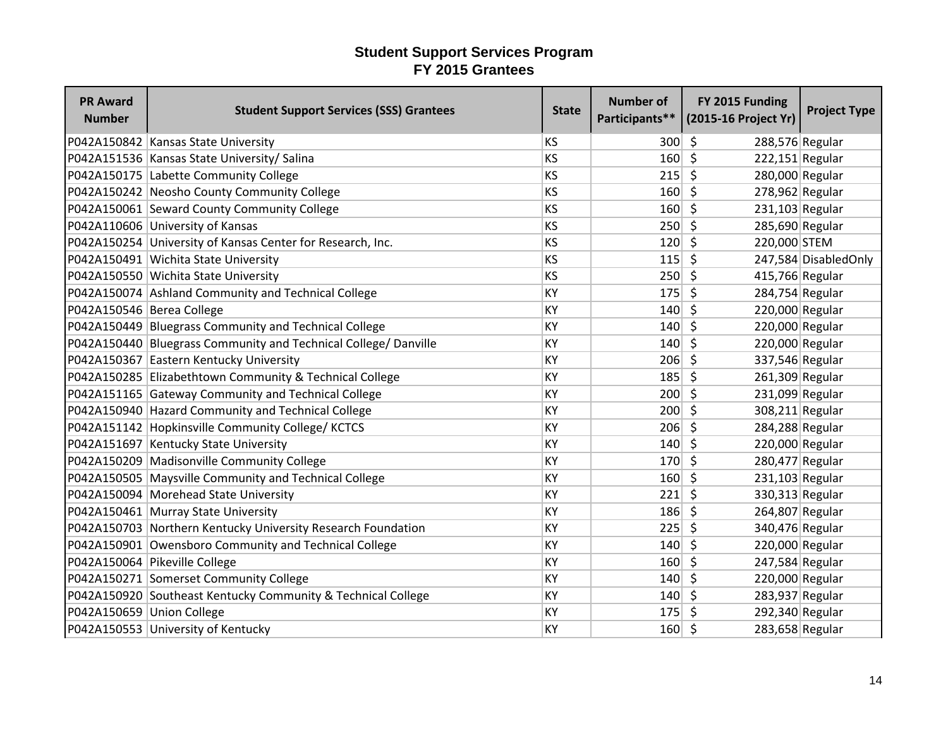| <b>PR Award</b><br><b>Number</b> | <b>Student Support Services (SSS) Grantees</b>                  | <b>State</b> | <b>Number of</b> | FY 2015 Funding<br>Participants** (2015-16 Project Yr) | <b>Project Type</b>  |
|----------------------------------|-----------------------------------------------------------------|--------------|------------------|--------------------------------------------------------|----------------------|
|                                  | P042A150842 Kansas State University                             | KS           | 300              | $\zeta$<br>288,576 Regular                             |                      |
|                                  | P042A151536 Kansas State University/ Salina                     | KS           | 160              | $\zeta$<br>$222,151$ Regular                           |                      |
|                                  | P042A150175 Labette Community College                           | KS           | 215              | \$<br>280,000 Regular                                  |                      |
|                                  | P042A150242 Neosho County Community College                     | KS           | 160              | S,<br>$278,962$ Regular                                |                      |
|                                  | P042A150061 Seward County Community College                     | KS           | 160              | \$<br>$231,103$ Regular                                |                      |
|                                  | P042A110606 University of Kansas                                | KS           | 250              | \$<br>285,690 Regular                                  |                      |
|                                  | P042A150254 University of Kansas Center for Research, Inc.      | KS           | 120              | $\zeta$<br>220,000 STEM                                |                      |
|                                  | P042A150491 Wichita State University                            | KS           | $115 \mid 5$     |                                                        | 247,584 DisabledOnly |
|                                  | P042A150550 Wichita State University                            | KS           | 250              | \$<br>415,766 Regular                                  |                      |
|                                  | P042A150074 Ashland Community and Technical College             | KY           | 175              | $\zeta$<br>284,754 Regular                             |                      |
| P042A150546 Berea College        |                                                                 | KY           | 140              | $\zeta$<br>220,000 Regular                             |                      |
|                                  | P042A150449 Bluegrass Community and Technical College           | KY           | 140              | $\zeta$<br>220,000 Regular                             |                      |
|                                  | P042A150440 Bluegrass Community and Technical College/ Danville | KY           | 140              | $\zeta$<br>220,000 Regular                             |                      |
|                                  | P042A150367 Eastern Kentucky University                         | KY           | $206$ \$         | 337,546 Regular                                        |                      |
|                                  | P042A150285 Elizabethtown Community & Technical College         | KY           | $185$ \$         | 261,309 Regular                                        |                      |
|                                  | P042A151165 Gateway Community and Technical College             | KY           | 200              | S.<br>231,099 Regular                                  |                      |
|                                  | P042A150940 Hazard Community and Technical College              | KY           | 200              | $\zeta$<br>308,211 Regular                             |                      |
|                                  | P042A151142 Hopkinsville Community College/ KCTCS               | KY           | 206              | S.<br>284,288 Regular                                  |                      |
|                                  | P042A151697 Kentucky State University                           | KY           | 140              | 220,000 Regular<br>Ŝ.                                  |                      |
|                                  | P042A150209 Madisonville Community College                      | KY           | $170 \mid 5$     | 280,477 Regular                                        |                      |
|                                  | P042A150505 Maysville Community and Technical College           | KY           | 160              | $\zeta$<br>231,103 Regular                             |                      |
|                                  | P042A150094 Morehead State University                           | KY           | 221              | 330,313 Regular<br>$\zeta$                             |                      |
|                                  | P042A150461 Murray State University                             | KY           | 186              | $\zeta$<br>264,807 Regular                             |                      |
|                                  | P042A150703 Northern Kentucky University Research Foundation    | KY           | 225              | $\zeta$<br>340,476 Regular                             |                      |
|                                  | P042A150901 Owensboro Community and Technical College           | KY           | 140              | \$<br>220,000 Regular                                  |                      |
|                                  | P042A150064 Pikeville College                                   | KY           | 160              | 247,584 Regular<br>\$                                  |                      |
|                                  | P042A150271 Somerset Community College                          | KY           | 140              | \$<br>220,000 Regular                                  |                      |
|                                  | P042A150920 Southeast Kentucky Community & Technical College    | KY           | 140              | $\zeta$<br>283,937 Regular                             |                      |
| P042A150659 Union College        |                                                                 | KY           | 175              | 292,340 Regular<br>Ŝ.                                  |                      |
|                                  | P042A150553 University of Kentucky                              | KY           | 160              | -\$<br>283,658 Regular                                 |                      |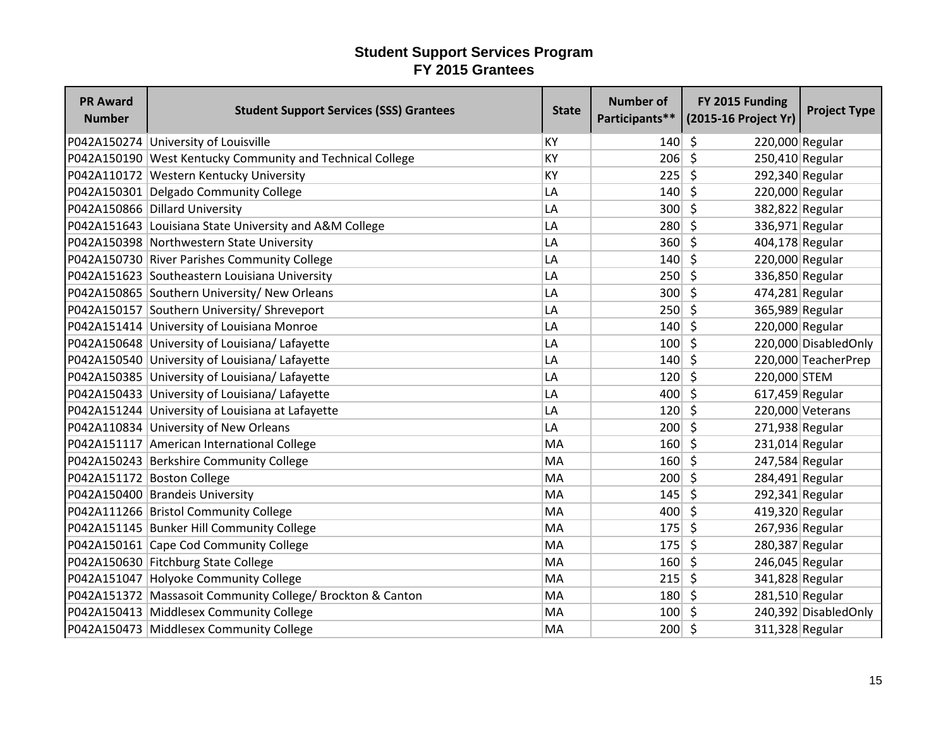| <b>PR Award</b><br><b>Number</b> | <b>Student Support Services (SSS) Grantees</b>             | <b>State</b> | <b>Number of</b> | FY 2015 Funding<br>Participants** (2015-16 Project Yr) | <b>Project Type</b>  |
|----------------------------------|------------------------------------------------------------|--------------|------------------|--------------------------------------------------------|----------------------|
|                                  | P042A150274 University of Louisville                       | KY           | 140              | \$<br>220,000 Regular                                  |                      |
|                                  | P042A150190 West Kentucky Community and Technical College  | KY           | 206              | $\zeta$<br>250,410 Regular                             |                      |
|                                  | P042A110172 Western Kentucky University                    | KY           | 225              | \$<br>292,340 Regular                                  |                      |
|                                  | P042A150301 Delgado Community College                      | LA           | 140              | \$<br>220,000 Regular                                  |                      |
|                                  | P042A150866 Dillard University                             | LA           | 300              | $\zeta$<br>382,822 Regular                             |                      |
|                                  | P042A151643 Louisiana State University and A&M College     | LA           | 280              | \$<br>336,971 Regular                                  |                      |
|                                  | P042A150398 Northwestern State University                  | LA           | 360              | $\zeta$<br>404,178 Regular                             |                      |
|                                  | P042A150730 River Parishes Community College               | LA           | 140              | -\$<br>220,000 Regular                                 |                      |
|                                  | P042A151623 Southeastern Louisiana University              | LA           | 250              | $\zeta$<br>336,850 Regular                             |                      |
|                                  | P042A150865 Southern University/ New Orleans               | LA           | 300              | \$<br>474,281 Regular                                  |                      |
|                                  | P042A150157 Southern University/ Shreveport                | LA           | 250              | \$<br>365,989 Regular                                  |                      |
|                                  | P042A151414 University of Louisiana Monroe                 | LA           | 140              | 220,000 Regular<br>\$                                  |                      |
|                                  | P042A150648 University of Louisiana/ Lafayette             | LA           | 100              | $\zeta$                                                | 220,000 DisabledOnly |
|                                  | P042A150540 University of Louisiana/ Lafayette             | LA           | 140              | S.                                                     | 220,000 TeacherPrep  |
|                                  | P042A150385 University of Louisiana/ Lafayette             | LA           | 120              | -Ś<br>220,000 STEM                                     |                      |
|                                  | P042A150433 University of Louisiana/ Lafayette             | LA           | 400              | $\zeta$<br>$617,459$ Regular                           |                      |
|                                  | P042A151244 University of Louisiana at Lafayette           | LA           | 120              | \$                                                     | 220,000 Veterans     |
|                                  | P042A110834 University of New Orleans                      | LA           | 200              | \$<br>271,938 Regular                                  |                      |
|                                  | P042A151117 American International College                 | MA           | 160              | \$<br>$231,014$ Regular                                |                      |
|                                  | P042A150243 Berkshire Community College                    | MA           | 160              | \$<br>247,584 Regular                                  |                      |
|                                  | P042A151172 Boston College                                 | MA           | 200              | $\zeta$<br>284,491 Regular                             |                      |
|                                  | P042A150400 Brandeis University                            | MA           | 145              | 292,341 Regular<br>\$                                  |                      |
|                                  | P042A111266 Bristol Community College                      | MA           | 400              | \$<br>419,320 Regular                                  |                      |
|                                  | P042A151145 Bunker Hill Community College                  | MA           | 175              | $\zeta$<br>267,936 Regular                             |                      |
|                                  | P042A150161 Cape Cod Community College                     | MA           | 175              | \$<br>280,387 Regular                                  |                      |
|                                  | P042A150630 Fitchburg State College                        | MA           | 160              | \$<br>246,045 Regular                                  |                      |
|                                  | P042A151047 Holyoke Community College                      | MA           | 215              | \$<br>341,828 Regular                                  |                      |
|                                  | P042A151372 Massasoit Community College/ Brockton & Canton | MA           | 180              | $\zeta$<br>281,510 Regular                             |                      |
|                                  | P042A150413 Middlesex Community College                    | MA           | 100              | \$                                                     | 240,392 DisabledOnly |
|                                  | P042A150473 Middlesex Community College                    | MA           | 200              | -\$<br>311,328 Regular                                 |                      |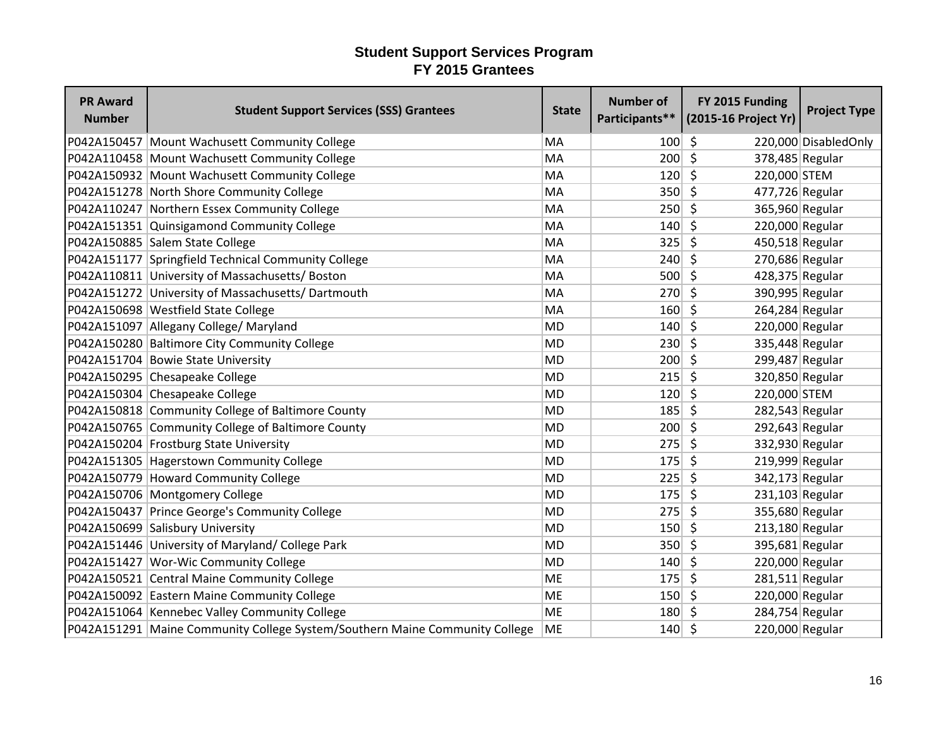| <b>PR Award</b><br><b>Number</b> | <b>Student Support Services (SSS) Grantees</b>                              | <b>State</b> | <b>Number of</b> | FY 2015 Funding<br>Participants** (2015-16 Project Yr) | <b>Project Type</b>   |
|----------------------------------|-----------------------------------------------------------------------------|--------------|------------------|--------------------------------------------------------|-----------------------|
|                                  | P042A150457 Mount Wachusett Community College                               | MA           | 100              | \$                                                     | 220,000 Disabled Only |
|                                  | P042A110458 Mount Wachusett Community College                               | MA           | 200              | $\zeta$<br>378,485 Regular                             |                       |
|                                  | P042A150932 Mount Wachusett Community College                               | MA           | 120              | \$<br>220,000 STEM                                     |                       |
|                                  | P042A151278 North Shore Community College                                   | MA           | 350              | S,<br>477,726 Regular                                  |                       |
|                                  | P042A110247 Northern Essex Community College                                | MA           | 250              | $\zeta$<br>365,960 Regular                             |                       |
|                                  | P042A151351 Quinsigamond Community College                                  | MA           | 140              | $\zeta$<br>220,000 Regular                             |                       |
|                                  | P042A150885 Salem State College                                             | MA           | 325              | $\zeta$<br>450,518 Regular                             |                       |
|                                  | P042A151177 Springfield Technical Community College                         | MA           | 240              | 270,686 Regular<br>S.                                  |                       |
|                                  | P042A110811 University of Massachusetts/ Boston                             | MA           | 500              | $\zeta$<br>428,375 Regular                             |                       |
|                                  | P042A151272 University of Massachusetts/Dartmouth                           | MA           | 270              | $\zeta$<br>390,995 Regular                             |                       |
|                                  | P042A150698 Westfield State College                                         | MA           | 160              | \$<br>264,284 Regular                                  |                       |
|                                  | P042A151097 Allegany College/ Maryland                                      | <b>MD</b>    | 140              | \$<br>220,000 Regular                                  |                       |
|                                  | P042A150280 Baltimore City Community College                                | <b>MD</b>    | 230              | \$<br>335,448 Regular                                  |                       |
|                                  | P042A151704 Bowie State University                                          | <b>MD</b>    | 200              | 299,487 Regular<br>$\zeta$                             |                       |
|                                  | P042A150295 Chesapeake College                                              | <b>MD</b>    | 215              | -\$<br>320,850 Regular                                 |                       |
|                                  | P042A150304 Chesapeake College                                              | <b>MD</b>    | 120              | \$<br>220,000 STEM                                     |                       |
|                                  | P042A150818 Community College of Baltimore County                           | <b>MD</b>    | 185              | $\zeta$<br>282,543 Regular                             |                       |
|                                  | P042A150765 Community College of Baltimore County                           | <b>MD</b>    | 200              | \$<br>292,643 Regular                                  |                       |
|                                  | P042A150204 Frostburg State University                                      | <b>MD</b>    | 275              | \$<br>332,930 Regular                                  |                       |
|                                  | P042A151305 Hagerstown Community College                                    | <b>MD</b>    | 175              | $\zeta$<br>219,999 Regular                             |                       |
|                                  | P042A150779 Howard Community College                                        | <b>MD</b>    | 225              | S.<br>342,173 Regular                                  |                       |
|                                  | P042A150706 Montgomery College                                              | <b>MD</b>    | $175$ \$         | 231,103 Regular                                        |                       |
|                                  | P042A150437 Prince George's Community College                               | <b>MD</b>    | 275              | \$<br>355,680 Regular                                  |                       |
|                                  | P042A150699 Salisbury University                                            | <b>MD</b>    | 150              | $\zeta$<br>213,180 Regular                             |                       |
|                                  | P042A151446 University of Maryland/ College Park                            | <b>MD</b>    | 350              | \$<br>395,681 Regular                                  |                       |
|                                  | P042A151427 Wor-Wic Community College                                       | <b>MD</b>    | 140              | 220,000 Regular<br>Ŝ.                                  |                       |
|                                  | P042A150521 Central Maine Community College                                 | <b>ME</b>    | 175              | S.<br>$281,511$ Regular                                |                       |
|                                  | P042A150092 Eastern Maine Community College                                 | <b>ME</b>    | 150              | $\zeta$<br>220,000 Regular                             |                       |
|                                  | P042A151064 Kennebec Valley Community College                               | <b>ME</b>    | 180              | 284,754 Regular<br>5                                   |                       |
|                                  | P042A151291 Maine Community College System/Southern Maine Community College | ME           | 140              | \$<br>220,000 Regular                                  |                       |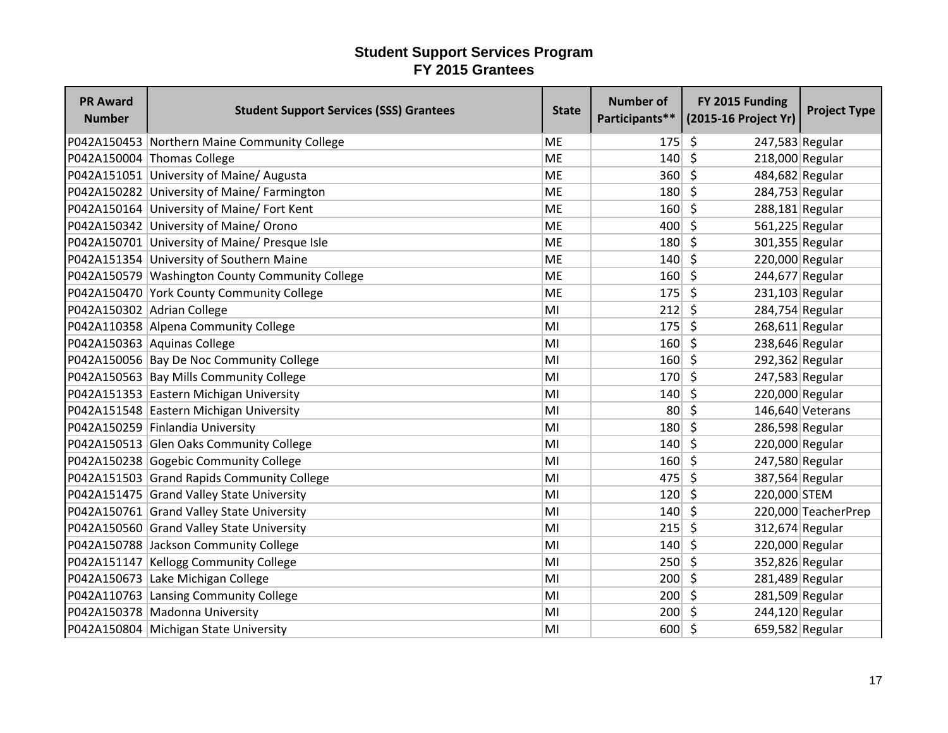| <b>PR Award</b><br><b>Number</b> | <b>Student Support Services (SSS) Grantees</b>  | <b>State</b> | <b>Number of</b> | FY 2015 Funding<br>Participants** (2015-16 Project Yr) | <b>Project Type</b> |
|----------------------------------|-------------------------------------------------|--------------|------------------|--------------------------------------------------------|---------------------|
|                                  | P042A150453 Northern Maine Community College    | <b>ME</b>    | 175              | \$<br>247,583 Regular                                  |                     |
|                                  | P042A150004 Thomas College                      | <b>ME</b>    | 140              | $\zeta$<br>218,000 Regular                             |                     |
|                                  | P042A151051 University of Maine/ Augusta        | <b>ME</b>    | 360              | $\zeta$<br>484,682 Regular                             |                     |
|                                  | P042A150282 University of Maine/ Farmington     | <b>ME</b>    | 180              | Ŝ.<br>284,753 Regular                                  |                     |
|                                  | P042A150164 University of Maine/ Fort Kent      | <b>ME</b>    | 160              | \$<br>$288,181$ Regular                                |                     |
|                                  | P042A150342 University of Maine/ Orono          | <b>ME</b>    | 400              | $\mathsf{\hat{S}}$<br>561,225 Regular                  |                     |
|                                  | P042A150701 University of Maine/ Presque Isle   | <b>ME</b>    | 180              | 301,355 Regular<br>S.                                  |                     |
|                                  | P042A151354 University of Southern Maine        | <b>ME</b>    | 140              | Ŝ.<br>220,000 Regular                                  |                     |
|                                  | P042A150579 Washington County Community College | <b>ME</b>    | 160              | Ŝ.<br>244,677 Regular                                  |                     |
|                                  | P042A150470 York County Community College       | <b>ME</b>    | 175              | Ŝ.<br>231,103 Regular                                  |                     |
| P042A150302 Adrian College       |                                                 | MI           | 212              | 284,754 Regular<br>\$.                                 |                     |
|                                  | P042A110358 Alpena Community College            | MI           | 175              | $268,611$ Regular<br>-\$                               |                     |
|                                  | P042A150363 Aquinas College                     | MI           | 160              | \$<br>238,646 Regular                                  |                     |
|                                  | P042A150056 Bay De Noc Community College        | MI           | 160              | $\zeta$<br>292,362 Regular                             |                     |
|                                  | P042A150563 Bay Mills Community College         | MI           | 170              | $\zeta$<br>247,583 Regular                             |                     |
|                                  | P042A151353 Eastern Michigan University         | MI           | 140              | \$<br>220,000 Regular                                  |                     |
|                                  | P042A151548 Eastern Michigan University         | MI           | 80 <sup>°</sup>  | $\zeta$                                                | 146,640 Veterans    |
|                                  | P042A150259 Finlandia University                | MI           | 180              | \$<br>286,598 Regular                                  |                     |
|                                  | P042A150513 Glen Oaks Community College         | MI           | 140              | Ŝ.<br>220,000 Regular                                  |                     |
|                                  | P042A150238 Gogebic Community College           | MI           | 160              | \$<br>247,580 Regular                                  |                     |
|                                  | P042A151503 Grand Rapids Community College      | MI           | 475              | S.<br>387,564 Regular                                  |                     |
|                                  | P042A151475 Grand Valley State University       | MI           | 120              | 220,000 STEM<br>5                                      |                     |
|                                  | P042A150761 Grand Valley State University       | MI           | 140              | 5                                                      | 220,000 TeacherPrep |
|                                  | P042A150560 Grand Valley State University       | MI           | 215              | $\zeta$<br>312,674 Regular                             |                     |
|                                  | P042A150788 Jackson Community College           | MI           | 140              | $\zeta$<br>220,000 Regular                             |                     |
|                                  | P042A151147 Kellogg Community College           | MI           | 250              | \$<br>352,826 Regular                                  |                     |
|                                  | P042A150673 Lake Michigan College               | MI           | 200              | \$<br>281,489 Regular                                  |                     |
|                                  | P042A110763 Lansing Community College           | MI           | 200              | $\zeta$<br>281,509 Regular                             |                     |
|                                  | P042A150378 Madonna University                  | MI           | 200              | 244,120 Regular<br>S.                                  |                     |
|                                  | P042A150804 Michigan State University           | MI           | $600 \mid 5$     | 659,582 Regular                                        |                     |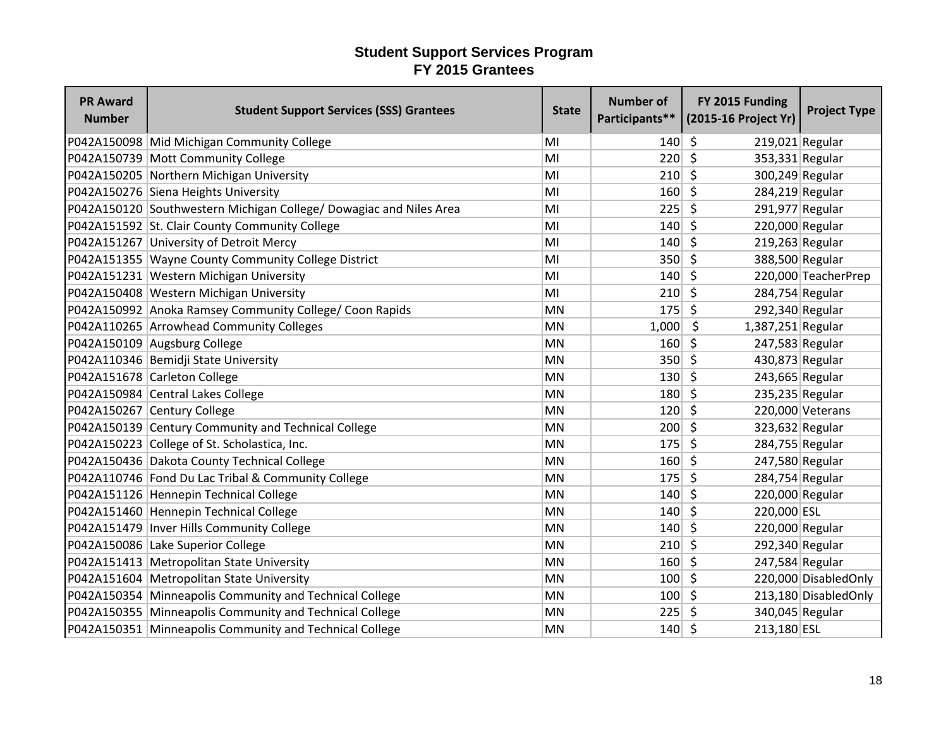| <b>PR Award</b><br><b>Number</b> | <b>Student Support Services (SSS) Grantees</b>                     | <b>State</b> | <b>Number of</b> | FY 2015 Funding<br>Participants** (2015-16 Project Yr) | <b>Project Type</b>   |
|----------------------------------|--------------------------------------------------------------------|--------------|------------------|--------------------------------------------------------|-----------------------|
|                                  | P042A150098 Mid Michigan Community College                         | MI           | 140              | -\$<br>219,021 Regular                                 |                       |
|                                  | P042A150739 Mott Community College                                 | MI           | 220              | $\zeta$<br>353,331 Regular                             |                       |
|                                  | P042A150205 Northern Michigan University                           | MI           | 210              | $\zeta$<br>300,249 Regular                             |                       |
|                                  | P042A150276 Siena Heights University                               | MI           | 160              | S.<br>284,219 Regular                                  |                       |
|                                  | P042A150120 Southwestern Michigan College/ Dowagiac and Niles Area | MI           | 225              | \$<br>291,977 Regular                                  |                       |
|                                  | P042A151592 St. Clair County Community College                     | MI           | 140              | $\zeta$<br>220,000 Regular                             |                       |
|                                  | P042A151267 University of Detroit Mercy                            | MI           | 140              | $219,263$ Regular<br>Ŝ.                                |                       |
|                                  | P042A151355 Wayne County Community College District                | MI           | 350              | Ŝ.<br>388,500 Regular                                  |                       |
|                                  | P042A151231 Western Michigan University                            | MI           | 140              | Ŝ.                                                     | 220,000 TeacherPrep   |
|                                  | P042A150408 Western Michigan University                            | MI           | 210              | $\zeta$<br>284,754 Regular                             |                       |
|                                  | P042A150992 Anoka Ramsey Community College/ Coon Rapids            | <b>MN</b>    | 175              | Ŝ.<br>292,340 Regular                                  |                       |
|                                  | P042A110265 Arrowhead Community Colleges                           | <b>MN</b>    | 1,000            | - \$<br>$1,387,251$ Regular                            |                       |
|                                  | P042A150109 Augsburg College                                       | <b>MN</b>    | 160              | $\zeta$<br>247,583 Regular                             |                       |
|                                  | P042A110346 Bemidji State University                               | <b>MN</b>    | 350              | 430,873 Regular<br>-\$                                 |                       |
|                                  | P042A151678 Carleton College                                       | <b>MN</b>    | 130              | -Ś<br>243,665 Regular                                  |                       |
|                                  | P042A150984 Central Lakes College                                  | <b>MN</b>    | 180              | \$<br>235,235 Regular                                  |                       |
|                                  | P042A150267 Century College                                        | <b>MN</b>    | 120              | $\mathsf{\hat{S}}$                                     | 220,000 Veterans      |
|                                  | P042A150139 Century Community and Technical College                | <b>MN</b>    | 200              | Ŝ.<br>323,632 Regular                                  |                       |
|                                  | P042A150223 College of St. Scholastica, Inc.                       | <b>MN</b>    | 175              | 284,755 Regular<br>Ŝ.                                  |                       |
|                                  | P042A150436 Dakota County Technical College                        | <b>MN</b>    | 160              | $\zeta$<br>247,580 Regular                             |                       |
|                                  | P042A110746 Fond Du Lac Tribal & Community College                 | <b>MN</b>    | 175              | $\zeta$<br>284,754 Regular                             |                       |
|                                  | P042A151126 Hennepin Technical College                             | <b>MN</b>    | 140              | 220,000 Regular<br>-\$                                 |                       |
|                                  | P042A151460 Hennepin Technical College                             | <b>MN</b>    | 140              | \$<br>220,000 ESL                                      |                       |
|                                  | P042A151479   Inver Hills Community College                        | <b>MN</b>    | 140              | S.<br>220,000 Regular                                  |                       |
|                                  | P042A150086 Lake Superior College                                  | <b>MN</b>    | 210              | \$<br>292,340 Regular                                  |                       |
|                                  | P042A151413 Metropolitan State University                          | <b>MN</b>    | 160              | 247,584 Regular<br>\$                                  |                       |
|                                  | P042A151604 Metropolitan State University                          | <b>MN</b>    | 100              | Ŝ.                                                     | 220,000 Disabled Only |
|                                  | P042A150354 Minneapolis Community and Technical College            | <b>MN</b>    | $100 \mid 5$     |                                                        | 213,180 Disabled Only |
|                                  | P042A150355 Minneapolis Community and Technical College            | <b>MN</b>    | 225              | 340,045 Regular<br>-\$                                 |                       |
|                                  | P042A150351 Minneapolis Community and Technical College            | <b>MN</b>    | 140              | \$<br>213,180 ESL                                      |                       |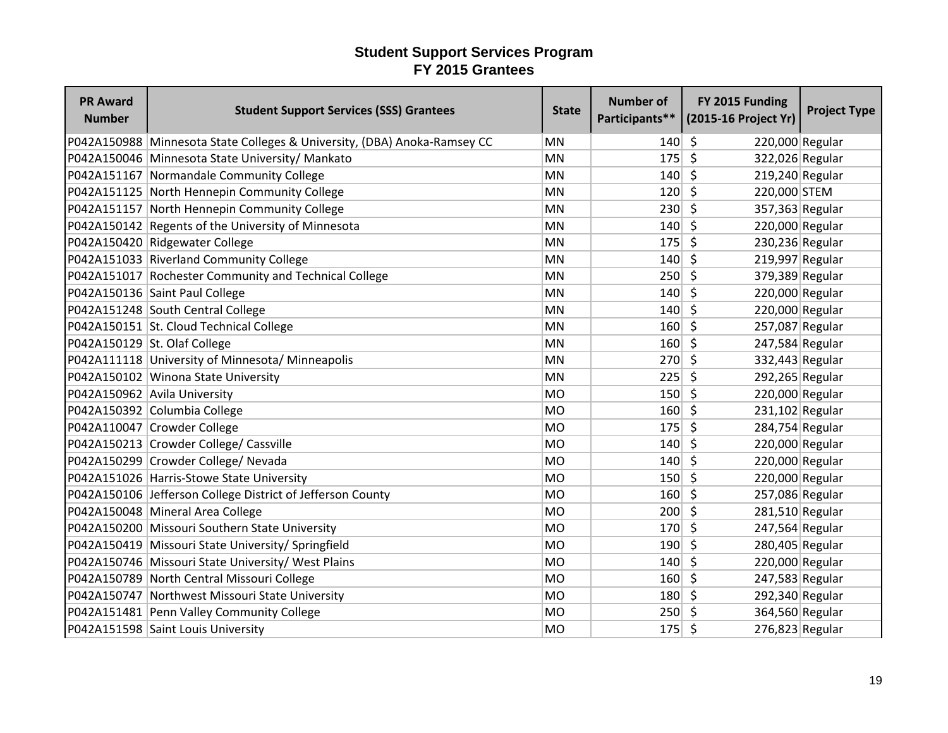| <b>PR Award</b><br><b>Number</b> | <b>Student Support Services (SSS) Grantees</b>                           | <b>State</b> | <b>Number of</b><br>Participants** | FY 2015 Funding<br>(2015-16 Project Yr) | <b>Project Type</b> |
|----------------------------------|--------------------------------------------------------------------------|--------------|------------------------------------|-----------------------------------------|---------------------|
|                                  | P042A150988 Minnesota State Colleges & University, (DBA) Anoka-Ramsey CC | <b>MN</b>    | 140                                | - \$<br>220,000 Regular                 |                     |
|                                  | P042A150046 Minnesota State University/ Mankato                          | <b>MN</b>    | 175                                | $\mathsf{S}$<br>322,026 Regular         |                     |
|                                  | P042A151167 Normandale Community College                                 | <b>MN</b>    | 140                                | $\mathsf{\hat{S}}$<br>219,240 Regular   |                     |
|                                  | P042A151125 North Hennepin Community College                             | <b>MN</b>    | 120                                | - Ś<br>220,000 STEM                     |                     |
|                                  | P042A151157 North Hennepin Community College                             | <b>MN</b>    | $230 \mid 5$                       | 357,363 Regular                         |                     |
|                                  | P042A150142 Regents of the University of Minnesota                       | <b>MN</b>    | $140 \mid 5$                       | 220,000 Regular                         |                     |
|                                  | P042A150420 Ridgewater College                                           | <b>MN</b>    | $175$ \$                           | 230,236 Regular                         |                     |
|                                  | P042A151033 Riverland Community College                                  | <b>MN</b>    | $140 \mid 5$                       | 219,997 Regular                         |                     |
|                                  | P042A151017 Rochester Community and Technical College                    | MN           | $250 \mid 5$                       | 379,389 Regular                         |                     |
|                                  | P042A150136 Saint Paul College                                           | MN           | 140                                | - \$<br>220,000 Regular                 |                     |
|                                  | P042A151248 South Central College                                        | MN           | 140                                | 220,000 Regular<br>-\$                  |                     |
|                                  | P042A150151 St. Cloud Technical College                                  | MN           | $160 \mid 5$                       | 257,087 Regular                         |                     |
|                                  | P042A150129 St. Olaf College                                             | MN           | $160 \mid 5$                       | 247,584 Regular                         |                     |
|                                  | P042A111118 University of Minnesota/ Minneapolis                         | <b>MN</b>    | $270 \mid 5$                       | 332,443 Regular                         |                     |
|                                  | P042A150102 Winona State University                                      | MN           | 225                                | Ŝ.<br>292,265 Regular                   |                     |
|                                  | P042A150962 Avila University                                             | MO           | $150 \mid 5$                       | 220,000 Regular                         |                     |
|                                  | P042A150392 Columbia College                                             | <b>MO</b>    | 160                                | $\zeta$<br>$231,102$ Regular            |                     |
|                                  | P042A110047 Crowder College                                              | <b>MO</b>    | 175                                | Ŝ.<br>284,754 Regular                   |                     |
|                                  | P042A150213 Crowder College/ Cassville                                   | MO           | 140                                | 220,000 Regular<br>- \$                 |                     |
|                                  | P042A150299 Crowder College/ Nevada                                      | <b>MO</b>    | $140 \mid 5$                       | 220,000 Regular                         |                     |
|                                  | P042A151026 Harris-Stowe State University                                | <b>MO</b>    | $150 \mid 5$                       | 220,000 Regular                         |                     |
|                                  | P042A150106 Jefferson College District of Jefferson County               | MO           | $160 \mid 5$                       | 257,086 Regular                         |                     |
|                                  | P042A150048 Mineral Area College                                         | MO           | $200 \mid 5$                       | 281,510 Regular                         |                     |
|                                  | P042A150200 Missouri Southern State University                           | MO           | 170                                | $\mathsf{\S}$<br>247,564 Regular        |                     |
|                                  | P042A150419 Missouri State University/ Springfield                       | MO           | 190                                | $\zeta$<br>280,405 Regular              |                     |
|                                  | P042A150746 Missouri State University/ West Plains                       | MO           | 140                                | 220,000 Regular<br>- Ś                  |                     |
|                                  | P042A150789 North Central Missouri College                               | <b>MO</b>    | $160 \mid 5$                       | 247,583 Regular                         |                     |
|                                  | P042A150747 Northwest Missouri State University                          | <b>MO</b>    | $180 \mid 5$                       | 292,340 Regular                         |                     |
|                                  | P042A151481 Penn Valley Community College                                | <b>MO</b>    | $250 \mid 5$                       | 364,560 Regular                         |                     |
|                                  | P042A151598 Saint Louis University                                       | <b>MO</b>    | 175                                | -\$<br>276,823 Regular                  |                     |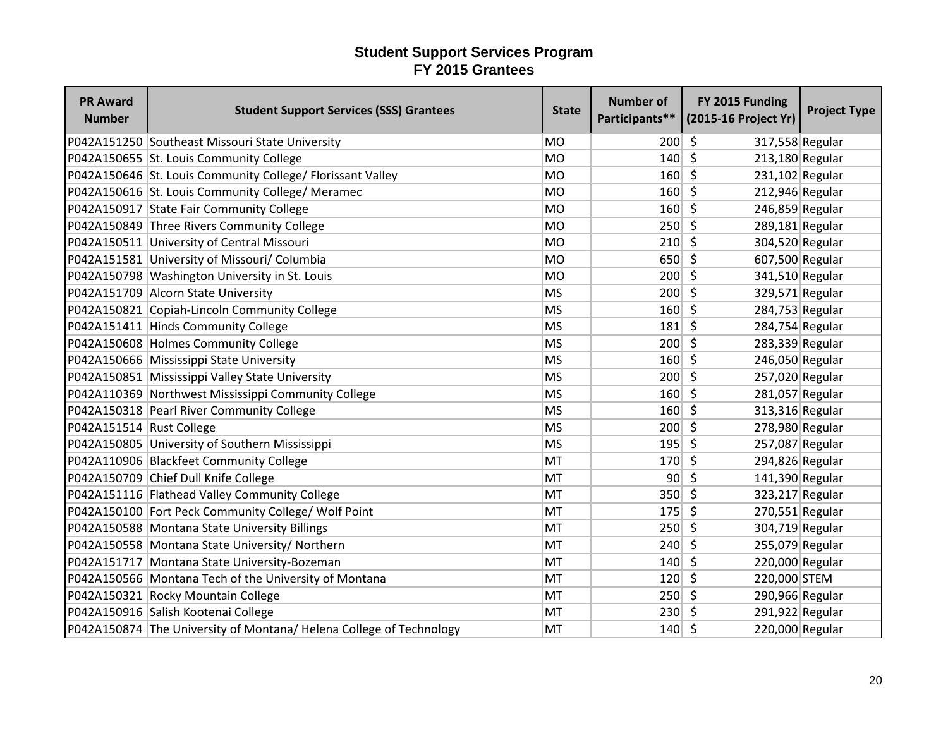| <b>PR Award</b><br><b>Number</b> | <b>Student Support Services (SSS) Grantees</b>                     | <b>State</b> | <b>Number of</b> | FY 2015 Funding<br>Participants** (2015-16 Project Yr) | <b>Project Type</b> |
|----------------------------------|--------------------------------------------------------------------|--------------|------------------|--------------------------------------------------------|---------------------|
|                                  | P042A151250 Southeast Missouri State University                    | <b>MO</b>    | 200              | $\zeta$<br>317,558 Regular                             |                     |
|                                  | P042A150655 St. Louis Community College                            | <b>MO</b>    | 140              | $\zeta$<br>213,180 Regular                             |                     |
|                                  | P042A150646 St. Louis Community College/ Florissant Valley         | <b>MO</b>    | 160              | $\mathsf{\hat{S}}$<br>231,102 Regular                  |                     |
|                                  | P042A150616 St. Louis Community College/ Meramec                   | <b>MO</b>    | 160              | S.<br>212,946 Regular                                  |                     |
|                                  | P042A150917 State Fair Community College                           | <b>MO</b>    | 160              | S.<br>246,859 Regular                                  |                     |
|                                  | P042A150849 Three Rivers Community College                         | <b>MO</b>    | 250              | $\zeta$<br>289,181 Regular                             |                     |
|                                  | P042A150511 University of Central Missouri                         | <b>MO</b>    | 210              | S.<br>304,520 Regular                                  |                     |
|                                  | P042A151581 University of Missouri/ Columbia                       | <b>MO</b>    | $650 \mid 5$     | 607,500 Regular                                        |                     |
|                                  | P042A150798 Washington University in St. Louis                     | <b>MO</b>    | $200 \mid 5$     | 341,510 Regular                                        |                     |
|                                  | P042A151709 Alcorn State University                                | <b>MS</b>    | 200              | $\zeta$<br>329,571 Regular                             |                     |
|                                  | P042A150821 Copiah-Lincoln Community College                       | <b>MS</b>    | 160              | \$<br>284,753 Regular                                  |                     |
|                                  | P042A151411 Hinds Community College                                | <b>MS</b>    | 181              | \$<br>284,754 Regular                                  |                     |
|                                  | P042A150608 Holmes Community College                               | <b>MS</b>    | $200 \mid 5$     | 283,339 Regular                                        |                     |
|                                  | P042A150666 Mississippi State University                           | <b>MS</b>    | 160              | $\zeta$<br>246,050 Regular                             |                     |
|                                  | P042A150851 Mississippi Valley State University                    | <b>MS</b>    | 200              | 257,020 Regular<br>$\zeta$                             |                     |
|                                  | P042A110369 Northwest Mississippi Community College                | <b>MS</b>    | 160              | $\zeta$<br>281,057 Regular                             |                     |
|                                  | P042A150318 Pearl River Community College                          | <b>MS</b>    | 160              | $\zeta$<br>313,316 Regular                             |                     |
| P042A151514 Rust College         |                                                                    | <b>MS</b>    | 200              | Ŝ.<br>278,980 Regular                                  |                     |
|                                  | P042A150805 University of Southern Mississippi                     | <b>MS</b>    | 195              | 257,087 Regular<br>S.                                  |                     |
|                                  | P042A110906 Blackfeet Community College                            | MT           | 170              | $\zeta$<br>294,826 Regular                             |                     |
|                                  | P042A150709 Chief Dull Knife College                               | MT           | 90 <sup>1</sup>  | Ŝ.<br>141,390 Regular                                  |                     |
|                                  | P042A151116 Flathead Valley Community College                      | MT           | $350 \mid 5$     | 323,217 Regular                                        |                     |
|                                  | P042A150100 Fort Peck Community College/ Wolf Point                | MT           | 175              | \$<br>$270,551$ Regular                                |                     |
|                                  | P042A150588 Montana State University Billings                      | MT           | 250              | $\zeta$<br>304,719 Regular                             |                     |
|                                  | P042A150558 Montana State University/ Northern                     | MT           | 240              | \$<br>255,079 Regular                                  |                     |
|                                  | P042A151717 Montana State University-Bozeman                       | MT           | 140              | 220,000 Regular<br>Ŝ.                                  |                     |
|                                  | P042A150566 Montana Tech of the University of Montana              | MT           | 120              | \$<br>220,000 STEM                                     |                     |
|                                  | P042A150321 Rocky Mountain College                                 | MT           | $250 \mid 5$     | 290,966 Regular                                        |                     |
|                                  | P042A150916 Salish Kootenai College                                | MT           | 230              | 291,922 Regular<br>- \$                                |                     |
|                                  | P042A150874 The University of Montana/Helena College of Technology | <b>MT</b>    | $140 \mid 5$     | 220,000 Regular                                        |                     |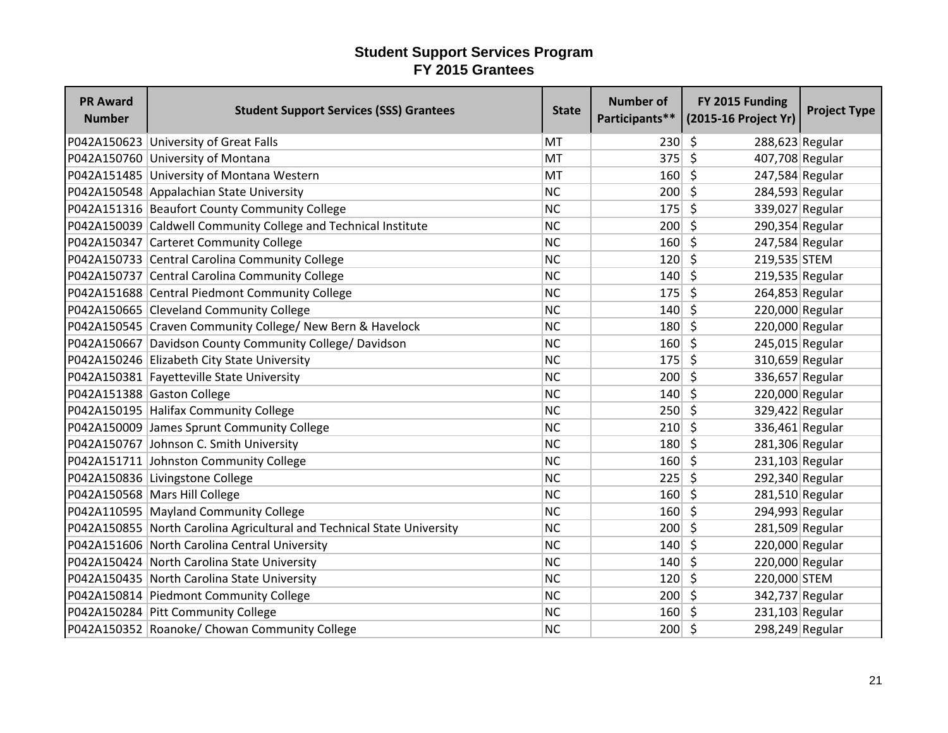| <b>PR Award</b><br><b>Number</b> | <b>Student Support Services (SSS) Grantees</b>                         | <b>State</b> | <b>Number of</b> | FY 2015 Funding<br>Participants** (2015-16 Project Yr) | <b>Project Type</b> |
|----------------------------------|------------------------------------------------------------------------|--------------|------------------|--------------------------------------------------------|---------------------|
|                                  | P042A150623 University of Great Falls                                  | <b>MT</b>    | 230              | \$<br>288,623 Regular                                  |                     |
|                                  | P042A150760 University of Montana                                      | <b>MT</b>    | 375              | $\zeta$<br>407,708 Regular                             |                     |
|                                  | P042A151485 University of Montana Western                              | MT           | 160              | $\zeta$<br>247,584 Regular                             |                     |
|                                  | P042A150548 Appalachian State University                               | <b>NC</b>    | 200              | $\mathsf{\hat{S}}$<br>284,593 Regular                  |                     |
|                                  | P042A151316 Beaufort County Community College                          | <b>NC</b>    | 175              | $\zeta$<br>339,027 Regular                             |                     |
|                                  | P042A150039 Caldwell Community College and Technical Institute         | <b>NC</b>    | 200              | $\mathsf{\hat{S}}$<br>290,354 Regular                  |                     |
|                                  | P042A150347 Carteret Community College                                 | <b>NC</b>    | 160              | Ŝ.<br>247,584 Regular                                  |                     |
|                                  | P042A150733 Central Carolina Community College                         | <b>NC</b>    | 120              | Ŝ.<br>219,535 STEM                                     |                     |
|                                  | P042A150737 Central Carolina Community College                         | <b>NC</b>    | 140              | \$<br>$219,535$ Regular                                |                     |
|                                  | P042A151688 Central Piedmont Community College                         | <b>NC</b>    | 175              | $\zeta$<br>264,853 Regular                             |                     |
|                                  | P042A150665 Cleveland Community College                                | <b>NC</b>    | 140              | \$<br>220,000 Regular                                  |                     |
|                                  | P042A150545 Craven Community College/ New Bern & Havelock              | <b>NC</b>    | 180              | \$<br>220,000 Regular                                  |                     |
|                                  | P042A150667 Davidson County Community College/ Davidson                | <b>NC</b>    | 160              | $\zeta$<br>245,015 Regular                             |                     |
|                                  | P042A150246 Elizabeth City State University                            | <b>NC</b>    | 175              | S.<br>310,659 Regular                                  |                     |
|                                  | P042A150381 Fayetteville State University                              | <b>NC</b>    | 200              | Ŝ.<br>336,657 Regular                                  |                     |
|                                  | P042A151388 Gaston College                                             | <b>NC</b>    | 140              | Ŝ.<br>220,000 Regular                                  |                     |
|                                  | P042A150195 Halifax Community College                                  | <b>NC</b>    | 250              | $\zeta$<br>329,422 Regular                             |                     |
|                                  | P042A150009 James Sprunt Community College                             | <b>NC</b>    | 210              | \$<br>336,461 Regular                                  |                     |
|                                  | P042A150767 Johnson C. Smith University                                | <b>NC</b>    | 180              | 281,306 Regular<br>Ŝ.                                  |                     |
|                                  | P042A151711 Johnston Community College                                 | <b>NC</b>    | 160              | \$<br>$231,103$ Regular                                |                     |
|                                  | P042A150836 Livingstone College                                        | <b>NC</b>    | 225              | $\zeta$<br>292,340 Regular                             |                     |
|                                  | P042A150568 Mars Hill College                                          | <b>NC</b>    | 160              | 281,510 Regular<br>5                                   |                     |
|                                  | P042A110595 Mayland Community College                                  | <b>NC</b>    | 160              | 294,993 Regular<br>5                                   |                     |
|                                  | P042A150855 North Carolina Agricultural and Technical State University | <b>NC</b>    | 200              | $\zeta$<br>281,509 Regular                             |                     |
|                                  | P042A151606 North Carolina Central University                          | <b>NC</b>    | 140              | $\zeta$<br>220,000 Regular                             |                     |
|                                  | P042A150424 North Carolina State University                            | <b>NC</b>    | 140              | \$<br>220,000 Regular                                  |                     |
|                                  | P042A150435 North Carolina State University                            | <b>NC</b>    | 120              | $\zeta$<br>220,000 STEM                                |                     |
|                                  | P042A150814 Piedmont Community College                                 | <b>NC</b>    | 200              | $\zeta$<br>342,737 Regular                             |                     |
|                                  | P042A150284 Pitt Community College                                     | <b>NC</b>    | 160              | 231,103 Regular<br>$\zeta$                             |                     |
|                                  | P042A150352 Roanoke/ Chowan Community College                          | <b>NC</b>    | $200 \mid 5$     | 298,249 Regular                                        |                     |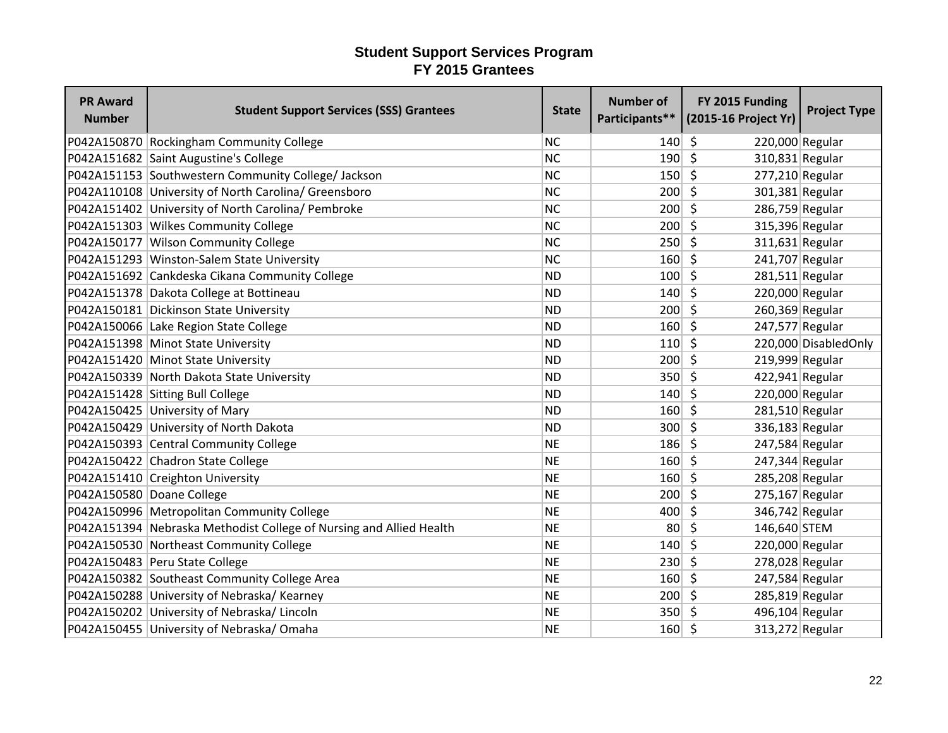| <b>PR Award</b><br><b>Number</b> | <b>Student Support Services (SSS) Grantees</b>                      | <b>State</b> | <b>Number of</b> | FY 2015 Funding<br>Participants** (2015-16 Project Yr) | <b>Project Type</b>   |
|----------------------------------|---------------------------------------------------------------------|--------------|------------------|--------------------------------------------------------|-----------------------|
|                                  | P042A150870 Rockingham Community College                            | <b>NC</b>    | 140              | \$<br>220,000 Regular                                  |                       |
|                                  | P042A151682 Saint Augustine's College                               | <b>NC</b>    | 190              | $\zeta$<br>310,831 Regular                             |                       |
|                                  | P042A151153 Southwestern Community College/ Jackson                 | <b>NC</b>    | 150              | $\mathsf{\hat{S}}$<br>277,210 Regular                  |                       |
|                                  | P042A110108 University of North Carolina/ Greensboro                | <b>NC</b>    | 200              | -Ś<br>301,381 Regular                                  |                       |
|                                  | P042A151402 University of North Carolina/ Pembroke                  | <b>NC</b>    | 200              | Ŝ.<br>286,759 Regular                                  |                       |
|                                  | P042A151303 Wilkes Community College                                | <b>NC</b>    | 200              | $\zeta$<br>315,396 Regular                             |                       |
|                                  | P042A150177 Wilson Community College                                | <b>NC</b>    | $250 \mid 5$     | $311,631$ Regular                                      |                       |
|                                  | P042A151293 Winston-Salem State University                          | <b>NC</b>    | 160              | S.<br>241,707 Regular                                  |                       |
|                                  | P042A151692 Cankdeska Cikana Community College                      | <b>ND</b>    | 100              | $\zeta$<br>$281,511$ Regular                           |                       |
|                                  | P042A151378 Dakota College at Bottineau                             | <b>ND</b>    | 140              | $\zeta$<br>220,000 Regular                             |                       |
|                                  | P042A150181 Dickinson State University                              | <b>ND</b>    | 200              | \$<br>260,369 Regular                                  |                       |
|                                  | P042A150066 Lake Region State College                               | <b>ND</b>    | 160              | \$<br>247,577 Regular                                  |                       |
|                                  | P042A151398 Minot State University                                  | <b>ND</b>    | $110 \mid 5$     |                                                        | 220,000 Disabled Only |
|                                  | P042A151420 Minot State University                                  | <b>ND</b>    | 200              | 219,999 Regular<br>$\zeta$                             |                       |
|                                  | P042A150339 North Dakota State University                           | <b>ND</b>    | 350              | $\zeta$<br>$422,941$ Regular                           |                       |
|                                  | P042A151428 Sitting Bull College                                    | <b>ND</b>    | 140              | \$<br>220,000 Regular                                  |                       |
|                                  | P042A150425 University of Mary                                      | <b>ND</b>    | 160              | $\mathsf{\hat{S}}$<br>281,510 Regular                  |                       |
|                                  | P042A150429 University of North Dakota                              | <b>ND</b>    | 300              | Ŝ.<br>336,183 Regular                                  |                       |
|                                  | P042A150393 Central Community College                               | <b>NE</b>    | 186              | 247,584 Regular<br>S.                                  |                       |
|                                  | P042A150422 Chadron State College                                   | <b>NE</b>    | $160 \mid 5$     | 247,344 Regular                                        |                       |
|                                  | P042A151410 Creighton University                                    | <b>NE</b>    | 160              | $\zeta$<br>285,208 Regular                             |                       |
| P042A150580 Doane College        |                                                                     | <b>NE</b>    | 200              | $\zeta$<br>$275,167$ Regular                           |                       |
|                                  | P042A150996   Metropolitan Community College                        | <b>NE</b>    | 400              | $\zeta$<br>346,742 Regular                             |                       |
|                                  | P042A151394 Nebraska Methodist College of Nursing and Allied Health | <b>NE</b>    | 80 <sup>°</sup>  | $\zeta$<br>146,640 STEM                                |                       |
|                                  | P042A150530 Northeast Community College                             | <b>NE</b>    | 140              | \$<br>220,000 Regular                                  |                       |
|                                  | P042A150483 Peru State College                                      | <b>NE</b>    | 230              | \$<br>278,028 Regular                                  |                       |
|                                  | P042A150382 Southeast Community College Area                        | <b>NE</b>    | 160              | Ŝ.<br>247,584 Regular                                  |                       |
|                                  | P042A150288 University of Nebraska/Kearney                          | <b>NE</b>    | 200              | 285,819 Regular<br>-\$                                 |                       |
|                                  | P042A150202 University of Nebraska/Lincoln                          | <b>NE</b>    | $350 \mid 5$     | 496,104 Regular                                        |                       |
|                                  | P042A150455 University of Nebraska/Omaha                            | <b>NE</b>    | $160 \mid 5$     | 313,272 Regular                                        |                       |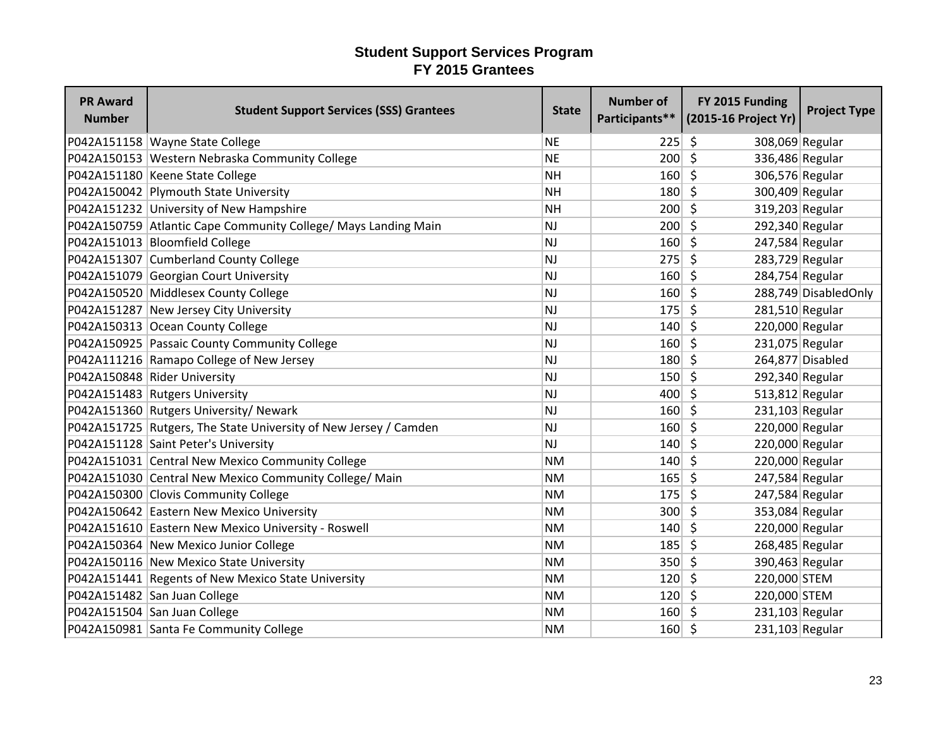| <b>PR Award</b><br><b>Number</b> | <b>Student Support Services (SSS) Grantees</b>                   | <b>State</b> | <b>Number of</b> | FY 2015 Funding<br>Participants** (2015-16 Project Yr) | <b>Project Type</b>  |
|----------------------------------|------------------------------------------------------------------|--------------|------------------|--------------------------------------------------------|----------------------|
|                                  | P042A151158 Wayne State College                                  | <b>NE</b>    | 225              | \$<br>308,069 Regular                                  |                      |
|                                  | P042A150153 Western Nebraska Community College                   | <b>NE</b>    | 200              | $\zeta$<br>336,486 Regular                             |                      |
|                                  | P042A151180 Keene State College                                  | <b>NH</b>    | 160              | $\zeta$<br>306,576 Regular                             |                      |
|                                  | P042A150042 Plymouth State University                            | <b>NH</b>    | 180              | $\zeta$<br>300,409 Regular                             |                      |
|                                  | P042A151232 University of New Hampshire                          | <b>NH</b>    | 200              | \$<br>319,203 Regular                                  |                      |
|                                  | P042A150759 Atlantic Cape Community College/ Mays Landing Main   | NJ           | 200              | $\zeta$<br>292,340 Regular                             |                      |
|                                  | P042A151013 Bloomfield College                                   | <b>NJ</b>    | 160              | $\zeta$<br>247,584 Regular                             |                      |
|                                  | P042A151307 Cumberland County College                            | <b>NJ</b>    | $275$ \$         | 283,729 Regular                                        |                      |
|                                  | P042A151079 Georgian Court University                            | <b>NJ</b>    | 160              | $\zeta$<br>284,754 Regular                             |                      |
|                                  | P042A150520 Middlesex County College                             | NJ           | 160              | $\zeta$                                                | 288,749 DisabledOnly |
|                                  | P042A151287 New Jersey City University                           | <b>NJ</b>    | 175              | $\zeta$<br>281,510 Regular                             |                      |
|                                  | P042A150313 Ocean County College                                 | <b>NJ</b>    | 140              | S.<br>220,000 Regular                                  |                      |
|                                  | P042A150925 Passaic County Community College                     | <b>NJ</b>    | $160$ \$         | 231,075 Regular                                        |                      |
|                                  | P042A111216 Ramapo College of New Jersey                         | <b>NJ</b>    | 180              | $\zeta$                                                | 264,877 Disabled     |
|                                  | P042A150848 Rider University                                     | <b>NJ</b>    | $150 \mid 5$     | 292,340 Regular                                        |                      |
|                                  | P042A151483 Rutgers University                                   | <b>NJ</b>    | 400              | Ŝ.<br>$513,812$ Regular                                |                      |
|                                  | P042A151360 Rutgers University/ Newark                           | <b>NJ</b>    | 160              | $\mathsf{\hat{S}}$<br>231,103 Regular                  |                      |
|                                  | P042A151725 Rutgers, The State University of New Jersey / Camden | <b>NJ</b>    | 160              | \$<br>220,000 Regular                                  |                      |
|                                  | P042A151128 Saint Peter's University                             | NJ           | 140              | 220,000 Regular<br>Ŝ.                                  |                      |
|                                  | P042A151031 Central New Mexico Community College                 | <b>NM</b>    | 140              | $\zeta$<br>220,000 Regular                             |                      |
|                                  | P042A151030 Central New Mexico Community College/ Main           | <b>NM</b>    | $165 \mid 5$     | 247,584 Regular                                        |                      |
|                                  | P042A150300 Clovis Community College                             | <b>NM</b>    | 175              | $\zeta$<br>247,584 Regular                             |                      |
|                                  | P042A150642 Eastern New Mexico University                        | <b>NM</b>    | 300              | $\zeta$<br>353,084 Regular                             |                      |
|                                  | P042A151610 Eastern New Mexico University - Roswell              | <b>NM</b>    | 140              | $\zeta$<br>220,000 Regular                             |                      |
|                                  | P042A150364 New Mexico Junior College                            | <b>NM</b>    | 185              | $\zeta$<br>268,485 Regular                             |                      |
|                                  | P042A150116 New Mexico State University                          | <b>NM</b>    | 350              | \$<br>390,463 Regular                                  |                      |
|                                  | P042A151441 Regents of New Mexico State University               | <b>NM</b>    | 120              | \$<br>220,000 STEM                                     |                      |
|                                  | P042A151482 San Juan College                                     | <b>NM</b>    | 120              | $\zeta$<br>220,000 STEM                                |                      |
|                                  | P042A151504 San Juan College                                     | <b>NM</b>    | 160              | -\$<br>$231,103$ Regular                               |                      |
|                                  | P042A150981 Santa Fe Community College                           | <b>NM</b>    | 160              | -\$<br>231,103 Regular                                 |                      |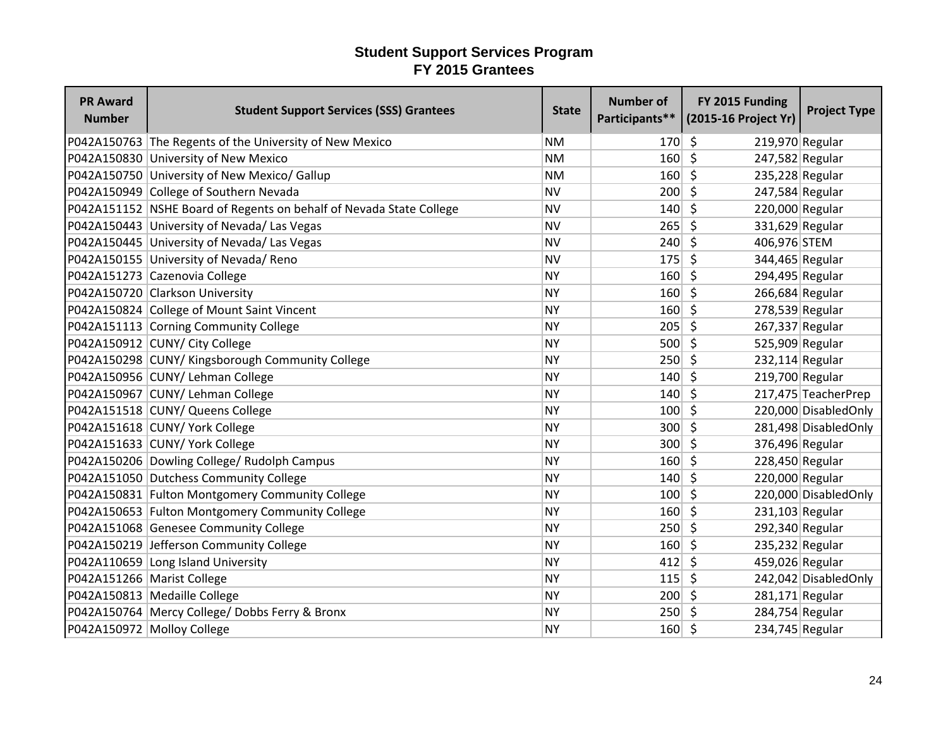| <b>PR Award</b><br><b>Number</b> | <b>Student Support Services (SSS) Grantees</b>                      | <b>State</b> | <b>Number of</b> | FY 2015 Funding<br>Participants** (2015-16 Project Yr) | <b>Project Type</b>   |
|----------------------------------|---------------------------------------------------------------------|--------------|------------------|--------------------------------------------------------|-----------------------|
|                                  | P042A150763 The Regents of the University of New Mexico             | <b>NM</b>    | 170              | 5<br>219,970 Regular                                   |                       |
|                                  | P042A150830 University of New Mexico                                | <b>NM</b>    | 160              | $\zeta$<br>247,582 Regular                             |                       |
|                                  | P042A150750 University of New Mexico/ Gallup                        | <b>NM</b>    | 160              | $\zeta$<br>235,228 Regular                             |                       |
|                                  | P042A150949 College of Southern Nevada                              | <b>NV</b>    | 200              | \$<br>247,584 Regular                                  |                       |
|                                  | P042A151152 NSHE Board of Regents on behalf of Nevada State College | <b>NV</b>    | 140              | Ŝ.<br>220,000 Regular                                  |                       |
|                                  | P042A150443 University of Nevada/ Las Vegas                         | <b>NV</b>    | 265              | S.<br>331,629 Regular                                  |                       |
|                                  | P042A150445 University of Nevada/ Las Vegas                         | <b>NV</b>    | 240              | 406,976 STEM<br>Ŝ.                                     |                       |
|                                  | P042A150155 University of Nevada/ Reno                              | <b>NV</b>    | 175              | Ŝ.<br>344,465 Regular                                  |                       |
|                                  | P042A151273 Cazenovia College                                       | <b>NY</b>    | 160              | Ŝ.<br>294,495 Regular                                  |                       |
|                                  | P042A150720 Clarkson University                                     | <b>NY</b>    | 160              | S.<br>266,684 Regular                                  |                       |
|                                  | P042A150824 College of Mount Saint Vincent                          | <b>NY</b>    | 160              | \$<br>278,539 Regular                                  |                       |
|                                  | P042A151113 Corning Community College                               | <b>NY</b>    | 205              | -\$<br>267,337 Regular                                 |                       |
|                                  | P042A150912 CUNY/ City College                                      | <b>NY</b>    | $500$ \$         | 525,909 Regular                                        |                       |
|                                  | P042A150298 CUNY/ Kingsborough Community College                    | <b>NY</b>    | 250              | 232,114 Regular<br>5                                   |                       |
|                                  | P042A150956 CUNY/ Lehman College                                    | <b>NY</b>    | 140              | 219,700 Regular<br>-Ś                                  |                       |
|                                  | P042A150967 CUNY/ Lehman College                                    | <b>NY</b>    | 140              | Ŝ.                                                     | 217,475 TeacherPrep   |
|                                  | P042A151518 CUNY/ Queens College                                    | <b>NY</b>    | 100              | $\zeta$                                                | 220,000 DisabledOnly  |
|                                  | P042A151618 CUNY/ York College                                      | <b>NY</b>    | 300              | Ŝ.                                                     | 281,498 Disabled Only |
|                                  | P042A151633 CUNY/ York College                                      | <b>NY</b>    | 300              | 376,496 Regular<br>-\$                                 |                       |
|                                  | P042A150206 Dowling College/ Rudolph Campus                         | <b>NY</b>    | 160              | $\zeta$<br>228,450 Regular                             |                       |
|                                  | P042A151050 Dutchess Community College                              | <b>NY</b>    | 140              | 220,000 Regular<br>-\$                                 |                       |
|                                  | P042A150831 Fulton Montgomery Community College                     | <b>NY</b>    | 100              | 5                                                      | 220,000 Disabled Only |
|                                  | P042A150653 Fulton Montgomery Community College                     | <b>NY</b>    | 160              | \$<br>$231,103$ Regular                                |                       |
|                                  | P042A151068 Genesee Community College                               | <b>NY</b>    | 250              | Ŝ.<br>292,340 Regular                                  |                       |
|                                  | P042A150219 Jefferson Community College                             | <b>NY</b>    | 160              | \$<br>235,232 Regular                                  |                       |
|                                  | P042A110659 Long Island University                                  | <b>NY</b>    | 412              | 459,026 Regular<br>\$                                  |                       |
| P042A151266 Marist College       |                                                                     | <b>NY</b>    | 115              | \$                                                     | 242,042 DisabledOnly  |
|                                  | P042A150813 Medaille College                                        | <b>NY</b>    | 200              | $\zeta$<br>281,171 Regular                             |                       |
|                                  | P042A150764 Mercy College/ Dobbs Ferry & Bronx                      | <b>NY</b>    | 250              | 284,754 Regular<br>-\$                                 |                       |
|                                  | P042A150972 Molloy College                                          | <b>NY</b>    | 160              | -\$<br>234,745 Regular                                 |                       |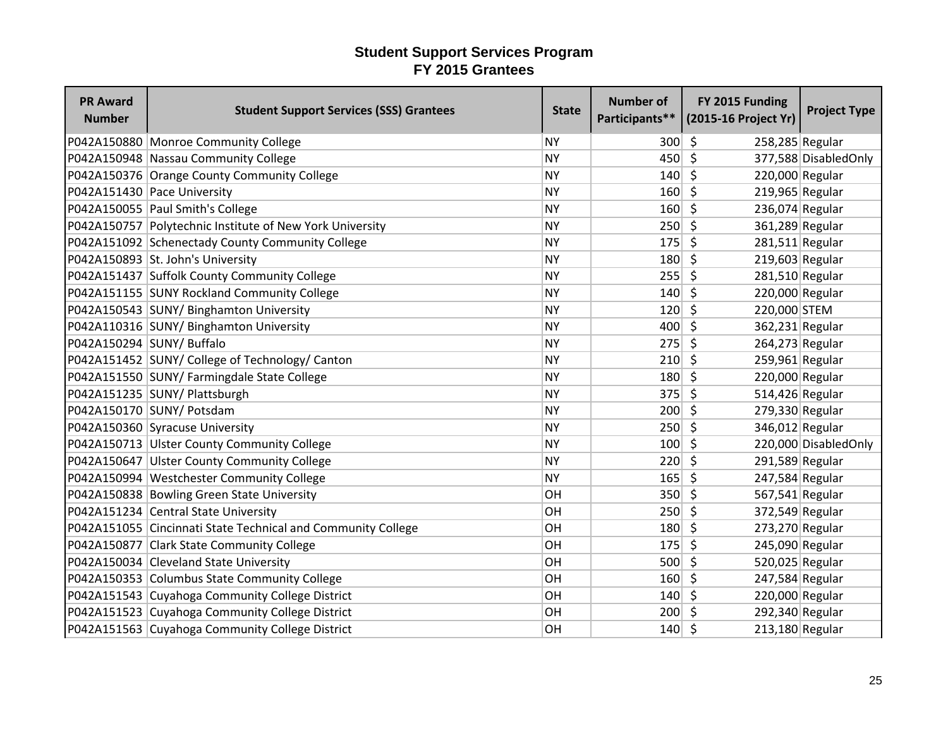| <b>PR Award</b><br><b>Number</b> | <b>Student Support Services (SSS) Grantees</b>               | <b>State</b> | <b>Number of</b> | FY 2015 Funding<br>Participants** (2015-16 Project Yr) | <b>Project Type</b>  |
|----------------------------------|--------------------------------------------------------------|--------------|------------------|--------------------------------------------------------|----------------------|
|                                  | P042A150880 Monroe Community College                         | <b>NY</b>    | 300              | \$<br>258,285 Regular                                  |                      |
|                                  | P042A150948 Nassau Community College                         | <b>NY</b>    | 450              | $\zeta$                                                | 377,588 DisabledOnly |
|                                  | P042A150376 Orange County Community College                  | <b>NY</b>    | 140              | \$<br>220,000 Regular                                  |                      |
|                                  | P042A151430 Pace University                                  | <b>NY</b>    | 160              | $219,965$ Regular<br>Ŝ.                                |                      |
|                                  | P042A150055 Paul Smith's College                             | <b>NY</b>    | 160              | S.<br>236,074 Regular                                  |                      |
|                                  | P042A150757 Polytechnic Institute of New York University     | <b>NY</b>    | 250              | $\zeta$<br>361,289 Regular                             |                      |
|                                  | P042A151092 Schenectady County Community College             | <b>NY</b>    | 175              | $281,511$ Regular<br>$\zeta$                           |                      |
|                                  | P042A150893 St. John's University                            | <b>NY</b>    | 180              | 219,603 Regular<br>S.                                  |                      |
|                                  | P042A151437 Suffolk County Community College                 | <b>NY</b>    | 255              | \$<br>281,510 Regular                                  |                      |
|                                  | P042A151155 SUNY Rockland Community College                  | <b>NY</b>    | 140              | $\mathsf{\hat{S}}$<br>220,000 Regular                  |                      |
|                                  | P042A150543 SUNY/ Binghamton University                      | <b>NY</b>    | 120              | \$<br>220,000 STEM                                     |                      |
|                                  | P042A110316 SUNY/ Binghamton University                      | <b>NY</b>    | 400              | S.<br>362,231 Regular                                  |                      |
| P042A150294 SUNY/ Buffalo        |                                                              | <b>NY</b>    | $275$ \$         | 264,273 Regular                                        |                      |
|                                  | P042A151452 SUNY/ College of Technology/ Canton              | <b>NY</b>    | 210              | $\zeta$<br>$259,961$ Regular                           |                      |
|                                  | P042A151550 SUNY/ Farmingdale State College                  | <b>NY</b>    | 180              | $\zeta$<br>220,000 Regular                             |                      |
|                                  | P042A151235 SUNY/ Plattsburgh                                | <b>NY</b>    | 375              | \$<br>514,426 Regular                                  |                      |
|                                  | P042A150170 SUNY/ Potsdam                                    | <b>NY</b>    | 200              | \$<br>279,330 Regular                                  |                      |
|                                  | P042A150360 Syracuse University                              | <b>NY</b>    | 250              | 346,012 Regular<br>\$                                  |                      |
|                                  | P042A150713 Ulster County Community College                  | <b>NY</b>    | 100              | Ŝ.                                                     | 220,000 DisabledOnly |
|                                  | P042A150647 Ulster County Community College                  | <b>NY</b>    | 220              | $\zeta$<br>291,589 Regular                             |                      |
|                                  | P042A150994 Westchester Community College                    | <b>NY</b>    | 165              | $\zeta$<br>247,584 Regular                             |                      |
|                                  | P042A150838 Bowling Green State University                   | OH           | $350$ \$         | 567,541 Regular                                        |                      |
|                                  | P042A151234 Central State University                         | OH           | 250              | \$<br>372,549 Regular                                  |                      |
|                                  | P042A151055 Cincinnati State Technical and Community College | OH           | 180              | $\zeta$<br>273,270 Regular                             |                      |
|                                  | P042A150877 Clark State Community College                    | OH           | 175              | \$<br>245,090 Regular                                  |                      |
|                                  | P042A150034 Cleveland State University                       | OH           | 500              | 520,025 Regular<br>Ŝ.                                  |                      |
|                                  | P042A150353 Columbus State Community College                 | OH           | 160              | $\zeta$<br>247,584 Regular                             |                      |
|                                  | P042A151543 Cuyahoga Community College District              | OH           | 140              | 220,000 Regular<br>-\$                                 |                      |
|                                  | P042A151523 Cuyahoga Community College District              | OH           | 200              | 292,340 Regular<br>5                                   |                      |
|                                  | P042A151563 Cuyahoga Community College District              | OH           | 140              | \$<br>213,180 Regular                                  |                      |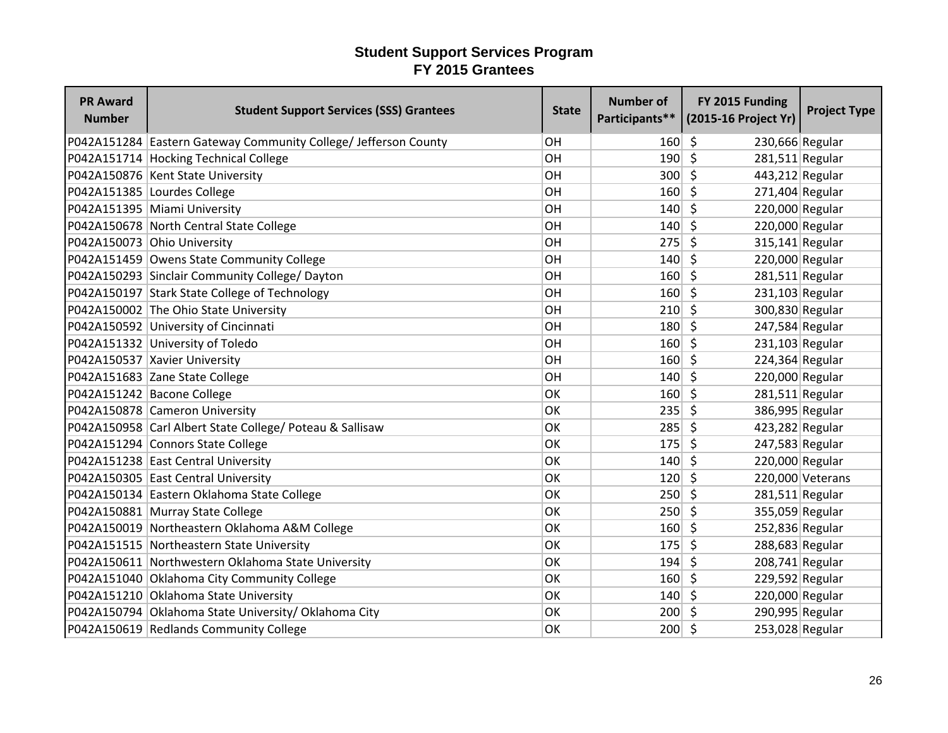| <b>PR Award</b><br><b>Number</b> | <b>Student Support Services (SSS) Grantees</b>                  | <b>State</b> | <b>Number of</b> | FY 2015 Funding<br>Participants** (2015-16 Project Yr) | <b>Project Type</b> |
|----------------------------------|-----------------------------------------------------------------|--------------|------------------|--------------------------------------------------------|---------------------|
|                                  | P042A151284 Eastern Gateway Community College/ Jefferson County | OH           | 160              | 5<br>230,666 Regular                                   |                     |
|                                  | P042A151714 Hocking Technical College                           | OH           | 190              | $\zeta$<br>$281,511$ Regular                           |                     |
|                                  | P042A150876 Kent State University                               | OH           | 300 5            | 443,212 Regular                                        |                     |
|                                  | P042A151385 Lourdes College                                     | OH           | 160              | $271,404$ Regular<br>-\$                               |                     |
|                                  | P042A151395 Miami University                                    | OH           | 140              | S.<br>220,000 Regular                                  |                     |
|                                  | P042A150678 North Central State College                         | OH           | 140              | $\zeta$<br>220,000 Regular                             |                     |
|                                  | P042A150073 Ohio University                                     | OH           | 275              | $\zeta$<br>$315,141$ Regular                           |                     |
|                                  | P042A151459 Owens State Community College                       | OH           | 140              | 220,000 Regular<br>Ŝ.                                  |                     |
|                                  | P042A150293 Sinclair Community College/ Dayton                  | OH           | 160              | $281,511$ Regular<br>S.                                |                     |
|                                  | P042A150197 Stark State College of Technology                   | OH           | 160              | $\zeta$<br>231,103 Regular                             |                     |
|                                  | P042A150002 The Ohio State University                           | OH           | 210              | 300,830 Regular<br>-\$                                 |                     |
|                                  | P042A150592 University of Cincinnati                            | OH           | 180              | 5<br>247,584 Regular                                   |                     |
|                                  | P042A151332 University of Toledo                                | OH           | $160 \mid 5$     | $231,103$ Regular                                      |                     |
|                                  | P042A150537 Xavier University                                   | OH           | 160              | 224,364 Regular<br>-\$                                 |                     |
|                                  | P042A151683 Zane State College                                  | OH           | $140 \mid 5$     | 220,000 Regular                                        |                     |
|                                  | P042A151242 Bacone College                                      | OK           | 160              | $\zeta$<br>$281,511$ Regular                           |                     |
|                                  | P042A150878 Cameron University                                  | OK           | 235              | $\mathsf{\hat{S}}$<br>386,995 Regular                  |                     |
|                                  | P042A150958 Carl Albert State College/ Poteau & Sallisaw        | OK           | 285              | 423,282 Regular<br>Ŝ.                                  |                     |
|                                  | P042A151294 Connors State College                               | OK           | 175              | 247,583 Regular<br>Ŝ.                                  |                     |
|                                  | P042A151238 East Central University                             | OK           | 140              | S.<br>220,000 Regular                                  |                     |
|                                  | P042A150305 East Central University                             | OK           | $120 \mid 5$     |                                                        | 220,000 Veterans    |
|                                  | P042A150134 Eastern Oklahoma State College                      | OK           | $250 \mid 5$     | $281,511$ Regular                                      |                     |
|                                  | P042A150881 Murray State College                                | OK           | 250              | $\zeta$<br>355,059 Regular                             |                     |
|                                  | P042A150019 Northeastern Oklahoma A&M College                   | OK           | 160              | $\zeta$<br>252,836 Regular                             |                     |
|                                  | P042A151515 Northeastern State University                       | OK           | 175              | Ŝ.<br>288,683 Regular                                  |                     |
|                                  | P042A150611 Northwestern Oklahoma State University              | OK           | 194              | 208,741 Regular<br>Ŝ.                                  |                     |
|                                  | P042A151040 Oklahoma City Community College                     | OK           | 160              | Ŝ.<br>229,592 Regular                                  |                     |
|                                  | P042A151210 Oklahoma State University                           | OK           | $140 \mid 5$     | 220,000 Regular                                        |                     |
|                                  | P042A150794 Oklahoma State University/ Oklahoma City            | OK           | 200              | 290,995 Regular<br>- \$                                |                     |
|                                  | P042A150619 Redlands Community College                          | OK           | $200 \mid 5$     | 253,028 Regular                                        |                     |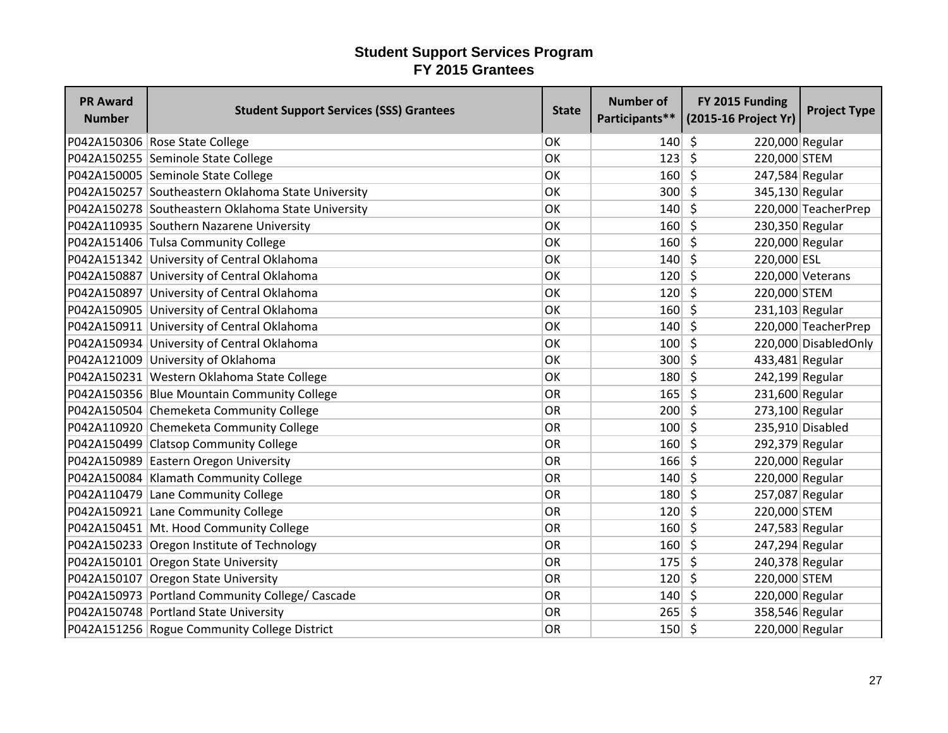| <b>PR Award</b><br><b>Number</b> | <b>Student Support Services (SSS) Grantees</b>     | <b>State</b> | <b>Number of</b> | FY 2015 Funding<br>Participants** (2015-16 Project Yr) | <b>Project Type</b>   |
|----------------------------------|----------------------------------------------------|--------------|------------------|--------------------------------------------------------|-----------------------|
|                                  | P042A150306 Rose State College                     | OK           | 140              | Ŝ.<br>220,000 Regular                                  |                       |
|                                  | P042A150255 Seminole State College                 | OK           | 123              | $\zeta$<br>220,000 STEM                                |                       |
|                                  | P042A150005 Seminole State College                 | OK           | 160              | $\zeta$<br>247,584 Regular                             |                       |
|                                  | P042A150257 Southeastern Oklahoma State University | OK           | 300              | $\zeta$<br>345,130 Regular                             |                       |
|                                  | P042A150278 Southeastern Oklahoma State University | OK           | 140              | \$                                                     | 220,000 TeacherPrep   |
|                                  | P042A110935 Southern Nazarene University           | OK           | 160              | \$<br>230,350 Regular                                  |                       |
|                                  | P042A151406 Tulsa Community College                | OK           | 160              | \$<br>220,000 Regular                                  |                       |
|                                  | P042A151342 University of Central Oklahoma         | OK           | 140              | $\zeta$<br>220,000 ESL                                 |                       |
|                                  | P042A150887 University of Central Oklahoma         | OK           | 120              | \$                                                     | 220,000 Veterans      |
|                                  | P042A150897 University of Central Oklahoma         | OK           | 120              | $\zeta$<br>220,000 STEM                                |                       |
|                                  | P042A150905 University of Central Oklahoma         | OK           | 160              | \$<br>$231,103$ Regular                                |                       |
|                                  | P042A150911 University of Central Oklahoma         | OK           | 140              | \$                                                     | 220,000 TeacherPrep   |
|                                  | P042A150934 University of Central Oklahoma         | OK           | 100              | $\zeta$                                                | 220,000 Disabled Only |
|                                  | P042A121009 University of Oklahoma                 | OK           | 300              | $\zeta$<br>433,481 Regular                             |                       |
|                                  | P042A150231 Western Oklahoma State College         | OK           | 180              | 242,199 Regular<br>Ŝ.                                  |                       |
|                                  | P042A150356 Blue Mountain Community College        | OR           | 165              | \$<br>231,600 Regular                                  |                       |
|                                  | P042A150504 Chemeketa Community College            | OR           | 200              | $\zeta$<br>273,100 Regular                             |                       |
|                                  | P042A110920 Chemeketa Community College            | OR           | 100              | \$                                                     | 235,910 Disabled      |
|                                  | P042A150499 Clatsop Community College              | OR           | 160              | Ŝ.<br>292,379 Regular                                  |                       |
|                                  | P042A150989 Eastern Oregon University              | OR           | 166              | $\zeta$<br>220,000 Regular                             |                       |
|                                  | P042A150084 Klamath Community College              | OR           | 140              | \$<br>220,000 Regular                                  |                       |
|                                  | P042A110479 Lane Community College                 | OR           | 180              | $\zeta$<br>257,087 Regular                             |                       |
|                                  | P042A150921 Lane Community College                 | OR           | 120              | 220,000 STEM<br>\$                                     |                       |
|                                  | P042A150451   Mt. Hood Community College           | OR           | 160              | $\zeta$<br>247,583 Regular                             |                       |
|                                  | P042A150233 Oregon Institute of Technology         | OR           | 160              | $\zeta$<br>247,294 Regular                             |                       |
|                                  | P042A150101 Oregon State University                | OR           | 175              | \$<br>240,378 Regular                                  |                       |
|                                  | P042A150107 Oregon State University                | OR           | 120              | \$<br>220,000 STEM                                     |                       |
|                                  | P042A150973 Portland Community College/ Cascade    | OR           | 140              | \$<br>220,000 Regular                                  |                       |
|                                  | P042A150748 Portland State University              | OR           | 265              | 358,546 Regular<br>S.                                  |                       |
|                                  | P042A151256 Rogue Community College District       | OR           | 150              | -\$<br>220,000 Regular                                 |                       |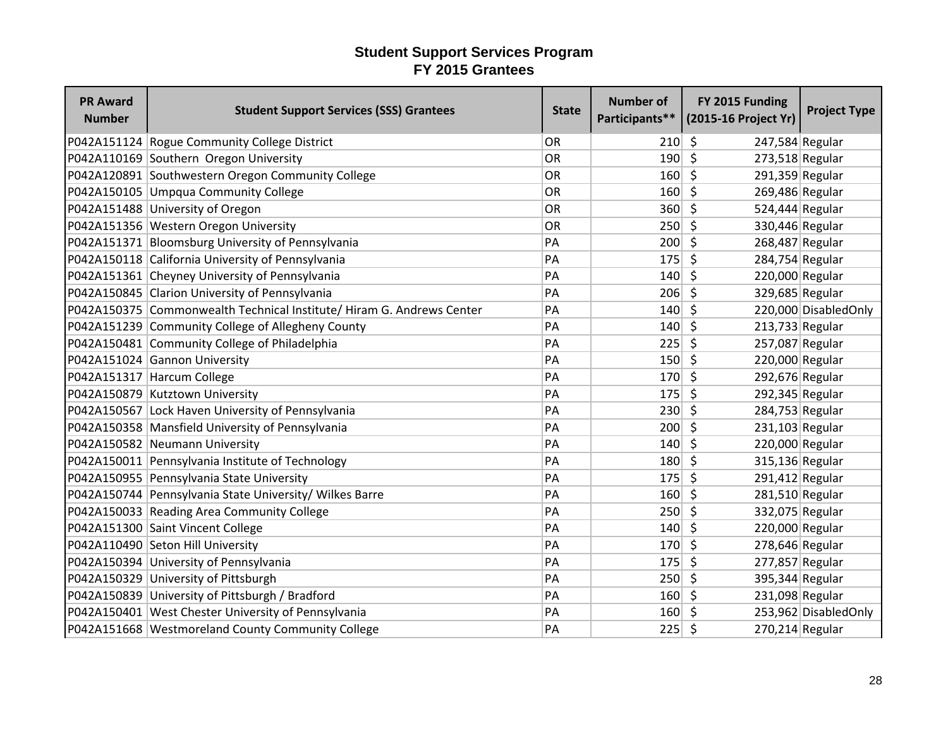| <b>PR Award</b><br><b>Number</b> | <b>Student Support Services (SSS) Grantees</b>                        | <b>State</b> | <b>Number of</b> | FY 2015 Funding<br>Participants** (2015-16 Project Yr) | <b>Project Type</b>  |
|----------------------------------|-----------------------------------------------------------------------|--------------|------------------|--------------------------------------------------------|----------------------|
|                                  | P042A151124 Rogue Community College District                          | OR           | 210              | $\zeta$<br>247,584 Regular                             |                      |
|                                  | P042A110169 Southern Oregon University                                | OR           | 190              | $\zeta$<br>$273,518$ Regular                           |                      |
|                                  | P042A120891 Southwestern Oregon Community College                     | OR           | 160              | $\zeta$<br>291,359 Regular                             |                      |
|                                  | P042A150105 Umpqua Community College                                  | OR           | 160              | 269,486 Regular<br>S.                                  |                      |
|                                  | P042A151488 University of Oregon                                      | OR           | 360              | $\zeta$<br>$524,444$ Regular                           |                      |
|                                  | P042A151356 Western Oregon University                                 | OR           | 250              | $\zeta$<br>330,446 Regular                             |                      |
|                                  | P042A151371 Bloomsburg University of Pennsylvania                     | PA           | 200              | $\zeta$<br>268,487 Regular                             |                      |
|                                  | P042A150118 California University of Pennsylvania                     | PA           | 175              | 284,754 Regular<br>S.                                  |                      |
|                                  | P042A151361 Cheyney University of Pennsylvania                        | PA           | 140              | $\zeta$<br>220,000 Regular                             |                      |
|                                  | P042A150845 Clarion University of Pennsylvania                        | PA           | 206              | 329,685 Regular<br>$\zeta$                             |                      |
|                                  | P042A150375 Commonwealth Technical Institute/ Hiram G. Andrews Center | PA           | 140              | \$                                                     | 220,000 DisabledOnly |
|                                  | P042A151239 Community College of Allegheny County                     | PA           | 140              | \$<br>$213,733$ Regular                                |                      |
|                                  | P042A150481 Community College of Philadelphia                         | PA           | 225              | \$<br>257,087 Regular                                  |                      |
|                                  | P042A151024 Gannon University                                         | PA           | 150              | $\zeta$<br>220,000 Regular                             |                      |
|                                  | P042A151317 Harcum College                                            | PA           | 170              | $\zeta$<br>292,676 Regular                             |                      |
|                                  | P042A150879 Kutztown University                                       | PA           | 175              | $\zeta$<br>292,345 Regular                             |                      |
|                                  | P042A150567 Lock Haven University of Pennsylvania                     | PA           | 230              | \$<br>284,753 Regular                                  |                      |
|                                  | P042A150358 Mansfield University of Pennsylvania                      | PA           | 200              | $\zeta$<br>$231,103$ Regular                           |                      |
|                                  | P042A150582 Neumann University                                        | PA           | 140              | Ŝ.<br>220,000 Regular                                  |                      |
|                                  | P042A150011 Pennsylvania Institute of Technology                      | PA           | 180              | $\zeta$<br>315,136 Regular                             |                      |
|                                  | P042A150955 Pennsylvania State University                             | PA           | 175              | S.<br>291,412 Regular                                  |                      |
|                                  | P042A150744 Pennsylvania State University/ Wilkes Barre               | PA           | 160              | 281,510 Regular<br>- Ś                                 |                      |
|                                  | P042A150033 Reading Area Community College                            | PA           | 250              | \$<br>332,075 Regular                                  |                      |
|                                  | P042A151300 Saint Vincent College                                     | PA           | 140              | $\mathsf{\hat{S}}$<br>220,000 Regular                  |                      |
|                                  | P042A110490 Seton Hill University                                     | PA           | 170              | \$<br>278,646 Regular                                  |                      |
|                                  | P042A150394 University of Pennsylvania                                | PA           | 175              | 277,857 Regular<br>Ŝ.                                  |                      |
|                                  | P042A150329 University of Pittsburgh                                  | PA           | 250              | $\zeta$<br>395,344 Regular                             |                      |
|                                  | P042A150839 University of Pittsburgh / Bradford                       | PA           | 160              | $\zeta$<br>231,098 Regular                             |                      |
|                                  | P042A150401 West Chester University of Pennsylvania                   | PA           | 160              | - \$                                                   | 253,962 DisabledOnly |
|                                  | P042A151668 Westmoreland County Community College                     | PA           | 225              | \$<br>270,214 Regular                                  |                      |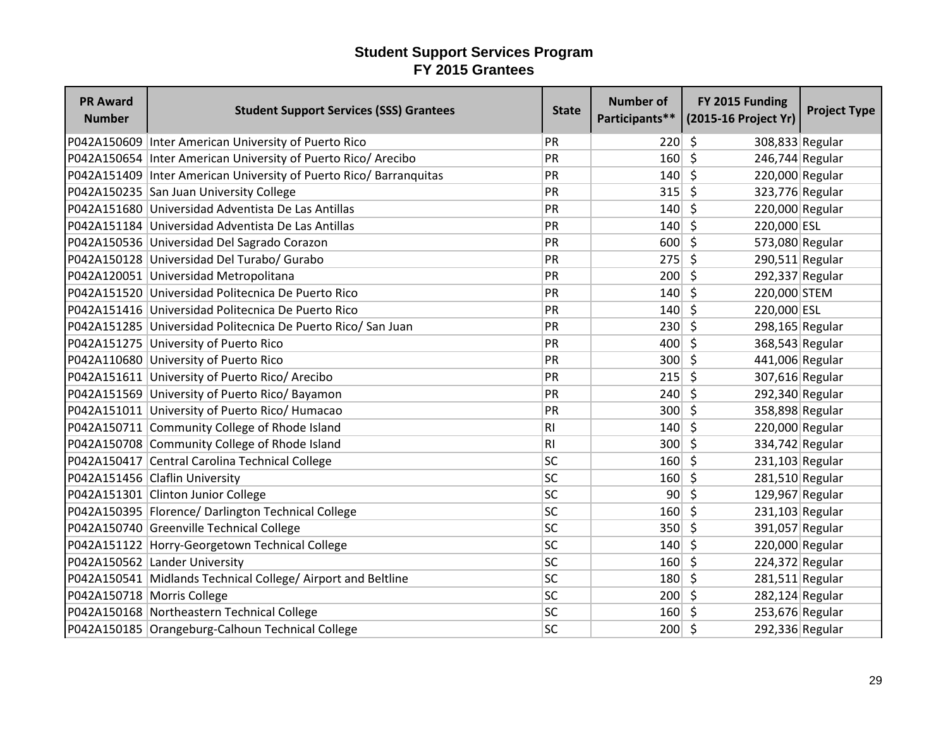| <b>PR Award</b><br><b>Number</b> | <b>Student Support Services (SSS) Grantees</b>                     | <b>State</b>   | <b>Number of</b> | FY 2015 Funding<br>Participants** (2015-16 Project Yr) | <b>Project Type</b> |
|----------------------------------|--------------------------------------------------------------------|----------------|------------------|--------------------------------------------------------|---------------------|
|                                  | P042A150609 Inter American University of Puerto Rico               | PR             | 220              | -\$<br>308,833 Regular                                 |                     |
|                                  | P042A150654   Inter American University of Puerto Rico/ Arecibo    | PR             | 160              | $\zeta$<br>246,744 Regular                             |                     |
|                                  | P042A151409 Inter American University of Puerto Rico/ Barranquitas | PR             | 140              | $\zeta$<br>220,000 Regular                             |                     |
|                                  | P042A150235 San Juan University College                            | PR             | 315              | S.<br>323,776 Regular                                  |                     |
|                                  | P042A151680 Universidad Adventista De Las Antillas                 | PR             | 140              | S.<br>220,000 Regular                                  |                     |
|                                  | P042A151184 Universidad Adventista De Las Antillas                 | PR             | 140              | $\zeta$<br>220,000 ESL                                 |                     |
|                                  | P042A150536 Universidad Del Sagrado Corazon                        | PR             | 600              | $\zeta$<br>573,080 Regular                             |                     |
|                                  | P042A150128 Universidad Del Turabo/ Gurabo                         | PR             | $275$ \$         | $290,511$ Regular                                      |                     |
|                                  | P042A120051 Universidad Metropolitana                              | PR             | 200              | \$<br>292,337 Regular                                  |                     |
|                                  | P042A151520 Universidad Politecnica De Puerto Rico                 | PR             | 140              | $\zeta$<br>220,000 STEM                                |                     |
|                                  | P042A151416 Universidad Politecnica De Puerto Rico                 | PR             | 140              | \$<br>220,000 ESL                                      |                     |
|                                  | P042A151285 Universidad Politecnica De Puerto Rico/ San Juan       | PR             | 230              | $\zeta$<br>298,165 Regular                             |                     |
|                                  | P042A151275 University of Puerto Rico                              | PR             | 400              | $\zeta$<br>368,543 Regular                             |                     |
|                                  | P042A110680 University of Puerto Rico                              | PR             | 300 5            | 441,006 Regular                                        |                     |
|                                  | P042A151611 University of Puerto Rico/ Arecibo                     | PR             | $215 \mid 5$     | 307,616 Regular                                        |                     |
|                                  | P042A151569 University of Puerto Rico/ Bayamon                     | PR             | 240              | \$<br>292,340 Regular                                  |                     |
|                                  | P042A151011 University of Puerto Rico/ Humacao                     | PR             | 300              | $\zeta$<br>358,898 Regular                             |                     |
|                                  | P042A150711 Community College of Rhode Island                      | R <sub>l</sub> | 140              | \$<br>220,000 Regular                                  |                     |
|                                  | P042A150708 Community College of Rhode Island                      | R1             | 300              | 334,742 Regular<br>S.                                  |                     |
|                                  | P042A150417 Central Carolina Technical College                     | SC             | 160              | $\zeta$<br>$231,103$ Regular                           |                     |
|                                  | P042A151456 Claflin University                                     | SC             | $160 \mid 5$     | 281,510 Regular                                        |                     |
|                                  | P042A151301 Clinton Junior College                                 | SC             | 90 <sup>°</sup>  | 129,967 Regular<br>\$                                  |                     |
|                                  | P042A150395   Florence/ Darlington Technical College               | SC             | 160              | $\zeta$<br>$231,103$ Regular                           |                     |
|                                  | P042A150740 Greenville Technical College                           | SC             | 350              | $\zeta$<br>391,057 Regular                             |                     |
|                                  | P042A151122 Horry-Georgetown Technical College                     | SC             | 140              | $\zeta$<br>220,000 Regular                             |                     |
|                                  | P042A150562 Lander University                                      | <b>SC</b>      | 160              | 224,372 Regular<br>Ŝ.                                  |                     |
|                                  | P042A150541 Midlands Technical College/ Airport and Beltline       | <b>SC</b>      | 180              | $\zeta$<br>$281,511$ Regular                           |                     |
| P042A150718 Morris College       |                                                                    | SC             | $200 \mid 5$     | 282,124 Regular                                        |                     |
|                                  | P042A150168 Northeastern Technical College                         | SC             | 160              | 253,676 Regular<br>-\$                                 |                     |
|                                  | P042A150185 Orangeburg-Calhoun Technical College                   | <b>SC</b>      | $200 \mid 5$     | 292,336 Regular                                        |                     |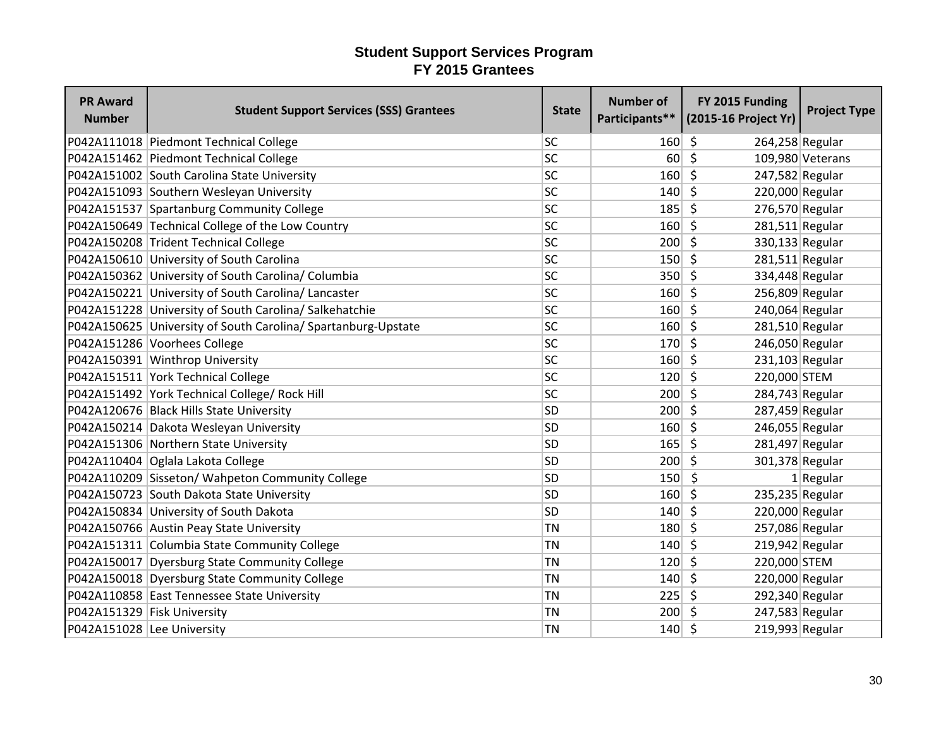| <b>PR Award</b><br><b>Number</b> | <b>Student Support Services (SSS) Grantees</b>                | <b>State</b> | <b>Number of</b> | FY 2015 Funding<br>Participants** (2015-16 Project Yr) | <b>Project Type</b> |
|----------------------------------|---------------------------------------------------------------|--------------|------------------|--------------------------------------------------------|---------------------|
|                                  | P042A111018 Piedmont Technical College                        | <b>SC</b>    | 160              | \$<br>264,258 Regular                                  |                     |
|                                  | P042A151462 Piedmont Technical College                        | SC           | 60               | $\zeta$                                                | 109,980 Veterans    |
|                                  | P042A151002 South Carolina State University                   | SC           | 160              | $\zeta$<br>247,582 Regular                             |                     |
|                                  | P042A151093 Southern Wesleyan University                      | SC           | 140              | \$<br>220,000 Regular                                  |                     |
|                                  | P042A151537 Spartanburg Community College                     | <b>SC</b>    | 185              | \$<br>276,570 Regular                                  |                     |
|                                  | P042A150649 Technical College of the Low Country              | SC           | 160              | \$<br>281,511 Regular                                  |                     |
|                                  | P042A150208 Trident Technical College                         | <b>SC</b>    | 200              | $\zeta$<br>330,133 Regular                             |                     |
|                                  | P042A150610 University of South Carolina                      | SC           | 150              | -Ś<br>$281,511$ Regular                                |                     |
|                                  | P042A150362 University of South Carolina/ Columbia            | <b>SC</b>    | 350              | \$<br>334,448 Regular                                  |                     |
|                                  | P042A150221 University of South Carolina/ Lancaster           | SC           | 160              | S.<br>256,809 Regular                                  |                     |
|                                  | P042A151228 University of South Carolina/ Salkehatchie        | <b>SC</b>    | 160              | \$<br>240,064 Regular                                  |                     |
|                                  | P042A150625 University of South Carolina/ Spartanburg-Upstate | <b>SC</b>    | 160              | 281,510 Regular<br>-\$                                 |                     |
|                                  | P042A151286 Voorhees College                                  | SC           | 170              | $\zeta$<br>246,050 Regular                             |                     |
|                                  | P042A150391 Winthrop University                               | SC           | 160              | $\mathsf{\hat{S}}$<br>231,103 Regular                  |                     |
|                                  | P042A151511 York Technical College                            | SC           | 120              | -\$<br>220,000 STEM                                    |                     |
|                                  | P042A151492 York Technical College/ Rock Hill                 | <b>SC</b>    | 200              | $\zeta$<br>284,743 Regular                             |                     |
|                                  | P042A120676 Black Hills State University                      | <b>SD</b>    | 200              | $\zeta$<br>287,459 Regular                             |                     |
|                                  | P042A150214 Dakota Wesleyan University                        | <b>SD</b>    | 160              | \$<br>246,055 Regular                                  |                     |
|                                  | P042A151306 Northern State University                         | <b>SD</b>    | 165              | \$<br>281,497 Regular                                  |                     |
|                                  | P042A110404 Oglala Lakota College                             | <b>SD</b>    | 200              | \$<br>301,378 Regular                                  |                     |
|                                  | P042A110209 Sisseton/ Wahpeton Community College              | <b>SD</b>    | 150              | \$                                                     | $1$ Regular         |
|                                  | P042A150723 South Dakota State University                     | <b>SD</b>    | 160              | 235,235 Regular<br>S,                                  |                     |
|                                  | P042A150834 University of South Dakota                        | <b>SD</b>    | 140              | 220,000 Regular<br>S.                                  |                     |
|                                  | P042A150766 Austin Peay State University                      | <b>TN</b>    | 180              | $\zeta$<br>257,086 Regular                             |                     |
|                                  | P042A151311 Columbia State Community College                  | <b>TN</b>    | 140              | \$<br>219,942 Regular                                  |                     |
|                                  | P042A150017 Dyersburg State Community College                 | <b>TN</b>    | 120              | 220,000 STEM<br>\$                                     |                     |
|                                  | P042A150018 Dyersburg State Community College                 | <b>TN</b>    | 140              | \$<br>220,000 Regular                                  |                     |
|                                  | P042A110858 East Tennessee State University                   | <b>TN</b>    | 225              | $\zeta$<br>292,340 Regular                             |                     |
| P042A151329 Fisk University      |                                                               | <b>TN</b>    | 200              | 247,583 Regular<br>\$                                  |                     |
| P042A151028 Lee University       |                                                               | <b>TN</b>    | 140              | $\zeta$<br>219,993 Regular                             |                     |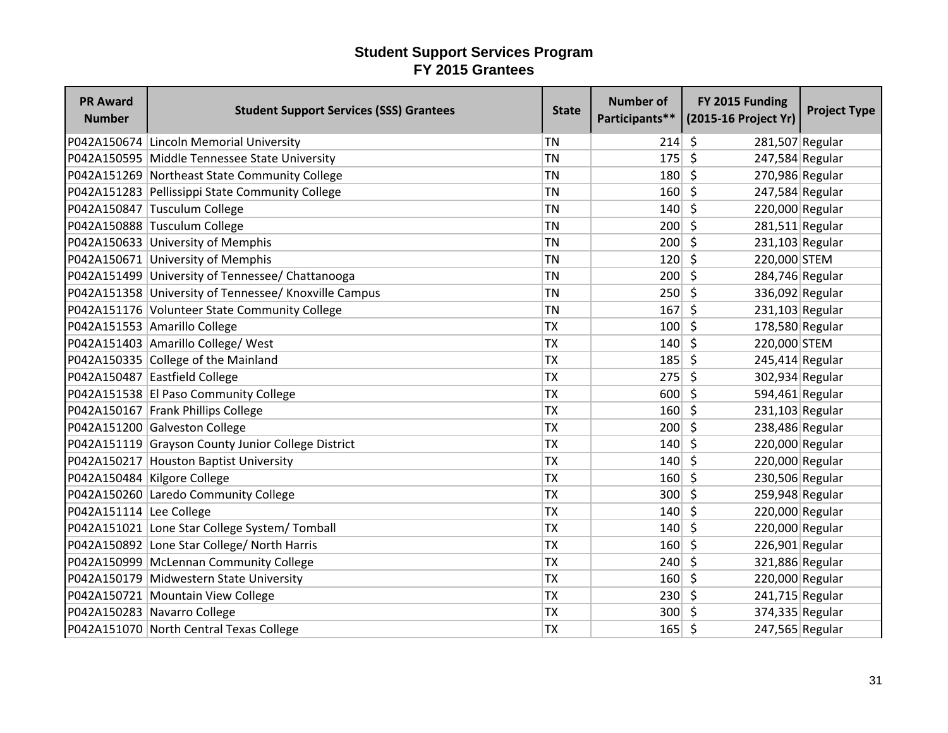| <b>PR Award</b><br><b>Number</b> | <b>Student Support Services (SSS) Grantees</b>        | <b>State</b> | <b>Number of</b> | FY 2015 Funding<br>Participants** (2015-16 Project Yr) | <b>Project Type</b> |
|----------------------------------|-------------------------------------------------------|--------------|------------------|--------------------------------------------------------|---------------------|
|                                  | P042A150674 Lincoln Memorial University               | <b>TN</b>    | 214              | -\$<br>281,507 Regular                                 |                     |
|                                  | P042A150595 Middle Tennessee State University         | <b>TN</b>    | 175              | $\zeta$<br>247,584 Regular                             |                     |
|                                  | P042A151269 Northeast State Community College         | <b>TN</b>    | 180              | $\mathsf{\hat{S}}$<br>270,986 Regular                  |                     |
|                                  | P042A151283 Pellissippi State Community College       | <b>TN</b>    | 160              | \$<br>247,584 Regular                                  |                     |
|                                  | P042A150847 Tusculum College                          | <b>TN</b>    | 140              | \$<br>220,000 Regular                                  |                     |
|                                  | P042A150888 Tusculum College                          | <b>TN</b>    | 200              | \$<br>$281,511$ Regular                                |                     |
|                                  | P042A150633 University of Memphis                     | <b>TN</b>    | 200              | S.<br>231,103 Regular                                  |                     |
|                                  | P042A150671 University of Memphis                     | <b>TN</b>    | 120              | $\zeta$<br>220,000 STEM                                |                     |
|                                  | P042A151499 University of Tennessee/ Chattanooga      | <b>TN</b>    | 200              | $\zeta$<br>284,746 Regular                             |                     |
|                                  | P042A151358 University of Tennessee/ Knoxville Campus | <b>TN</b>    | 250              | $\zeta$<br>336,092 Regular                             |                     |
|                                  | P042A151176 Volunteer State Community College         | <b>TN</b>    | 167              | \$<br>$231,103$ Regular                                |                     |
|                                  | P042A151553 Amarillo College                          | <b>TX</b>    | 100              | \$<br>178,580 Regular                                  |                     |
|                                  | P042A151403 Amarillo College/ West                    | <b>TX</b>    | 140              | $\zeta$<br>220,000 STEM                                |                     |
|                                  | P042A150335 College of the Mainland                   | <b>TX</b>    | 185              | S.<br>245,414 Regular                                  |                     |
|                                  | P042A150487 Eastfield College                         | <b>TX</b>    | 275              | -Ś<br>302,934 Regular                                  |                     |
|                                  | P042A151538 El Paso Community College                 | <b>TX</b>    | 600              | Ŝ.<br>594,461 Regular                                  |                     |
|                                  | P042A150167 Frank Phillips College                    | <b>TX</b>    | 160              | $\mathsf{\hat{S}}$<br>231,103 Regular                  |                     |
|                                  | P042A151200 Galveston College                         | <b>TX</b>    | 200              | \$<br>238,486 Regular                                  |                     |
|                                  | P042A151119 Grayson County Junior College District    | <b>TX</b>    | 140              | 220,000 Regular<br>Ŝ.                                  |                     |
|                                  | P042A150217 Houston Baptist University                | <b>TX</b>    | 140              | \$<br>220,000 Regular                                  |                     |
|                                  | P042A150484 Kilgore College                           | <b>TX</b>    | 160              | $\zeta$<br>230,506 Regular                             |                     |
|                                  | P042A150260 Laredo Community College                  | <b>TX</b>    | 300              | 259,948 Regular<br>S.                                  |                     |
| P042A151114 Lee College          |                                                       | <b>TX</b>    | 140              | 220,000 Regular<br>S.                                  |                     |
|                                  | P042A151021 Lone Star College System/Tomball          | <b>TX</b>    | 140              | $\zeta$<br>220,000 Regular                             |                     |
|                                  | P042A150892 Lone Star College/ North Harris           | <b>TX</b>    | 160              | $\zeta$<br>226,901 Regular                             |                     |
|                                  | P042A150999 McLennan Community College                | <b>TX</b>    | 240              | 321,886 Regular<br>\$                                  |                     |
|                                  | P042A150179 Midwestern State University               | <b>TX</b>    | 160              | \$<br>220,000 Regular                                  |                     |
|                                  | P042A150721 Mountain View College                     | <b>TX</b>    | 230              | $\mathsf{\hat{S}}$<br>241,715 Regular                  |                     |
|                                  | P042A150283 Navarro College                           | <b>TX</b>    | 300              | 374,335 Regular<br>$\zeta$                             |                     |
|                                  | P042A151070 North Central Texas College               | <b>TX</b>    | 165              | -\$<br>247,565 Regular                                 |                     |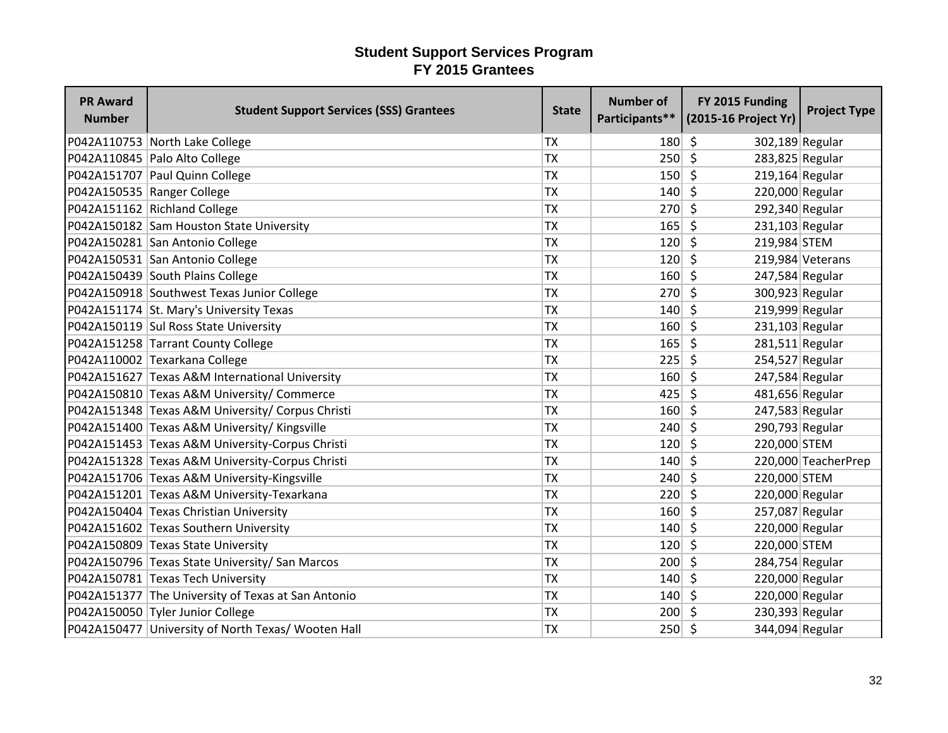| <b>PR Award</b><br><b>Number</b> | <b>Student Support Services (SSS) Grantees</b>     | <b>State</b> | <b>Number of</b> | FY 2015 Funding<br>Participants** (2015-16 Project Yr) | <b>Project Type</b> |
|----------------------------------|----------------------------------------------------|--------------|------------------|--------------------------------------------------------|---------------------|
|                                  | P042A110753 North Lake College                     | <b>TX</b>    | 180              | -\$<br>302,189 Regular                                 |                     |
|                                  | P042A110845 Palo Alto College                      | <b>TX</b>    | 250              | $\mathsf{\S}$<br>283,825 Regular                       |                     |
|                                  | P042A151707 Paul Quinn College                     | <b>TX</b>    | 150              | -\$<br>$219,164$ Regular                               |                     |
|                                  | P042A150535 Ranger College                         | <b>TX</b>    | 140              | \$<br>220,000 Regular                                  |                     |
|                                  | P042A151162 Richland College                       | <b>TX</b>    | 270              | Ŝ.<br>292,340 Regular                                  |                     |
|                                  | P042A150182 Sam Houston State University           | <b>TX</b>    | 165              | $\zeta$<br>$231,103$ Regular                           |                     |
|                                  | P042A150281 San Antonio College                    | <b>TX</b>    | 120              | S.<br>219,984 STEM                                     |                     |
|                                  | P042A150531 San Antonio College                    | <b>TX</b>    | 120              | - Ś                                                    | 219,984 Veterans    |
|                                  | P042A150439 South Plains College                   | <b>TX</b>    | 160              | $\zeta$<br>247,584 Regular                             |                     |
|                                  | P042A150918 Southwest Texas Junior College         | <b>TX</b>    | 270              | $\zeta$<br>300,923 Regular                             |                     |
|                                  | P042A151174 St. Mary's University Texas            | <b>TX</b>    | 140              | \$<br>219,999 Regular                                  |                     |
|                                  | P042A150119 Sul Ross State University              | <b>TX</b>    | 160              | -\$<br>231,103 Regular                                 |                     |
|                                  | P042A151258 Tarrant County College                 | <b>TX</b>    | 165              | $\zeta$<br>$281,511$ Regular                           |                     |
|                                  | P042A110002 Texarkana College                      | <b>TX</b>    | 225              | -Ś<br>254,527 Regular                                  |                     |
|                                  | P042A151627 Texas A&M International University     | <b>TX</b>    | 160              | 247,584 Regular<br>-\$                                 |                     |
|                                  | P042A150810 Texas A&M University/ Commerce         | <b>TX</b>    | 425              | S.<br>481,656 Regular                                  |                     |
|                                  | P042A151348 Texas A&M University/ Corpus Christi   | <b>TX</b>    | 160              | \$<br>247,583 Regular                                  |                     |
|                                  | P042A151400 Texas A&M University/ Kingsville       | <b>TX</b>    | 240              | \$<br>290,793 Regular                                  |                     |
|                                  | P042A151453 Texas A&M University-Corpus Christi    | <b>TX</b>    | 120              | Ŝ.<br>220,000 STEM                                     |                     |
|                                  | P042A151328 Texas A&M University-Corpus Christi    | <b>TX</b>    | 140              | $\zeta$                                                | 220,000 TeacherPrep |
|                                  | P042A151706 Texas A&M University-Kingsville        | <b>TX</b>    | 240              | \$<br>220,000 STEM                                     |                     |
|                                  | P042A151201 Texas A&M University-Texarkana         | <b>TX</b>    | 220              | -S<br>220,000 Regular                                  |                     |
|                                  | P042A150404 Texas Christian University             | <b>TX</b>    | 160              | 257,087 Regular<br>-\$                                 |                     |
|                                  | P042A151602 Texas Southern University              | <b>TX</b>    | 140              | $\zeta$<br>220,000 Regular                             |                     |
|                                  | P042A150809 Texas State University                 | <b>TX</b>    | 120              | $\zeta$<br>220,000 STEM                                |                     |
|                                  | P042A150796 Texas State University/ San Marcos     | <b>TX</b>    | 200              | \$<br>284,754 Regular                                  |                     |
|                                  | P042A150781 Texas Tech University                  | <b>TX</b>    | 140              | \$<br>220,000 Regular                                  |                     |
|                                  | P042A151377 The University of Texas at San Antonio | <b>TX</b>    | 140              | \$<br>220,000 Regular                                  |                     |
|                                  | P042A150050 Tyler Junior College                   | <b>TX</b>    | 200              | 230,393 Regular<br>S.                                  |                     |
|                                  | P042A150477 University of North Texas/ Wooten Hall | <b>TX</b>    | 250              | -\$<br>344,094 Regular                                 |                     |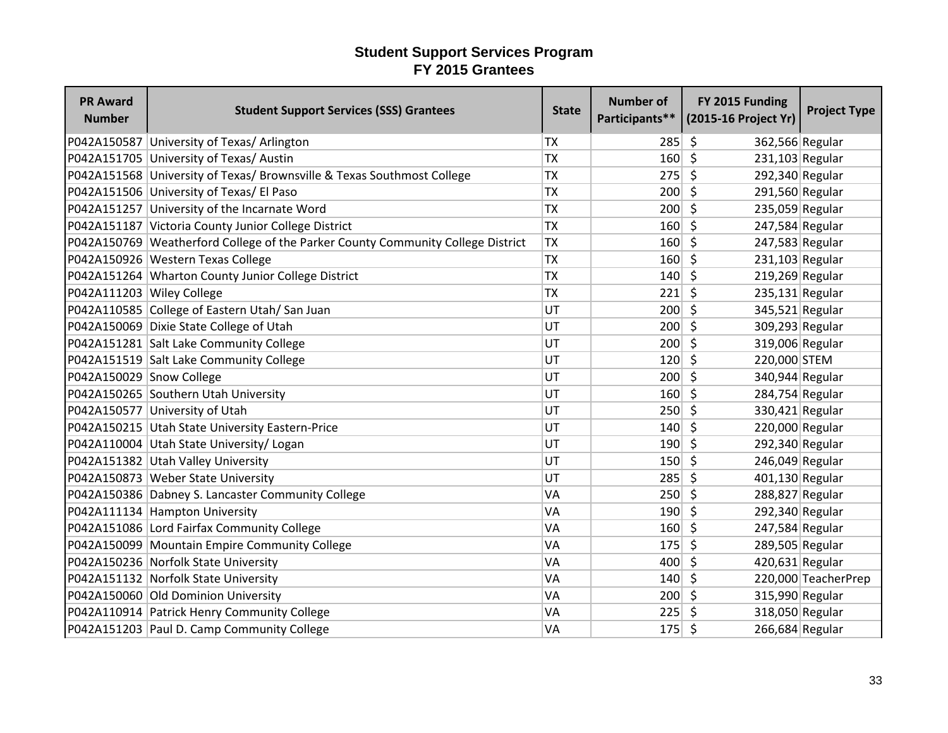| <b>PR Award</b><br><b>Number</b> | <b>Student Support Services (SSS) Grantees</b>                                  | <b>State</b> | <b>Number of</b> | FY 2015 Funding<br>Participants** (2015-16 Project Yr) | <b>Project Type</b> |
|----------------------------------|---------------------------------------------------------------------------------|--------------|------------------|--------------------------------------------------------|---------------------|
|                                  | P042A150587 University of Texas/ Arlington                                      | <b>TX</b>    | 285              | \$<br>362,566 Regular                                  |                     |
|                                  | P042A151705 University of Texas/ Austin                                         | <b>TX</b>    | 160              | $\zeta$<br>$231,103$ Regular                           |                     |
|                                  | P042A151568 University of Texas/ Brownsville & Texas Southmost College          | <b>TX</b>    | 275              | $\mathsf{\hat{S}}$<br>292,340 Regular                  |                     |
|                                  | P042A151506 University of Texas/ El Paso                                        | <b>TX</b>    | 200              | -Ś<br>291,560 Regular                                  |                     |
|                                  | P042A151257 University of the Incarnate Word                                    | <b>TX</b>    | 200              | Ŝ.<br>235,059 Regular                                  |                     |
|                                  | P042A151187 Victoria County Junior College District                             | <b>TX</b>    | 160              | $\zeta$<br>247,584 Regular                             |                     |
|                                  | P042A150769 Weatherford College of the Parker County Community College District | <b>TX</b>    | 160              | $\zeta$<br>247,583 Regular                             |                     |
|                                  | P042A150926 Western Texas College                                               | <b>TX</b>    | 160              | S.<br>$231,103$ Regular                                |                     |
|                                  | P042A151264 Wharton County Junior College District                              | <b>TX</b>    | 140              | $219,269$ Regular<br>$\zeta$                           |                     |
| P042A111203 Wiley College        |                                                                                 | <b>TX</b>    | 221              | $\zeta$<br>235,131 Regular                             |                     |
|                                  | P042A110585 College of Eastern Utah/San Juan                                    | UT           | 200              | \$<br>345,521 Regular                                  |                     |
|                                  | P042A150069 Dixie State College of Utah                                         | UT           | 200              | $\zeta$<br>309,293 Regular                             |                     |
|                                  | P042A151281 Salt Lake Community College                                         | UT           | $200 \mid 5$     | 319,006 Regular                                        |                     |
|                                  | P042A151519 Salt Lake Community College                                         | UT           | 120              | $\zeta$<br>220,000 STEM                                |                     |
| P042A150029 Snow College         |                                                                                 | UT           | 200              | $\zeta$<br>340,944 Regular                             |                     |
|                                  | P042A150265 Southern Utah University                                            | UT           | 160              | $\zeta$<br>284,754 Regular                             |                     |
|                                  | P042A150577 University of Utah                                                  | UT           | 250              | $\zeta$<br>330,421 Regular                             |                     |
|                                  | P042A150215 Utah State University Eastern-Price                                 | UT           | 140              | Ŝ.<br>220,000 Regular                                  |                     |
|                                  | P042A110004 Utah State University/ Logan                                        | UT           | 190              | 292,340 Regular<br>Ŝ.                                  |                     |
|                                  | P042A151382 Utah Valley University                                              | UT           | $150 \mid 5$     | 246,049 Regular                                        |                     |
|                                  | P042A150873 Weber State University                                              | UT           | 285              | $\zeta$<br>401,130 Regular                             |                     |
|                                  | P042A150386 Dabney S. Lancaster Community College                               | VA           | 250              | $\zeta$<br>288,827 Regular                             |                     |
|                                  | P042A111134 Hampton University                                                  | VA           | 190              | $\zeta$<br>292,340 Regular                             |                     |
|                                  | P042A151086 Lord Fairfax Community College                                      | VA           | 160              | $\zeta$<br>247,584 Regular                             |                     |
|                                  | P042A150099 Mountain Empire Community College                                   | VA           | 175              | $\zeta$<br>289,505 Regular                             |                     |
|                                  | P042A150236 Norfolk State University                                            | VA           | 400              | $420,631$ Regular<br>\$                                |                     |
|                                  | P042A151132 Norfolk State University                                            | VA           | 140              | \$                                                     | 220,000 TeacherPrep |
|                                  | P042A150060 Old Dominion University                                             | VA           | 200              | 315,990 Regular<br>-\$                                 |                     |
|                                  | P042A110914 Patrick Henry Community College                                     | VA           | 225              | 318,050 Regular<br>-\$                                 |                     |
|                                  | P042A151203 Paul D. Camp Community College                                      | VA           | 175              | \$<br>266,684 Regular                                  |                     |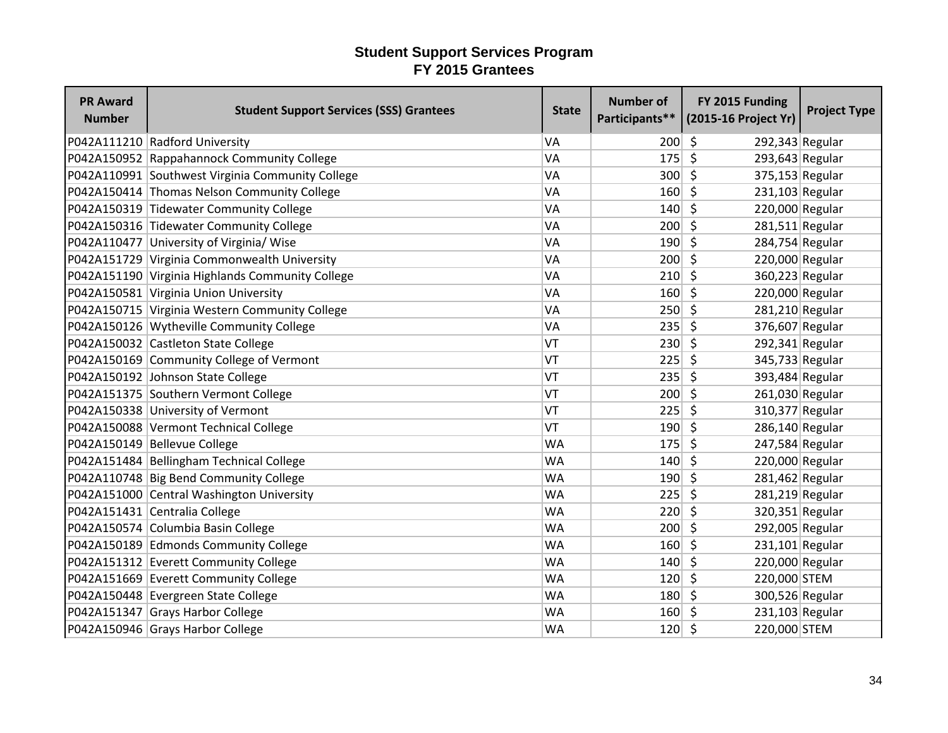| <b>PR Award</b><br><b>Number</b> | <b>Student Support Services (SSS) Grantees</b>   | <b>State</b> | <b>Number of</b> | FY 2015 Funding<br>Participants** (2015-16 Project Yr) | <b>Project Type</b> |
|----------------------------------|--------------------------------------------------|--------------|------------------|--------------------------------------------------------|---------------------|
|                                  | P042A111210 Radford University                   | <b>VA</b>    | 200              | \$<br>292,343 Regular                                  |                     |
|                                  | P042A150952 Rappahannock Community College       | VA           | 175              | $\zeta$<br>293,643 Regular                             |                     |
|                                  | P042A110991 Southwest Virginia Community College | VA           | 300              | $\zeta$<br>375,153 Regular                             |                     |
|                                  | P042A150414 Thomas Nelson Community College      | VA           | 160              | -Ś<br>$231,103$ Regular                                |                     |
|                                  | P042A150319 Tidewater Community College          | <b>VA</b>    | 140              | \$<br>220,000 Regular                                  |                     |
|                                  | P042A150316 Tidewater Community College          | VA           | 200              | $\zeta$<br>$281,511$ Regular                           |                     |
|                                  | P042A110477 University of Virginia/ Wise         | VA           | 190              | Ŝ.<br>284,754 Regular                                  |                     |
|                                  | P042A151729 Virginia Commonwealth University     | VA           | 200              | 220,000 Regular<br>Ŝ.                                  |                     |
|                                  | P042A151190 Virginia Highlands Community College | VA           | 210              | \$<br>360,223 Regular                                  |                     |
|                                  | P042A150581 Virginia Union University            | VA           | 160              | $\zeta$<br>220,000 Regular                             |                     |
|                                  | P042A150715 Virginia Western Community College   | VA           | 250              | \$<br>281,210 Regular                                  |                     |
|                                  | P042A150126 Wytheville Community College         | VA           | 235              | \$<br>376,607 Regular                                  |                     |
|                                  | P042A150032 Castleton State College              | VT           | 230              | $\zeta$<br>$292,341$ Regular                           |                     |
|                                  | P042A150169 Community College of Vermont         | VT           | 225              | S.<br>345,733 Regular                                  |                     |
|                                  | P042A150192 Johnson State College                | VT           | 235              | S,<br>393,484 Regular                                  |                     |
|                                  | P042A151375 Southern Vermont College             | VT           | 200              | \$<br>261,030 Regular                                  |                     |
|                                  | P042A150338 University of Vermont                | VT           | 225              | \$<br>310,377 Regular                                  |                     |
|                                  | P042A150088 Vermont Technical College            | VT           | 190              | \$<br>286,140 Regular                                  |                     |
|                                  | P042A150149 Bellevue College                     | <b>WA</b>    | 175              | 247,584 Regular<br>\$                                  |                     |
|                                  | P042A151484 Bellingham Technical College         | <b>WA</b>    | 140              | $\zeta$<br>220,000 Regular                             |                     |
|                                  | P042A110748 Big Bend Community College           | <b>WA</b>    | 190              | S.<br>281,462 Regular                                  |                     |
|                                  | P042A151000 Central Washington University        | <b>WA</b>    | 225              | -\$<br>281,219 Regular                                 |                     |
|                                  | P042A151431 Centralia College                    | <b>WA</b>    | 220              | 320,351 Regular<br>\$                                  |                     |
|                                  | P042A150574 Columbia Basin College               | <b>WA</b>    | 200              | $\zeta$<br>292,005 Regular                             |                     |
|                                  | P042A150189 Edmonds Community College            | <b>WA</b>    | 160              | \$<br>$231,101$ Regular                                |                     |
|                                  | P042A151312 Everett Community College            | <b>WA</b>    | 140              | 220,000 Regular<br>.S                                  |                     |
|                                  | P042A151669 Everett Community College            | <b>WA</b>    | 120              | \$<br>220,000 STEM                                     |                     |
|                                  | P042A150448 Evergreen State College              | <b>WA</b>    | 180              | S.<br>300,526 Regular                                  |                     |
|                                  | P042A151347 Grays Harbor College                 | <b>WA</b>    | 160              | $231,103$ Regular<br>-\$                               |                     |
|                                  | P042A150946 Grays Harbor College                 | <b>WA</b>    | 120              | 220,000 STEM<br>\$                                     |                     |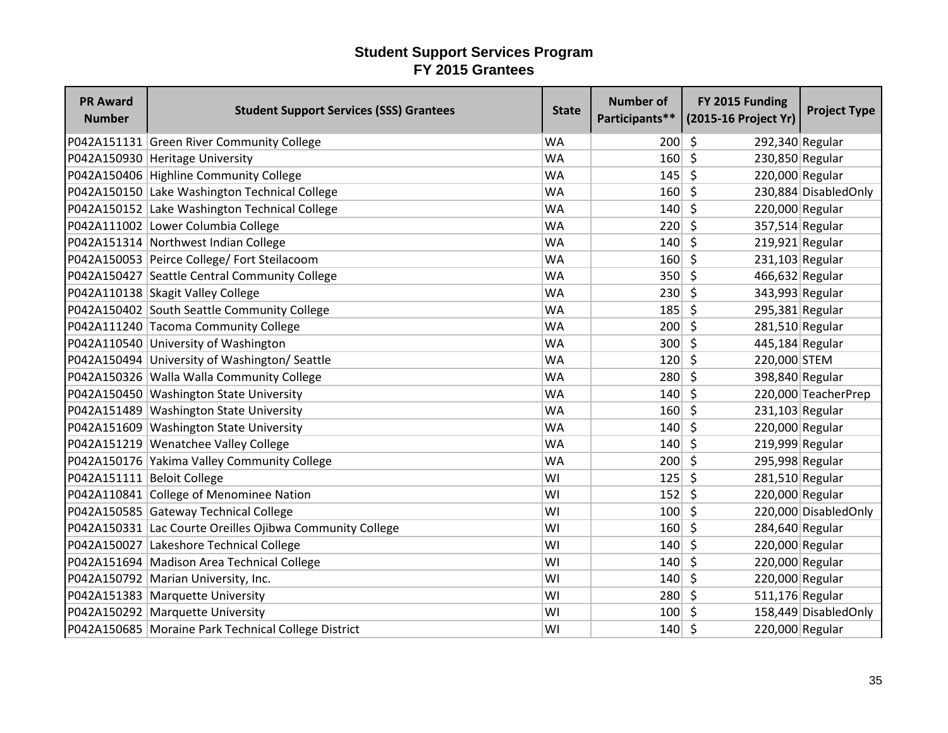| <b>PR Award</b><br><b>Number</b> | <b>Student Support Services (SSS) Grantees</b>           | <b>State</b> | <b>Number of</b> | FY 2015 Funding<br>Participants** (2015-16 Project Yr) | <b>Project Type</b>   |
|----------------------------------|----------------------------------------------------------|--------------|------------------|--------------------------------------------------------|-----------------------|
|                                  | P042A151131 Green River Community College                | <b>WA</b>    | 200              | S.<br>292,340 Regular                                  |                       |
|                                  | P042A150930 Heritage University                          | <b>WA</b>    | 160              | $\zeta$<br>230,850 Regular                             |                       |
|                                  | P042A150406 Highline Community College                   | <b>WA</b>    | 145              | $\zeta$<br>220,000 Regular                             |                       |
|                                  | P042A150150 Lake Washington Technical College            | <b>WA</b>    | 160              | \$                                                     | 230,884 Disabled Only |
|                                  | P042A150152 Lake Washington Technical College            | <b>WA</b>    | 140              | \$<br>220,000 Regular                                  |                       |
|                                  | P042A111002 Lower Columbia College                       | <b>WA</b>    | 220              | $\zeta$<br>357,514 Regular                             |                       |
|                                  | P042A151314 Northwest Indian College                     | <b>WA</b>    | 140              | \$<br>$219,921$ Regular                                |                       |
|                                  | P042A150053 Peirce College/ Fort Steilacoom              | <b>WA</b>    | 160              | 231,103 Regular<br>-\$                                 |                       |
|                                  | P042A150427 Seattle Central Community College            | <b>WA</b>    | 350              | \$<br>466,632 Regular                                  |                       |
|                                  | P042A110138 Skagit Valley College                        | <b>WA</b>    | 230              | \$<br>343,993 Regular                                  |                       |
|                                  | P042A150402 South Seattle Community College              | <b>WA</b>    | 185              | \$<br>295,381 Regular                                  |                       |
|                                  | P042A111240 Tacoma Community College                     | <b>WA</b>    | 200              | S.<br>281,510 Regular                                  |                       |
|                                  | P042A110540 University of Washington                     | <b>WA</b>    | 300              | $\zeta$<br>445,184 Regular                             |                       |
|                                  | P042A150494 University of Washington/Seattle             | <b>WA</b>    | 120              | S.<br>220,000 STEM                                     |                       |
|                                  | P042A150326 Walla Walla Community College                | <b>WA</b>    | 280              | -Ś<br>398,840 Regular                                  |                       |
|                                  | P042A150450 Washington State University                  | <b>WA</b>    | 140              | \$                                                     | 220,000 TeacherPrep   |
|                                  | P042A151489 Washington State University                  | <b>WA</b>    | 160              | $\zeta$<br>231,103 Regular                             |                       |
|                                  | P042A151609 Washington State University                  | <b>WA</b>    | 140              | \$<br>220,000 Regular                                  |                       |
|                                  | P042A151219 Wenatchee Valley College                     | <b>WA</b>    | 140              | Ŝ.<br>219,999 Regular                                  |                       |
|                                  | P042A150176 Yakima Valley Community College              | <b>WA</b>    | 200              | \$<br>295,998 Regular                                  |                       |
| P042A151111 Beloit College       |                                                          | WI           | 125              | $\zeta$<br>281,510 Regular                             |                       |
|                                  | P042A110841 College of Menominee Nation                  | WI           | 152              | 220,000 Regular<br>-\$                                 |                       |
|                                  | P042A150585 Gateway Technical College                    | WI           | 100              | \$                                                     | 220,000 DisabledOnly  |
|                                  | P042A150331 Lac Courte Oreilles Ojibwa Community College | WI           | 160              | $\zeta$<br>284,640 Regular                             |                       |
|                                  | P042A150027 Lakeshore Technical College                  | WI           | 140              | \$<br>220,000 Regular                                  |                       |
|                                  | P042A151694 Madison Area Technical College               | WI           | 140              | \$<br>220,000 Regular                                  |                       |
|                                  | P042A150792 Marian University, Inc.                      | WI           | 140              | \$<br>220,000 Regular                                  |                       |
|                                  | P042A151383 Marquette University                         | WI           | 280              | $\mathsf{\hat{S}}$<br>511,176 Regular                  |                       |
|                                  | P042A150292 Marquette University                         | WI           | 100              | Ŝ.                                                     | 158,449 DisabledOnly  |
|                                  | P042A150685 Moraine Park Technical College District      | WI           | 140              | -\$<br>220,000 Regular                                 |                       |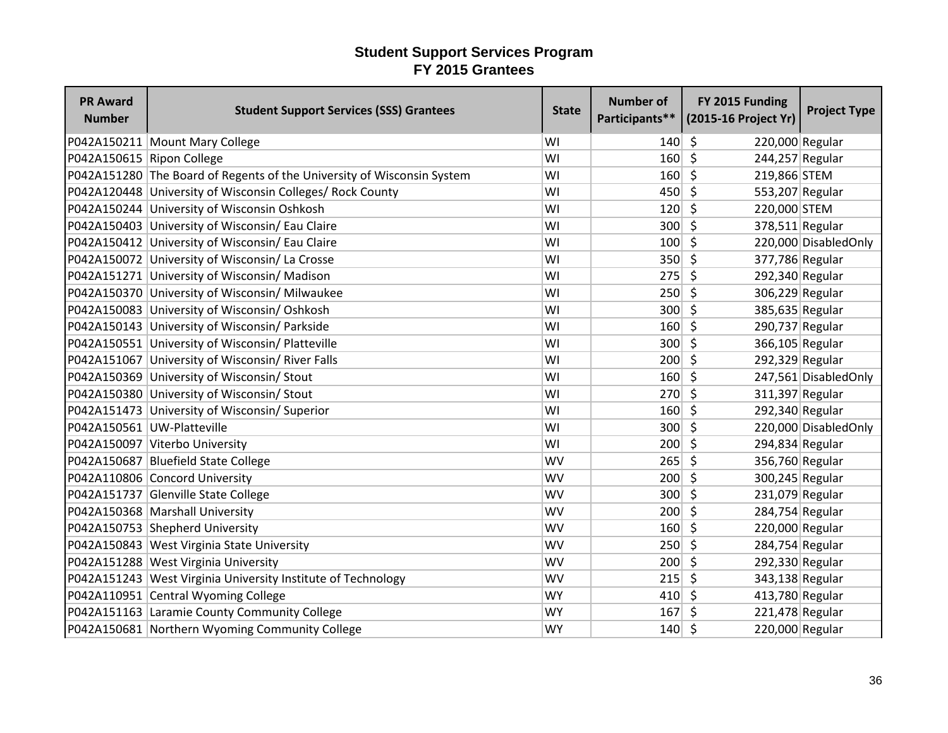| <b>PR Award</b><br><b>Number</b> | <b>Student Support Services (SSS) Grantees</b>                         | <b>State</b> | <b>Number of</b> | FY 2015 Funding<br>Participants** (2015-16 Project Yr) | <b>Project Type</b>   |
|----------------------------------|------------------------------------------------------------------------|--------------|------------------|--------------------------------------------------------|-----------------------|
|                                  | P042A150211 Mount Mary College                                         | WI           | 140              | \$<br>220,000 Regular                                  |                       |
| P042A150615 Ripon College        |                                                                        | WI           | 160              | $\zeta$<br>244,257 Regular                             |                       |
|                                  | P042A151280 The Board of Regents of the University of Wisconsin System | WI           | 160              | \$<br>219,866 STEM                                     |                       |
|                                  | P042A120448 University of Wisconsin Colleges/ Rock County              | WI           | 450              | -Ś<br>553,207 Regular                                  |                       |
|                                  | P042A150244 University of Wisconsin Oshkosh                            | WI           | 120              | Ŝ.<br>220,000 STEM                                     |                       |
|                                  | P042A150403 University of Wisconsin/ Eau Claire                        | WI           | 300              | $\mathsf{\hat{S}}$<br>378,511 Regular                  |                       |
|                                  | P042A150412 University of Wisconsin/ Eau Claire                        | WI           | 100              | Ŝ.                                                     | 220,000 DisabledOnly  |
|                                  | P042A150072 University of Wisconsin/ La Crosse                         | WI           | 350              | \$<br>377,786 Regular                                  |                       |
|                                  | P042A151271 University of Wisconsin/ Madison                           | WI           | 275              | \$<br>292,340 Regular                                  |                       |
|                                  | P042A150370 University of Wisconsin/ Milwaukee                         | WI           | 250              | $\zeta$<br>306,229 Regular                             |                       |
|                                  | P042A150083 University of Wisconsin/ Oshkosh                           | WI           | 300              | \$<br>385,635 Regular                                  |                       |
|                                  | P042A150143 University of Wisconsin/ Parkside                          | WI           | 160              | \$<br>290,737 Regular                                  |                       |
|                                  | P042A150551 University of Wisconsin/ Platteville                       | WI           | $300 \mid 5$     | 366,105 Regular                                        |                       |
|                                  | P042A151067 University of Wisconsin/ River Falls                       | WI           | 200              | 292,329 Regular<br>$\zeta$                             |                       |
|                                  | P042A150369 University of Wisconsin/ Stout                             | WI           | 160              | $\zeta$                                                | 247,561 Disabled Only |
|                                  | P042A150380 University of Wisconsin/ Stout                             | WI           | 270              | \$<br>311,397 Regular                                  |                       |
|                                  | P042A151473 University of Wisconsin/ Superior                          | WI           | 160              | \$<br>292,340 Regular                                  |                       |
|                                  | P042A150561 UW-Platteville                                             | WI           | 300              | Ŝ.                                                     | 220,000 Disabled Only |
|                                  | P042A150097 Viterbo University                                         | WI           | 200              | 294,834 Regular<br>Ŝ.                                  |                       |
|                                  | P042A150687 Bluefield State College                                    | <b>WV</b>    | 265              | \$<br>356,760 Regular                                  |                       |
|                                  | P042A110806 Concord University                                         | <b>WV</b>    | 200              | $\zeta$<br>300,245 Regular                             |                       |
|                                  | P042A151737 Glenville State College                                    | <b>WV</b>    | 300              | $\zeta$<br>231,079 Regular                             |                       |
|                                  | P042A150368 Marshall University                                        | <b>WV</b>    | 200              | \$<br>284,754 Regular                                  |                       |
|                                  | P042A150753 Shepherd University                                        | <b>WV</b>    | 160              | \$<br>220,000 Regular                                  |                       |
|                                  | P042A150843 West Virginia State University                             | <b>WV</b>    | 250              | \$<br>284,754 Regular                                  |                       |
|                                  | P042A151288 West Virginia University                                   | <b>WV</b>    | 200              | 292,330 Regular<br>\$.                                 |                       |
|                                  | P042A151243 West Virginia University Institute of Technology           | <b>WV</b>    | 215              | \$<br>343,138 Regular                                  |                       |
|                                  | P042A110951 Central Wyoming College                                    | <b>WY</b>    | 410              | 413,780 Regular<br>-\$                                 |                       |
|                                  | P042A151163 Laramie County Community College                           | <b>WY</b>    | 167              | 221,478 Regular<br>Ŝ.                                  |                       |
|                                  | P042A150681 Northern Wyoming Community College                         | <b>WY</b>    | 140              | -\$<br>220,000 Regular                                 |                       |